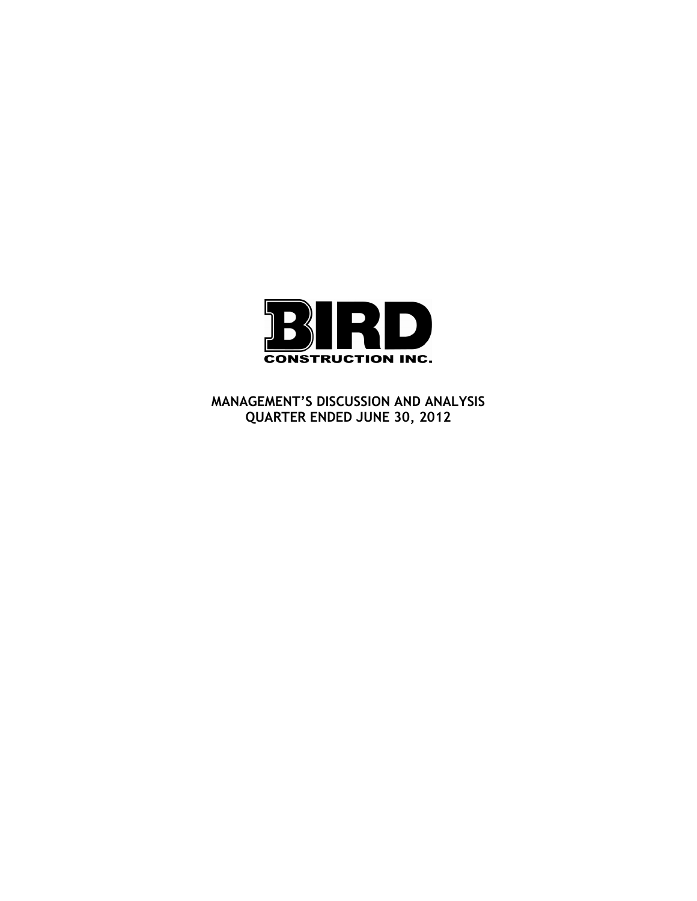

**MANAGEMENT'S DISCUSSION AND ANALYSIS QUARTER ENDED JUNE 30, 2012**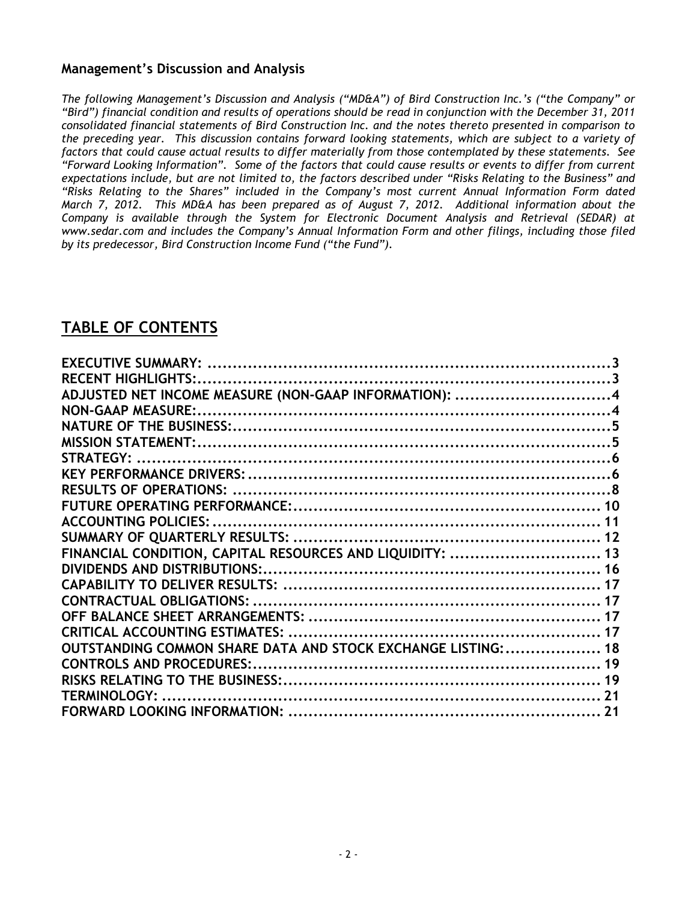# **Management's Discussion and Analysis**

*The following Management's Discussion and Analysis ("MD&A") of Bird Construction Inc.'s ("the Company" or "Bird") financial condition and results of operations should be read in conjunction with the December 31, 2011 consolidated financial statements of Bird Construction Inc. and the notes thereto presented in comparison to the preceding year. This discussion contains forward looking statements, which are subject to a variety of factors that could cause actual results to differ materially from those contemplated by these statements. See "Forward Looking Information". Some of the factors that could cause results or events to differ from current expectations include, but are not limited to, the factors described under "Risks Relating to the Business" and "Risks Relating to the Shares" included in the Company's most current Annual Information Form dated March 7, 2012. This MD&A has been prepared as of August 7, 2012. Additional information about the Company is available through the System for Electronic Document Analysis and Retrieval (SEDAR) at www.sedar.com and includes the Company's Annual Information Form and other filings, including those filed by its predecessor, Bird Construction Income Fund ("the Fund").* 

# **TABLE OF CONTENTS**

| ADJUSTED NET INCOME MEASURE (NON-GAAP INFORMATION): 4         |  |
|---------------------------------------------------------------|--|
|                                                               |  |
|                                                               |  |
|                                                               |  |
|                                                               |  |
|                                                               |  |
|                                                               |  |
|                                                               |  |
|                                                               |  |
|                                                               |  |
| FINANCIAL CONDITION, CAPITAL RESOURCES AND LIQUIDITY:  13     |  |
|                                                               |  |
|                                                               |  |
|                                                               |  |
|                                                               |  |
|                                                               |  |
| OUTSTANDING COMMON SHARE DATA AND STOCK EXCHANGE LISTING:  18 |  |
| <b>CONTROLS AND PROCEDURES:.</b>                              |  |
|                                                               |  |
|                                                               |  |
|                                                               |  |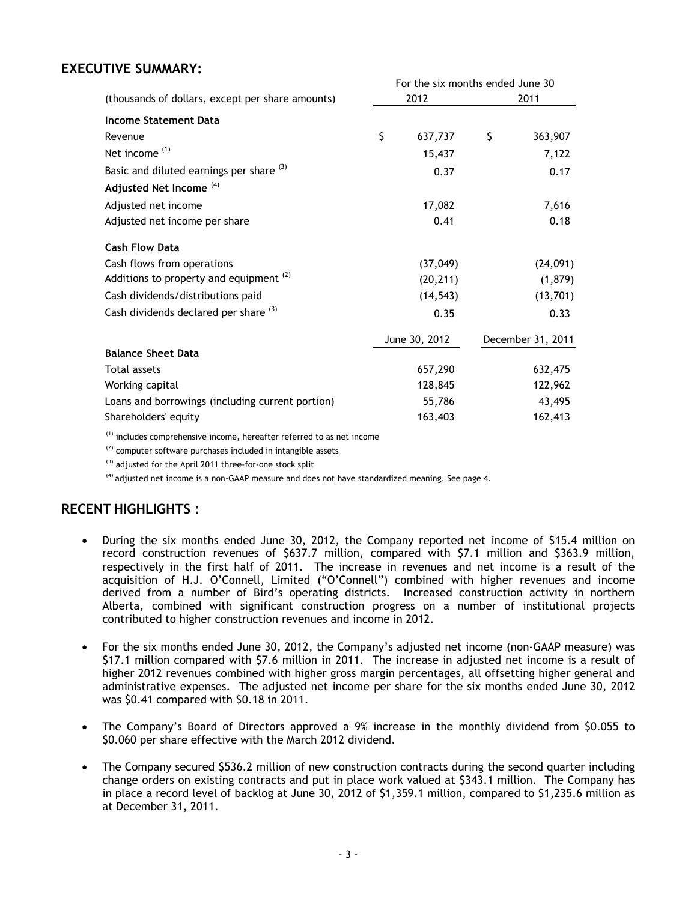# <span id="page-2-0"></span>**EXECUTIVE SUMMARY:**

|                                                    | For the six months ended June 30 |               |    |                   |  |  |  |  |
|----------------------------------------------------|----------------------------------|---------------|----|-------------------|--|--|--|--|
| (thousands of dollars, except per share amounts)   |                                  | 2012          |    | 2011              |  |  |  |  |
| <b>Income Statement Data</b>                       |                                  |               |    |                   |  |  |  |  |
| Revenue                                            | \$                               | 637,737       | \$ | 363,907           |  |  |  |  |
| Net income <sup>(1)</sup>                          |                                  | 15,437        |    | 7,122             |  |  |  |  |
| Basic and diluted earnings per share (3)           |                                  | 0.37          |    | 0.17              |  |  |  |  |
| Adjusted Net Income <sup>(4)</sup>                 |                                  |               |    |                   |  |  |  |  |
| Adjusted net income                                |                                  | 17,082        |    | 7,616             |  |  |  |  |
| Adjusted net income per share                      |                                  | 0.41          |    | 0.18              |  |  |  |  |
| <b>Cash Flow Data</b>                              |                                  |               |    |                   |  |  |  |  |
| Cash flows from operations                         |                                  | (37, 049)     |    | (24,091)          |  |  |  |  |
| Additions to property and equipment <sup>(2)</sup> |                                  | (20, 211)     |    | (1,879)           |  |  |  |  |
| Cash dividends/distributions paid                  |                                  | (14, 543)     |    | (13, 701)         |  |  |  |  |
| Cash dividends declared per share (3)              |                                  | 0.35          |    | 0.33              |  |  |  |  |
|                                                    |                                  | June 30, 2012 |    | December 31, 2011 |  |  |  |  |
| <b>Balance Sheet Data</b>                          |                                  |               |    |                   |  |  |  |  |
| <b>Total assets</b>                                |                                  | 657,290       |    | 632,475           |  |  |  |  |
| Working capital                                    |                                  | 128,845       |    | 122,962           |  |  |  |  |
| Loans and borrowings (including current portion)   |                                  | 55,786        |    | 43,495            |  |  |  |  |
| Shareholders' equity                               |                                  | 163,403       |    | 162,413           |  |  |  |  |

 $(1)$  includes comprehensive income, hereafter referred to as net income

 $(2)$  computer software purchases included in intangible assets

<sup>(3)</sup> adjusted for the April 2011 three-for-one stock split

 $<sup>(4)</sup>$  adjusted net income is a non-GAAP measure and does not have standardized meaning. See page 4.</sup>

# <span id="page-2-1"></span>**RECENT HIGHLIGHTS :**

- During the six months ended June 30, 2012, the Company reported net income of \$15.4 million on record construction revenues of \$637.7 million, compared with \$7.1 million and \$363.9 million, respectively in the first half of 2011. The increase in revenues and net income is a result of the acquisition of H.J. O'Connell, Limited ("O'Connell") combined with higher revenues and income derived from a number of Bird's operating districts. Increased construction activity in northern Alberta, combined with significant construction progress on a number of institutional projects contributed to higher construction revenues and income in 2012.
- For the six months ended June 30, 2012, the Company's adjusted net income (non-GAAP measure) was \$17.1 million compared with \$7.6 million in 2011. The increase in adjusted net income is a result of higher 2012 revenues combined with higher gross margin percentages, all offsetting higher general and administrative expenses. The adjusted net income per share for the six months ended June 30, 2012 was \$0.41 compared with \$0.18 in 2011.
- The Company's Board of Directors approved a 9% increase in the monthly dividend from \$0.055 to \$0.060 per share effective with the March 2012 dividend.
- The Company secured \$536.2 million of new construction contracts during the second quarter including change orders on existing contracts and put in place work valued at \$343.1 million. The Company has in place a record level of backlog at June 30, 2012 of \$1,359.1 million, compared to \$1,235.6 million as at December 31, 2011.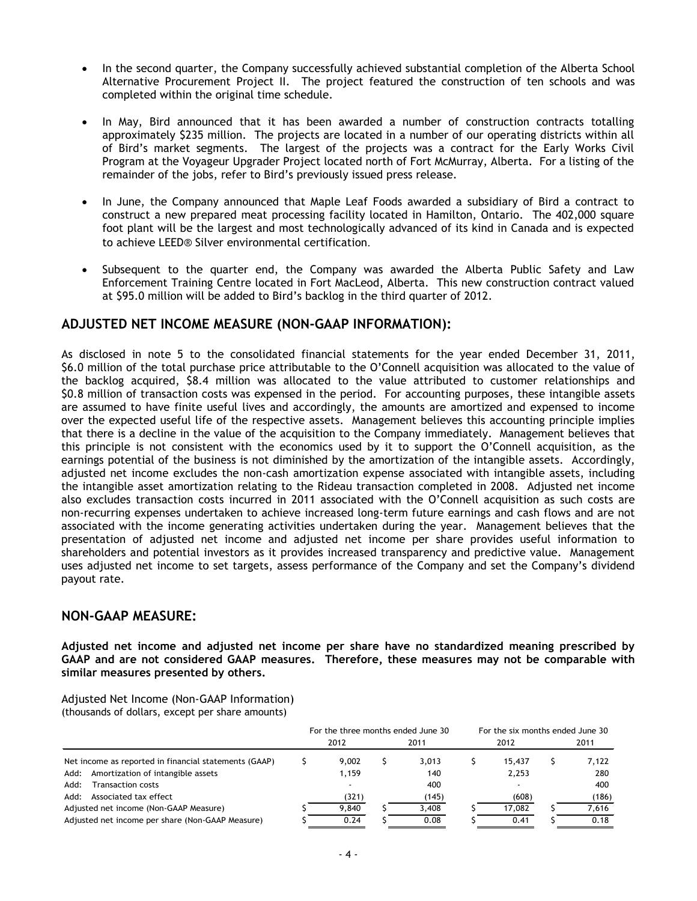- In the second quarter, the Company successfully achieved substantial completion of the Alberta School Alternative Procurement Project II. The project featured the construction of ten schools and was completed within the original time schedule.
- In May, Bird announced that it has been awarded a number of construction contracts totalling approximately \$235 million. The projects are located in a number of our operating districts within all of Bird's market segments. The largest of the projects was a contract for the Early Works Civil Program at the Voyageur Upgrader Project located north of Fort McMurray, Alberta. For a listing of the remainder of the jobs, refer to Bird's previously issued press release.
- In June, the Company announced that Maple Leaf Foods awarded a subsidiary of Bird a contract to construct a new prepared meat processing facility located in Hamilton, Ontario. The 402,000 square foot plant will be the largest and most technologically advanced of its kind in Canada and is expected to achieve LEED® Silver environmental certification.
- Subsequent to the quarter end, the Company was awarded the Alberta Public Safety and Law Enforcement Training Centre located in Fort MacLeod, Alberta. This new construction contract valued at \$95.0 million will be added to Bird's backlog in the third quarter of 2012.

# <span id="page-3-0"></span>**ADJUSTED NET INCOME MEASURE (NON-GAAP INFORMATION):**

As disclosed in note 5 to the consolidated financial statements for the year ended December 31, 2011, \$6.0 million of the total purchase price attributable to the O'Connell acquisition was allocated to the value of the backlog acquired, \$8.4 million was allocated to the value attributed to customer relationships and \$0.8 million of transaction costs was expensed in the period. For accounting purposes, these intangible assets are assumed to have finite useful lives and accordingly, the amounts are amortized and expensed to income over the expected useful life of the respective assets. Management believes this accounting principle implies that there is a decline in the value of the acquisition to the Company immediately. Management believes that this principle is not consistent with the economics used by it to support the O'Connell acquisition, as the earnings potential of the business is not diminished by the amortization of the intangible assets. Accordingly, adjusted net income excludes the non-cash amortization expense associated with intangible assets, including the intangible asset amortization relating to the Rideau transaction completed in 2008. Adjusted net income also excludes transaction costs incurred in 2011 associated with the O'Connell acquisition as such costs are non-recurring expenses undertaken to achieve increased long-term future earnings and cash flows and are not associated with the income generating activities undertaken during the year. Management believes that the presentation of adjusted net income and adjusted net income per share provides useful information to shareholders and potential investors as it provides increased transparency and predictive value. Management uses adjusted net income to set targets, assess performance of the Company and set the Company's dividend payout rate.

# <span id="page-3-1"></span>**NON-GAAP MEASURE:**

**Adjusted net income and adjusted net income per share have no standardized meaning prescribed by GAAP and are not considered GAAP measures. Therefore, these measures may not be comparable with similar measures presented by others.** 

Adjusted Net Income (Non-GAAP Information) (thousands of dollars, except per share amounts)

|                                                       | For the three months ended June 30 |       |  |       |  |        |      | For the six months ended June 30 |  |
|-------------------------------------------------------|------------------------------------|-------|--|-------|--|--------|------|----------------------------------|--|
|                                                       |                                    | 2012  |  | 2011  |  | 2012   | 2011 |                                  |  |
| Net income as reported in financial statements (GAAP) |                                    | 9.002 |  | 3.013 |  | 15.437 |      | 7.122                            |  |
| Amortization of intangible assets<br>Add:             |                                    | 1,159 |  | 140   |  | 2,253  |      | 280                              |  |
| Add:<br><b>Transaction costs</b>                      |                                    |       |  | 400   |  |        |      | 400                              |  |
| Associated tax effect<br>Add:                         |                                    | (321) |  | (145) |  | (608)  |      | (186)                            |  |
| Adjusted net income (Non-GAAP Measure)                |                                    | 9.840 |  | 3,408 |  | 17.082 |      | 7.616                            |  |
| Adjusted net income per share (Non-GAAP Measure)      |                                    | 0.24  |  | 0.08  |  | 0.41   |      | 0.18                             |  |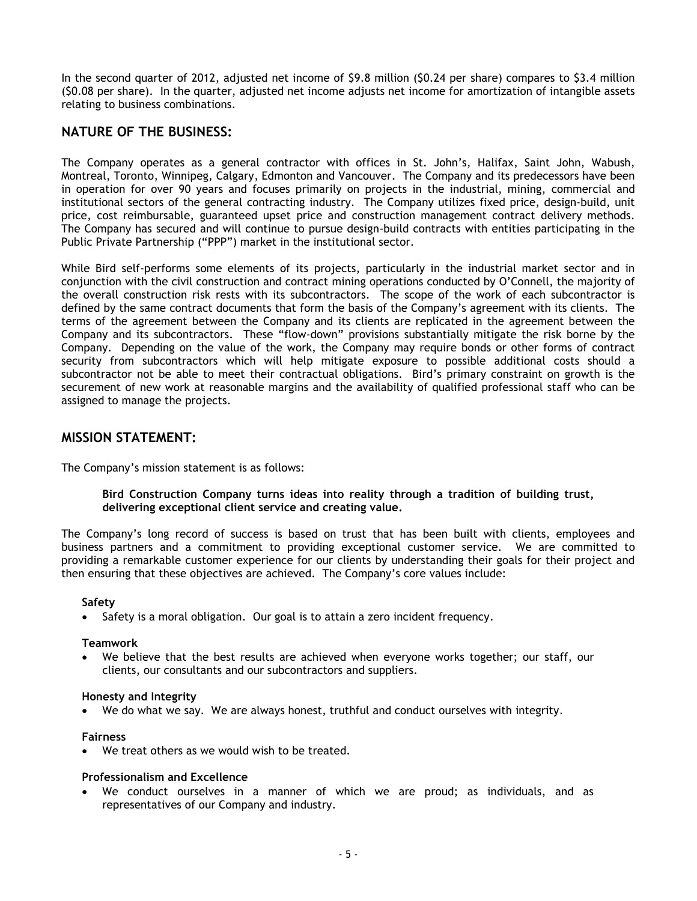In the second quarter of 2012, adjusted net income of \$9.8 million (\$0.24 per share) compares to \$3.4 million (\$0.08 per share). In the quarter, adjusted net income adjusts net income for amortization of intangible assets relating to business combinations.

# <span id="page-4-0"></span>**NATURE OF THE BUSINESS:**

The Company operates as a general contractor with offices in St. John's, Halifax, Saint John, Wabush, Montreal, Toronto, Winnipeg, Calgary, Edmonton and Vancouver. The Company and its predecessors have been in operation for over 90 years and focuses primarily on projects in the industrial, mining, commercial and institutional sectors of the general contracting industry. The Company utilizes fixed price, design-build, unit price, cost reimbursable, guaranteed upset price and construction management contract delivery methods. The Company has secured and will continue to pursue design-build contracts with entities participating in the Public Private Partnership ("PPP") market in the institutional sector.

While Bird self-performs some elements of its projects, particularly in the industrial market sector and in conjunction with the civil construction and contract mining operations conducted by O'Connell, the majority of the overall construction risk rests with its subcontractors. The scope of the work of each subcontractor is defined by the same contract documents that form the basis of the Company's agreement with its clients. The terms of the agreement between the Company and its clients are replicated in the agreement between the Company and its subcontractors. These "flow-down" provisions substantially mitigate the risk borne by the Company. Depending on the value of the work, the Company may require bonds or other forms of contract security from subcontractors which will help mitigate exposure to possible additional costs should a subcontractor not be able to meet their contractual obligations. Bird's primary constraint on growth is the securement of new work at reasonable margins and the availability of qualified professional staff who can be assigned to manage the projects.

## <span id="page-4-1"></span>**MISSION STATEMENT:**

The Company's mission statement is as follows:

## **Bird Construction Company turns ideas into reality through a tradition of building trust, delivering exceptional client service and creating value.**

The Company's long record of success is based on trust that has been built with clients, employees and business partners and a commitment to providing exceptional customer service. We are committed to providing a remarkable customer experience for our clients by understanding their goals for their project and then ensuring that these objectives are achieved. The Company's core values include:

## **Safety**

Safety is a moral obligation. Our goal is to attain a zero incident frequency.

#### **Teamwork**

We believe that the best results are achieved when everyone works together; our staff, our clients, our consultants and our subcontractors and suppliers.

#### **Honesty and Integrity**

• We do what we say. We are always honest, truthful and conduct ourselves with integrity.

## **Fairness**

• We treat others as we would wish to be treated.

## **Professionalism and Excellence**

• We conduct ourselves in a manner of which we are proud; as individuals, and as representatives of our Company and industry.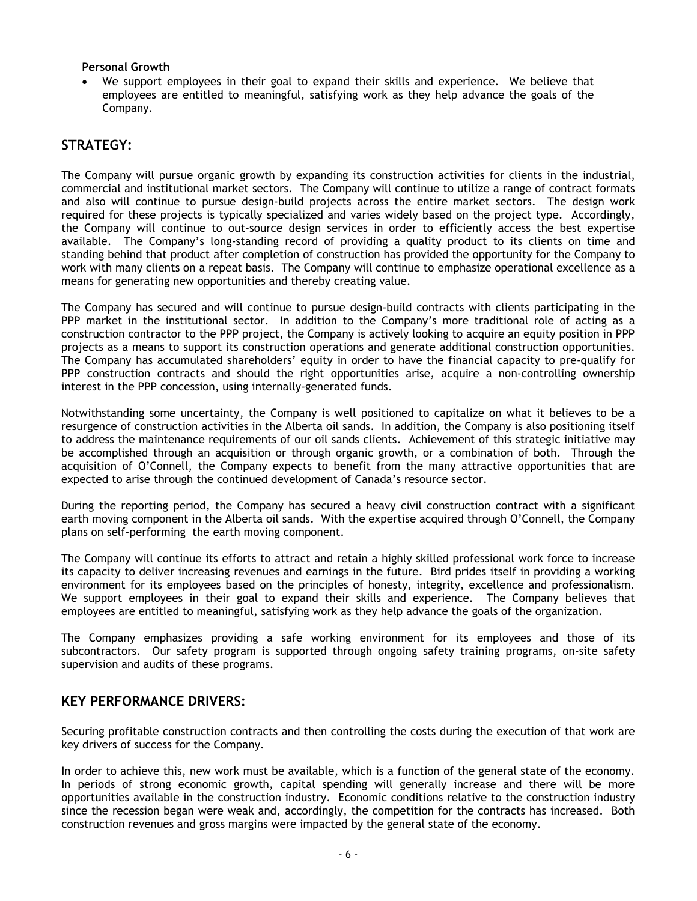## **Personal Growth**

• We support employees in their goal to expand their skills and experience. We believe that employees are entitled to meaningful, satisfying work as they help advance the goals of the Company.

# <span id="page-5-0"></span>**STRATEGY:**

The Company will pursue organic growth by expanding its construction activities for clients in the industrial, commercial and institutional market sectors. The Company will continue to utilize a range of contract formats and also will continue to pursue design-build projects across the entire market sectors. The design work required for these projects is typically specialized and varies widely based on the project type. Accordingly, the Company will continue to out-source design services in order to efficiently access the best expertise available. The Company's long-standing record of providing a quality product to its clients on time and standing behind that product after completion of construction has provided the opportunity for the Company to work with many clients on a repeat basis. The Company will continue to emphasize operational excellence as a means for generating new opportunities and thereby creating value.

The Company has secured and will continue to pursue design-build contracts with clients participating in the PPP market in the institutional sector. In addition to the Company's more traditional role of acting as a construction contractor to the PPP project, the Company is actively looking to acquire an equity position in PPP projects as a means to support its construction operations and generate additional construction opportunities. The Company has accumulated shareholders' equity in order to have the financial capacity to pre-qualify for PPP construction contracts and should the right opportunities arise, acquire a non-controlling ownership interest in the PPP concession, using internally-generated funds.

Notwithstanding some uncertainty, the Company is well positioned to capitalize on what it believes to be a resurgence of construction activities in the Alberta oil sands. In addition, the Company is also positioning itself to address the maintenance requirements of our oil sands clients. Achievement of this strategic initiative may be accomplished through an acquisition or through organic growth, or a combination of both. Through the acquisition of O'Connell, the Company expects to benefit from the many attractive opportunities that are expected to arise through the continued development of Canada's resource sector.

During the reporting period, the Company has secured a heavy civil construction contract with a significant earth moving component in the Alberta oil sands. With the expertise acquired through O'Connell, the Company plans on self-performing the earth moving component.

The Company will continue its efforts to attract and retain a highly skilled professional work force to increase its capacity to deliver increasing revenues and earnings in the future. Bird prides itself in providing a working environment for its employees based on the principles of honesty, integrity, excellence and professionalism. We support employees in their goal to expand their skills and experience. The Company believes that employees are entitled to meaningful, satisfying work as they help advance the goals of the organization.

The Company emphasizes providing a safe working environment for its employees and those of its subcontractors. Our safety program is supported through ongoing safety training programs, on-site safety supervision and audits of these programs.

# <span id="page-5-1"></span>**KEY PERFORMANCE DRIVERS:**

Securing profitable construction contracts and then controlling the costs during the execution of that work are key drivers of success for the Company.

In order to achieve this, new work must be available, which is a function of the general state of the economy. In periods of strong economic growth, capital spending will generally increase and there will be more opportunities available in the construction industry. Economic conditions relative to the construction industry since the recession began were weak and, accordingly, the competition for the contracts has increased. Both construction revenues and gross margins were impacted by the general state of the economy.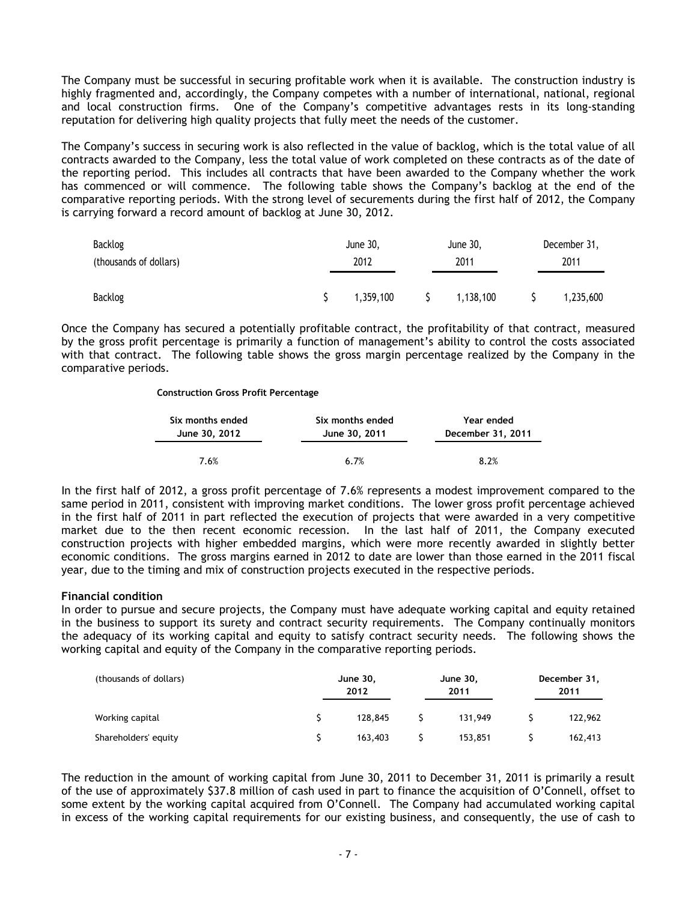The Company must be successful in securing profitable work when it is available. The construction industry is highly fragmented and, accordingly, the Company competes with a number of international, national, regional and local construction firms. One of the Company's competitive advantages rests in its long-standing reputation for delivering high quality projects that fully meet the needs of the customer.

The Company's success in securing work is also reflected in the value of backlog, which is the total value of all contracts awarded to the Company, less the total value of work completed on these contracts as of the date of the reporting period. This includes all contracts that have been awarded to the Company whether the work has commenced or will commence. The following table shows the Company's backlog at the end of the comparative reporting periods. With the strong level of securements during the first half of 2012, the Company is carrying forward a record amount of backlog at June 30, 2012.

| Backlog                | June 30,  |  | June 30,  |  | December 31, |
|------------------------|-----------|--|-----------|--|--------------|
| (thousands of dollars) | 2012      |  | 2011      |  | 2011         |
|                        |           |  |           |  |              |
| Backlog                | 1,359,100 |  | 1,138,100 |  | 1,235,600    |

Once the Company has secured a potentially profitable contract, the profitability of that contract, measured by the gross profit percentage is primarily a function of management's ability to control the costs associated with that contract. The following table shows the gross margin percentage realized by the Company in the comparative periods.

#### **Construction Gross Profit Percentage**

| Six months ended | Six months ended | Year ended        |
|------------------|------------------|-------------------|
| June 30, 2012    | June 30, 2011    | December 31, 2011 |
| 7.6%             | 6.7%             | 8.2%              |

In the first half of 2012, a gross profit percentage of 7.6% represents a modest improvement compared to the same period in 2011, consistent with improving market conditions. The lower gross profit percentage achieved in the first half of 2011 in part reflected the execution of projects that were awarded in a very competitive market due to the then recent economic recession. In the last half of 2011, the Company executed construction projects with higher embedded margins, which were more recently awarded in slightly better economic conditions. The gross margins earned in 2012 to date are lower than those earned in the 2011 fiscal year, due to the timing and mix of construction projects executed in the respective periods.

## **Financial condition**

In order to pursue and secure projects, the Company must have adequate working capital and equity retained in the business to support its surety and contract security requirements. The Company continually monitors the adequacy of its working capital and equity to satisfy contract security needs. The following shows the working capital and equity of the Company in the comparative reporting periods.

| (thousands of dollars) | June 30,<br>2012 | June 30,<br>2011 | December 31,<br>2011 |  |
|------------------------|------------------|------------------|----------------------|--|
| Working capital        | 128,845          | 131.949          | 122,962              |  |
| Shareholders' equity   | 163,403          | 153,851          | 162,413              |  |

The reduction in the amount of working capital from June 30, 2011 to December 31, 2011 is primarily a result of the use of approximately \$37.8 million of cash used in part to finance the acquisition of O'Connell, offset to some extent by the working capital acquired from O'Connell. The Company had accumulated working capital in excess of the working capital requirements for our existing business, and consequently, the use of cash to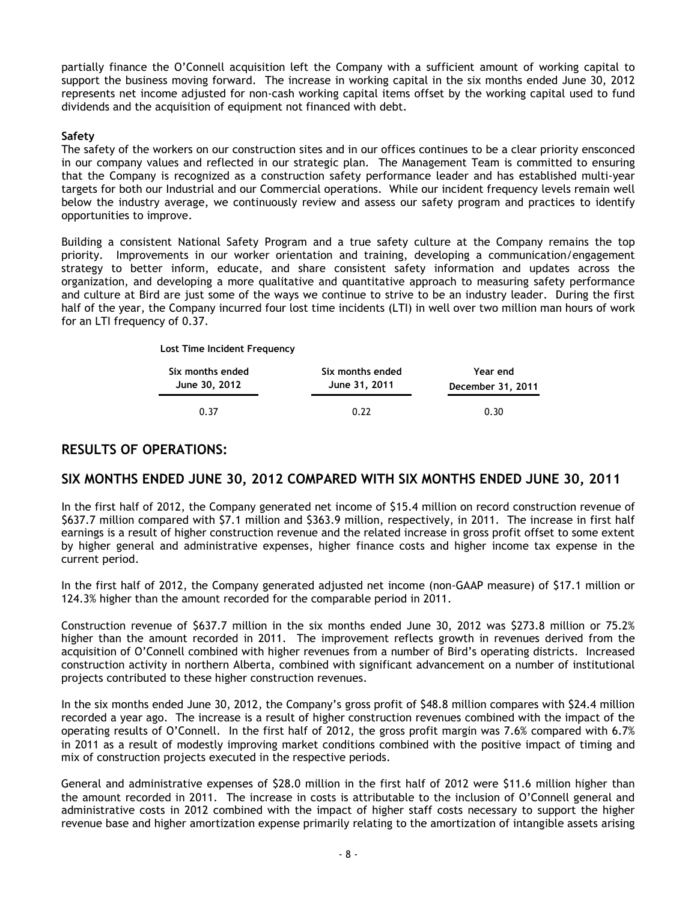partially finance the O'Connell acquisition left the Company with a sufficient amount of working capital to support the business moving forward. The increase in working capital in the six months ended June 30, 2012 represents net income adjusted for non-cash working capital items offset by the working capital used to fund dividends and the acquisition of equipment not financed with debt.

## **Safety**

The safety of the workers on our construction sites and in our offices continues to be a clear priority ensconced in our company values and reflected in our strategic plan. The Management Team is committed to ensuring that the Company is recognized as a construction safety performance leader and has established multi-year targets for both our Industrial and our Commercial operations. While our incident frequency levels remain well below the industry average, we continuously review and assess our safety program and practices to identify opportunities to improve.

Building a consistent National Safety Program and a true safety culture at the Company remains the top priority. Improvements in our worker orientation and training, developing a communication/engagement strategy to better inform, educate, and share consistent safety information and updates across the organization, and developing a more qualitative and quantitative approach to measuring safety performance and culture at Bird are just some of the ways we continue to strive to be an industry leader. During the first half of the year, the Company incurred four lost time incidents (LTI) in well over two million man hours of work for an LTI frequency of 0.37.

| <b>EDSC THIRD INCREDIT LICENSING</b> |                                   |                               |
|--------------------------------------|-----------------------------------|-------------------------------|
| Six months ended<br>June 30, 2012    | Six months ended<br>June 31, 2011 | Year end<br>December 31, 2011 |
| 0.37                                 | 0.22                              | 0.30                          |

# <span id="page-7-0"></span>**RESULTS OF OPERATIONS:**

**Lost Time Incident Frequency**

# **SIX MONTHS ENDED JUNE 30, 2012 COMPARED WITH SIX MONTHS ENDED JUNE 30, 2011**

In the first half of 2012, the Company generated net income of \$15.4 million on record construction revenue of \$637.7 million compared with \$7.1 million and \$363.9 million, respectively, in 2011. The increase in first half earnings is a result of higher construction revenue and the related increase in gross profit offset to some extent by higher general and administrative expenses, higher finance costs and higher income tax expense in the current period.

In the first half of 2012, the Company generated adjusted net income (non-GAAP measure) of \$17.1 million or 124.3% higher than the amount recorded for the comparable period in 2011.

Construction revenue of \$637.7 million in the six months ended June 30, 2012 was \$273.8 million or 75.2% higher than the amount recorded in 2011. The improvement reflects growth in revenues derived from the acquisition of O'Connell combined with higher revenues from a number of Bird's operating districts. Increased construction activity in northern Alberta, combined with significant advancement on a number of institutional projects contributed to these higher construction revenues.

In the six months ended June 30, 2012, the Company's gross profit of \$48.8 million compares with \$24.4 million recorded a year ago. The increase is a result of higher construction revenues combined with the impact of the operating results of O'Connell. In the first half of 2012, the gross profit margin was 7.6% compared with 6.7% in 2011 as a result of modestly improving market conditions combined with the positive impact of timing and mix of construction projects executed in the respective periods.

General and administrative expenses of \$28.0 million in the first half of 2012 were \$11.6 million higher than the amount recorded in 2011. The increase in costs is attributable to the inclusion of O'Connell general and administrative costs in 2012 combined with the impact of higher staff costs necessary to support the higher revenue base and higher amortization expense primarily relating to the amortization of intangible assets arising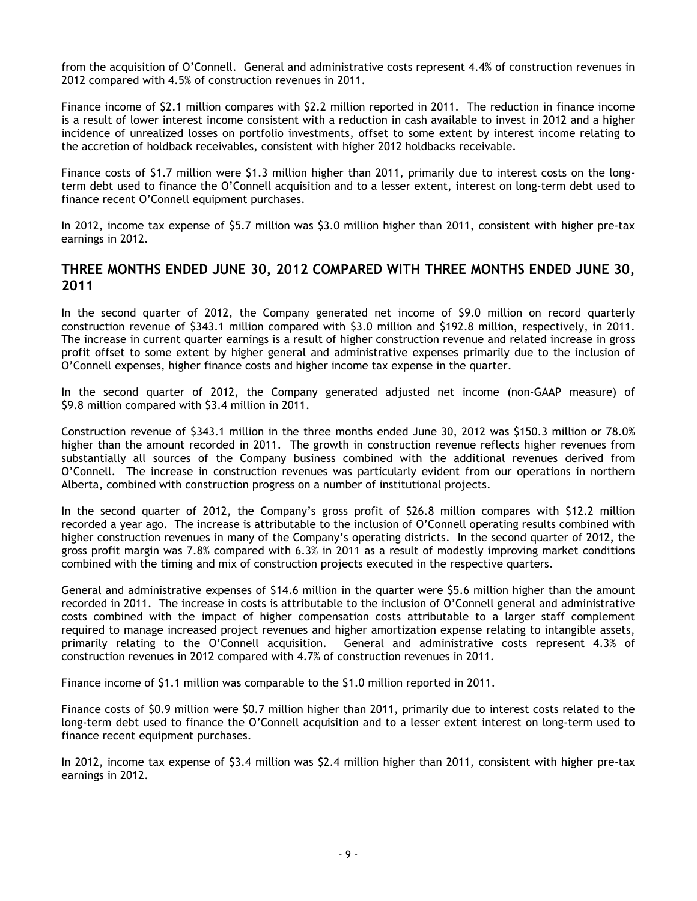from the acquisition of O'Connell. General and administrative costs represent 4.4% of construction revenues in 2012 compared with 4.5% of construction revenues in 2011.

Finance income of \$2.1 million compares with \$2.2 million reported in 2011. The reduction in finance income is a result of lower interest income consistent with a reduction in cash available to invest in 2012 and a higher incidence of unrealized losses on portfolio investments, offset to some extent by interest income relating to the accretion of holdback receivables, consistent with higher 2012 holdbacks receivable.

Finance costs of \$1.7 million were \$1.3 million higher than 2011, primarily due to interest costs on the longterm debt used to finance the O'Connell acquisition and to a lesser extent, interest on long-term debt used to finance recent O'Connell equipment purchases.

In 2012, income tax expense of \$5.7 million was \$3.0 million higher than 2011, consistent with higher pre-tax earnings in 2012.

# **THREE MONTHS ENDED JUNE 30, 2012 COMPARED WITH THREE MONTHS ENDED JUNE 30, 2011**

In the second quarter of 2012, the Company generated net income of \$9.0 million on record quarterly construction revenue of \$343.1 million compared with \$3.0 million and \$192.8 million, respectively, in 2011. The increase in current quarter earnings is a result of higher construction revenue and related increase in gross profit offset to some extent by higher general and administrative expenses primarily due to the inclusion of O'Connell expenses, higher finance costs and higher income tax expense in the quarter.

In the second quarter of 2012, the Company generated adjusted net income (non-GAAP measure) of \$9.8 million compared with \$3.4 million in 2011.

Construction revenue of \$343.1 million in the three months ended June 30, 2012 was \$150.3 million or 78.0% higher than the amount recorded in 2011. The growth in construction revenue reflects higher revenues from substantially all sources of the Company business combined with the additional revenues derived from O'Connell. The increase in construction revenues was particularly evident from our operations in northern Alberta, combined with construction progress on a number of institutional projects.

In the second quarter of 2012, the Company's gross profit of \$26.8 million compares with \$12.2 million recorded a year ago. The increase is attributable to the inclusion of O'Connell operating results combined with higher construction revenues in many of the Company's operating districts. In the second quarter of 2012, the gross profit margin was 7.8% compared with 6.3% in 2011 as a result of modestly improving market conditions combined with the timing and mix of construction projects executed in the respective quarters.

General and administrative expenses of \$14.6 million in the quarter were \$5.6 million higher than the amount recorded in 2011. The increase in costs is attributable to the inclusion of O'Connell general and administrative costs combined with the impact of higher compensation costs attributable to a larger staff complement required to manage increased project revenues and higher amortization expense relating to intangible assets, primarily relating to the O'Connell acquisition. General and administrative costs represent 4.3% of construction revenues in 2012 compared with 4.7% of construction revenues in 2011.

Finance income of \$1.1 million was comparable to the \$1.0 million reported in 2011.

Finance costs of \$0.9 million were \$0.7 million higher than 2011, primarily due to interest costs related to the long-term debt used to finance the O'Connell acquisition and to a lesser extent interest on long-term used to finance recent equipment purchases.

<span id="page-8-0"></span>In 2012, income tax expense of \$3.4 million was \$2.4 million higher than 2011, consistent with higher pre-tax earnings in 2012.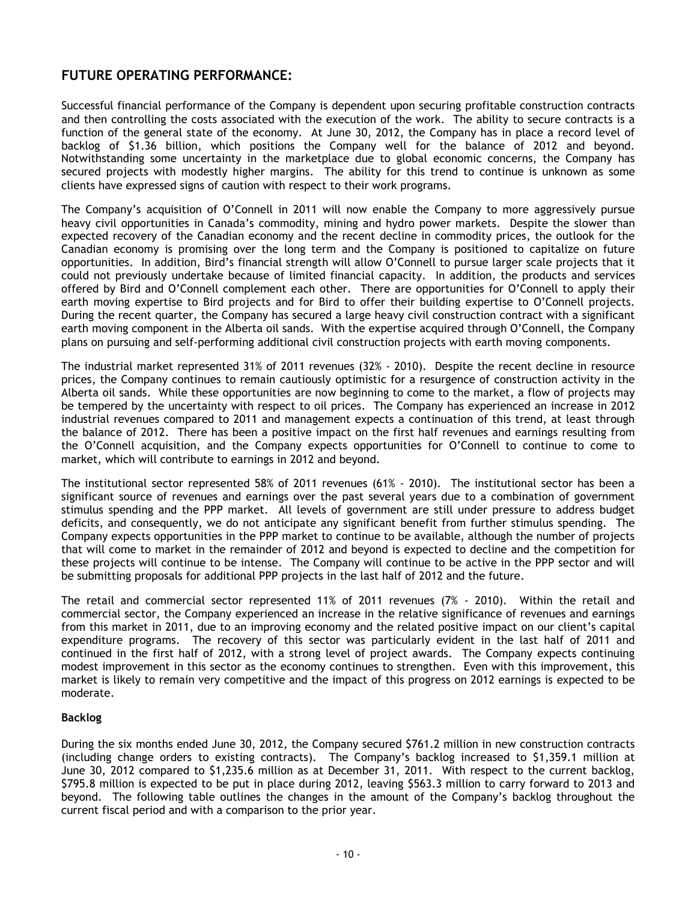# **FUTURE OPERATING PERFORMANCE:**

Successful financial performance of the Company is dependent upon securing profitable construction contracts and then controlling the costs associated with the execution of the work. The ability to secure contracts is a function of the general state of the economy. At June 30, 2012, the Company has in place a record level of backlog of \$1.36 billion, which positions the Company well for the balance of 2012 and beyond. Notwithstanding some uncertainty in the marketplace due to global economic concerns, the Company has secured projects with modestly higher margins. The ability for this trend to continue is unknown as some clients have expressed signs of caution with respect to their work programs.

The Company's acquisition of O'Connell in 2011 will now enable the Company to more aggressively pursue heavy civil opportunities in Canada's commodity, mining and hydro power markets. Despite the slower than expected recovery of the Canadian economy and the recent decline in commodity prices, the outlook for the Canadian economy is promising over the long term and the Company is positioned to capitalize on future opportunities. In addition, Bird's financial strength will allow O'Connell to pursue larger scale projects that it could not previously undertake because of limited financial capacity. In addition, the products and services offered by Bird and O'Connell complement each other. There are opportunities for O'Connell to apply their earth moving expertise to Bird projects and for Bird to offer their building expertise to O'Connell projects. During the recent quarter, the Company has secured a large heavy civil construction contract with a significant earth moving component in the Alberta oil sands. With the expertise acquired through O'Connell, the Company plans on pursuing and self-performing additional civil construction projects with earth moving components.

The industrial market represented 31% of 2011 revenues (32% - 2010). Despite the recent decline in resource prices, the Company continues to remain cautiously optimistic for a resurgence of construction activity in the Alberta oil sands. While these opportunities are now beginning to come to the market, a flow of projects may be tempered by the uncertainty with respect to oil prices. The Company has experienced an increase in 2012 industrial revenues compared to 2011 and management expects a continuation of this trend, at least through the balance of 2012. There has been a positive impact on the first half revenues and earnings resulting from the O'Connell acquisition, and the Company expects opportunities for O'Connell to continue to come to market, which will contribute to earnings in 2012 and beyond.

The institutional sector represented 58% of 2011 revenues (61% - 2010). The institutional sector has been a significant source of revenues and earnings over the past several years due to a combination of government stimulus spending and the PPP market. All levels of government are still under pressure to address budget deficits, and consequently, we do not anticipate any significant benefit from further stimulus spending. The Company expects opportunities in the PPP market to continue to be available, although the number of projects that will come to market in the remainder of 2012 and beyond is expected to decline and the competition for these projects will continue to be intense. The Company will continue to be active in the PPP sector and will be submitting proposals for additional PPP projects in the last half of 2012 and the future.

The retail and commercial sector represented 11% of 2011 revenues (7% - 2010). Within the retail and commercial sector, the Company experienced an increase in the relative significance of revenues and earnings from this market in 2011, due to an improving economy and the related positive impact on our client's capital expenditure programs. The recovery of this sector was particularly evident in the last half of 2011 and continued in the first half of 2012, with a strong level of project awards. The Company expects continuing modest improvement in this sector as the economy continues to strengthen. Even with this improvement, this market is likely to remain very competitive and the impact of this progress on 2012 earnings is expected to be moderate.

## **Backlog**

During the six months ended June 30, 2012, the Company secured \$761.2 million in new construction contracts (including change orders to existing contracts). The Company's backlog increased to \$1,359.1 million at June 30, 2012 compared to \$1,235.6 million as at December 31, 2011. With respect to the current backlog, \$795.8 million is expected to be put in place during 2012, leaving \$563.3 million to carry forward to 2013 and beyond. The following table outlines the changes in the amount of the Company's backlog throughout the current fiscal period and with a comparison to the prior year.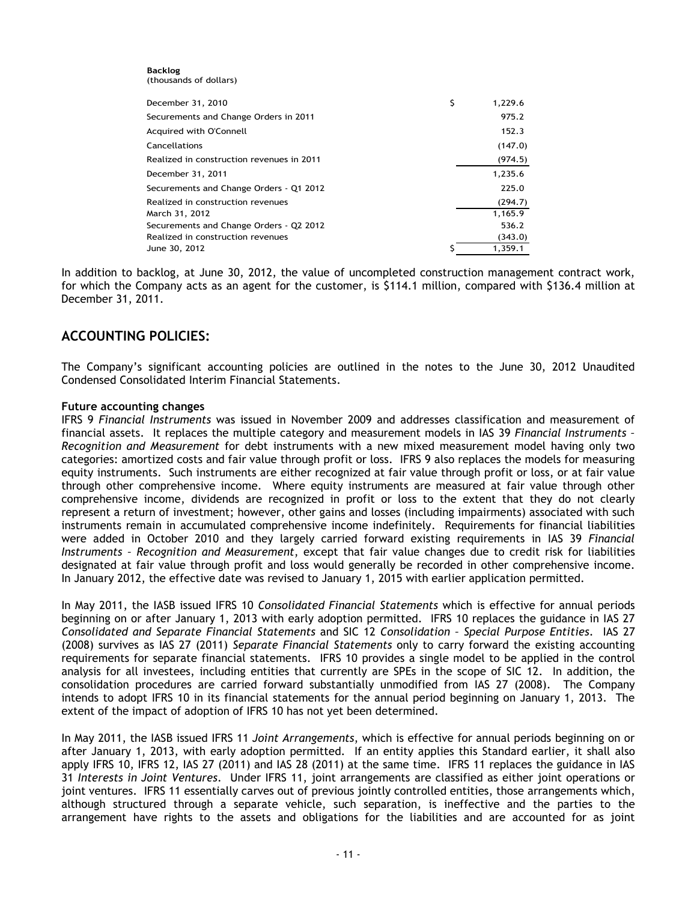**Backlog** (thousands of dollars)

| December 31, 2010                         | \$<br>1,229.6 |
|-------------------------------------------|---------------|
| Securements and Change Orders in 2011     | 975.2         |
| Acquired with O'Connell                   | 152.3         |
| Cancellations                             | (147.0)       |
| Realized in construction revenues in 2011 | (974.5)       |
| December 31, 2011                         | 1,235.6       |
| Securements and Change Orders - Q1 2012   | 225.0         |
| Realized in construction revenues         | (294.7)       |
| March 31, 2012                            | 1.165.9       |
| Securements and Change Orders - Q2 2012   | 536.2         |
| Realized in construction revenues         | (343.0)       |
| June 30, 2012                             | 1,359.1       |

In addition to backlog, at June 30, 2012, the value of uncompleted construction management contract work, for which the Company acts as an agent for the customer, is \$114.1 million, compared with \$136.4 million at December 31, 2011.

# <span id="page-10-0"></span>**ACCOUNTING POLICIES:**

The Company's significant accounting policies are outlined in the notes to the June 30, 2012 Unaudited Condensed Consolidated Interim Financial Statements.

## **Future accounting changes**

IFRS 9 *Financial Instruments* was issued in November 2009 and addresses classification and measurement of financial assets. It replaces the multiple category and measurement models in IAS 39 *Financial Instruments – Recognition and Measurement* for debt instruments with a new mixed measurement model having only two categories: amortized costs and fair value through profit or loss. IFRS 9 also replaces the models for measuring equity instruments. Such instruments are either recognized at fair value through profit or loss, or at fair value through other comprehensive income. Where equity instruments are measured at fair value through other comprehensive income, dividends are recognized in profit or loss to the extent that they do not clearly represent a return of investment; however, other gains and losses (including impairments) associated with such instruments remain in accumulated comprehensive income indefinitely. Requirements for financial liabilities were added in October 2010 and they largely carried forward existing requirements in IAS 39 *Financial Instruments – Recognition and Measurement*, except that fair value changes due to credit risk for liabilities designated at fair value through profit and loss would generally be recorded in other comprehensive income. In January 2012, the effective date was revised to January 1, 2015 with earlier application permitted.

In May 2011, the IASB issued IFRS 10 *Consolidated Financial Statements* which is effective for annual periods beginning on or after January 1, 2013 with early adoption permitted. IFRS 10 replaces the guidance in IAS 27 *Consolidated and Separate Financial Statements* and SIC 12 *Consolidation – Special Purpose Entities*. IAS 27 (2008) survives as IAS 27 (2011) *Separate Financial Statements* only to carry forward the existing accounting requirements for separate financial statements. IFRS 10 provides a single model to be applied in the control analysis for all investees, including entities that currently are SPEs in the scope of SIC 12. In addition, the consolidation procedures are carried forward substantially unmodified from IAS 27 (2008). The Company intends to adopt IFRS 10 in its financial statements for the annual period beginning on January 1, 2013. The extent of the impact of adoption of IFRS 10 has not yet been determined.

In May 2011, the IASB issued IFRS 11 *Joint Arrangements*, which is effective for annual periods beginning on or after January 1, 2013, with early adoption permitted. If an entity applies this Standard earlier, it shall also apply IFRS 10, IFRS 12, IAS 27 (2011) and IAS 28 (2011) at the same time. IFRS 11 replaces the guidance in IAS 31 *Interests in Joint Ventures*. Under IFRS 11, joint arrangements are classified as either joint operations or joint ventures. IFRS 11 essentially carves out of previous jointly controlled entities, those arrangements which, although structured through a separate vehicle, such separation, is ineffective and the parties to the arrangement have rights to the assets and obligations for the liabilities and are accounted for as joint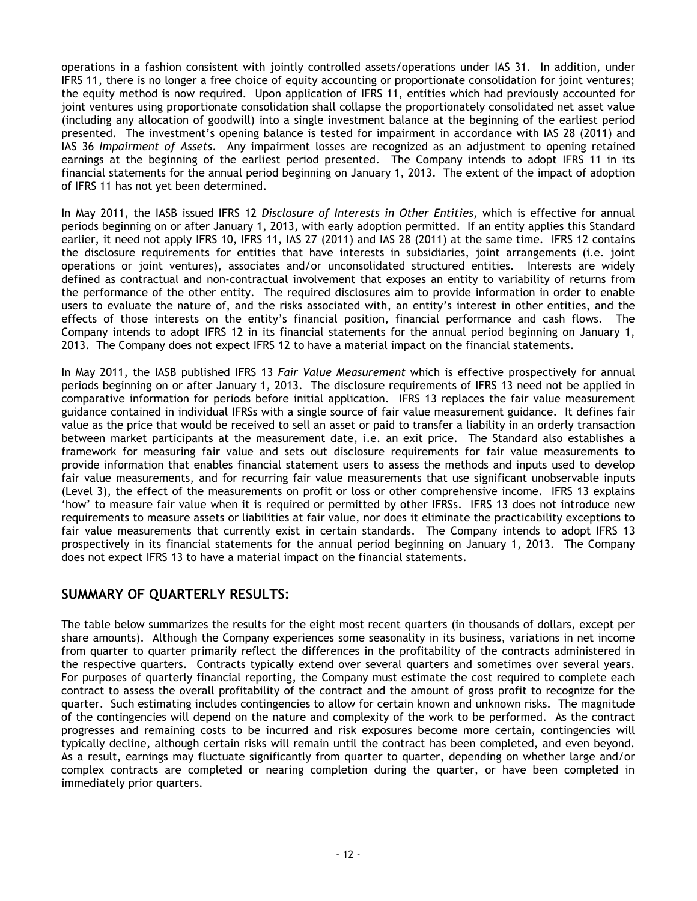operations in a fashion consistent with jointly controlled assets/operations under IAS 31. In addition, under IFRS 11, there is no longer a free choice of equity accounting or proportionate consolidation for joint ventures; the equity method is now required. Upon application of IFRS 11, entities which had previously accounted for joint ventures using proportionate consolidation shall collapse the proportionately consolidated net asset value (including any allocation of goodwill) into a single investment balance at the beginning of the earliest period presented. The investment's opening balance is tested for impairment in accordance with IAS 28 (2011) and IAS 36 *Impairment of Assets*. Any impairment losses are recognized as an adjustment to opening retained earnings at the beginning of the earliest period presented. The Company intends to adopt IFRS 11 in its financial statements for the annual period beginning on January 1, 2013. The extent of the impact of adoption of IFRS 11 has not yet been determined.

In May 2011, the IASB issued IFRS 12 *Disclosure of Interests in Other Entities*, which is effective for annual periods beginning on or after January 1, 2013, with early adoption permitted. If an entity applies this Standard earlier, it need not apply IFRS 10, IFRS 11, IAS 27 (2011) and IAS 28 (2011) at the same time. IFRS 12 contains the disclosure requirements for entities that have interests in subsidiaries, joint arrangements (i.e. joint operations or joint ventures), associates and/or unconsolidated structured entities. Interests are widely defined as contractual and non-contractual involvement that exposes an entity to variability of returns from the performance of the other entity. The required disclosures aim to provide information in order to enable users to evaluate the nature of, and the risks associated with, an entity's interest in other entities, and the effects of those interests on the entity's financial position, financial performance and cash flows. The Company intends to adopt IFRS 12 in its financial statements for the annual period beginning on January 1, 2013. The Company does not expect IFRS 12 to have a material impact on the financial statements.

In May 2011, the IASB published IFRS 13 *Fair Value Measurement* which is effective prospectively for annual periods beginning on or after January 1, 2013. The disclosure requirements of IFRS 13 need not be applied in comparative information for periods before initial application. IFRS 13 replaces the fair value measurement guidance contained in individual IFRSs with a single source of fair value measurement guidance. It defines fair value as the price that would be received to sell an asset or paid to transfer a liability in an orderly transaction between market participants at the measurement date, i.e. an exit price. The Standard also establishes a framework for measuring fair value and sets out disclosure requirements for fair value measurements to provide information that enables financial statement users to assess the methods and inputs used to develop fair value measurements, and for recurring fair value measurements that use significant unobservable inputs (Level 3), the effect of the measurements on profit or loss or other comprehensive income. IFRS 13 explains 'how' to measure fair value when it is required or permitted by other IFRSs. IFRS 13 does not introduce new requirements to measure assets or liabilities at fair value, nor does it eliminate the practicability exceptions to fair value measurements that currently exist in certain standards. The Company intends to adopt IFRS 13 prospectively in its financial statements for the annual period beginning on January 1, 2013. The Company does not expect IFRS 13 to have a material impact on the financial statements.

# <span id="page-11-0"></span>**SUMMARY OF QUARTERLY RESULTS:**

The table below summarizes the results for the eight most recent quarters (in thousands of dollars, except per share amounts). Although the Company experiences some seasonality in its business, variations in net income from quarter to quarter primarily reflect the differences in the profitability of the contracts administered in the respective quarters. Contracts typically extend over several quarters and sometimes over several years. For purposes of quarterly financial reporting, the Company must estimate the cost required to complete each contract to assess the overall profitability of the contract and the amount of gross profit to recognize for the quarter. Such estimating includes contingencies to allow for certain known and unknown risks. The magnitude of the contingencies will depend on the nature and complexity of the work to be performed. As the contract progresses and remaining costs to be incurred and risk exposures become more certain, contingencies will typically decline, although certain risks will remain until the contract has been completed, and even beyond. As a result, earnings may fluctuate significantly from quarter to quarter, depending on whether large and/or complex contracts are completed or nearing completion during the quarter, or have been completed in immediately prior quarters.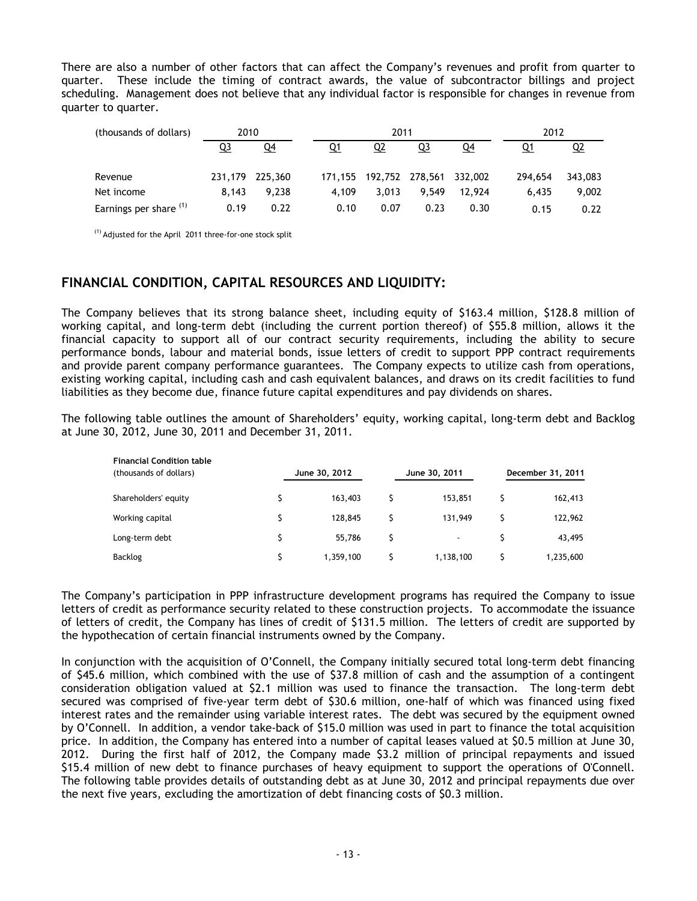There are also a number of other factors that can affect the Company's revenues and profit from quarter to quarter. These include the timing of contract awards, the value of subcontractor billings and project scheduling. Management does not believe that any individual factor is responsible for changes in revenue from quarter to quarter.

| (thousands of dollars) | 2010  |                 | 2011    |           |                         |        |  | 2012    |           |
|------------------------|-------|-----------------|---------|-----------|-------------------------|--------|--|---------|-----------|
|                        | Q3    | Q4              | Q1      | <u>Q2</u> | <u>Q3</u>               | Q4     |  | Q1      | <u>Q2</u> |
| Revenue                |       | 231,179 225,360 | 171.155 |           | 192,752 278,561 332,002 |        |  | 294,654 | 343,083   |
| Net income             | 8.143 | 9.238           | 4.109   | 3.013     | 9.549                   | 12.924 |  | 6.435   | 9,002     |
| Earnings per share (1) | 0.19  | 0.22            | 0.10    | 0.07      | 0.23                    | 0.30   |  | 0.15    | 0.22      |

(1) Adjusted for the April 2011 three-for-one stock split

# <span id="page-12-0"></span>**FINANCIAL CONDITION, CAPITAL RESOURCES AND LIQUIDITY:**

The Company believes that its strong balance sheet, including equity of \$163.4 million, \$128.8 million of working capital, and long-term debt (including the current portion thereof) of \$55.8 million, allows it the financial capacity to support all of our contract security requirements, including the ability to secure performance bonds, labour and material bonds, issue letters of credit to support PPP contract requirements and provide parent company performance guarantees. The Company expects to utilize cash from operations, existing working capital, including cash and cash equivalent balances, and draws on its credit facilities to fund liabilities as they become due, finance future capital expenditures and pay dividends on shares.

The following table outlines the amount of Shareholders' equity, working capital, long-term debt and Backlog at June 30, 2012, June 30, 2011 and December 31, 2011.

| <b>Financial Condition table</b><br>(thousands of dollars) | June 30, 2012 |   | June 30, 2011            | December 31, 2011 |
|------------------------------------------------------------|---------------|---|--------------------------|-------------------|
|                                                            |               |   |                          |                   |
| Shareholders' equity                                       | 163,403       |   | 153.851                  | 162,413           |
| Working capital                                            | 128,845       |   | 131,949                  | 122,962           |
| Long-term debt                                             | \$<br>55.786  | Ś | $\overline{\phantom{a}}$ | 43,495            |
| Backlog                                                    | 1,359,100     |   | 1,138,100                | 1,235,600         |

The Company's participation in PPP infrastructure development programs has required the Company to issue letters of credit as performance security related to these construction projects. To accommodate the issuance of letters of credit, the Company has lines of credit of \$131.5 million. The letters of credit are supported by the hypothecation of certain financial instruments owned by the Company.

In conjunction with the acquisition of O'Connell, the Company initially secured total long-term debt financing of \$45.6 million, which combined with the use of \$37.8 million of cash and the assumption of a contingent consideration obligation valued at \$2.1 million was used to finance the transaction. The long-term debt secured was comprised of five-year term debt of \$30.6 million, one-half of which was financed using fixed interest rates and the remainder using variable interest rates. The debt was secured by the equipment owned by O'Connell. In addition, a vendor take-back of \$15.0 million was used in part to finance the total acquisition price. In addition, the Company has entered into a number of capital leases valued at \$0.5 million at June 30, 2012. During the first half of 2012, the Company made \$3.2 million of principal repayments and issued \$15.4 million of new debt to finance purchases of heavy equipment to support the operations of O'Connell. The following table provides details of outstanding debt as at June 30, 2012 and principal repayments due over the next five years, excluding the amortization of debt financing costs of \$0.3 million.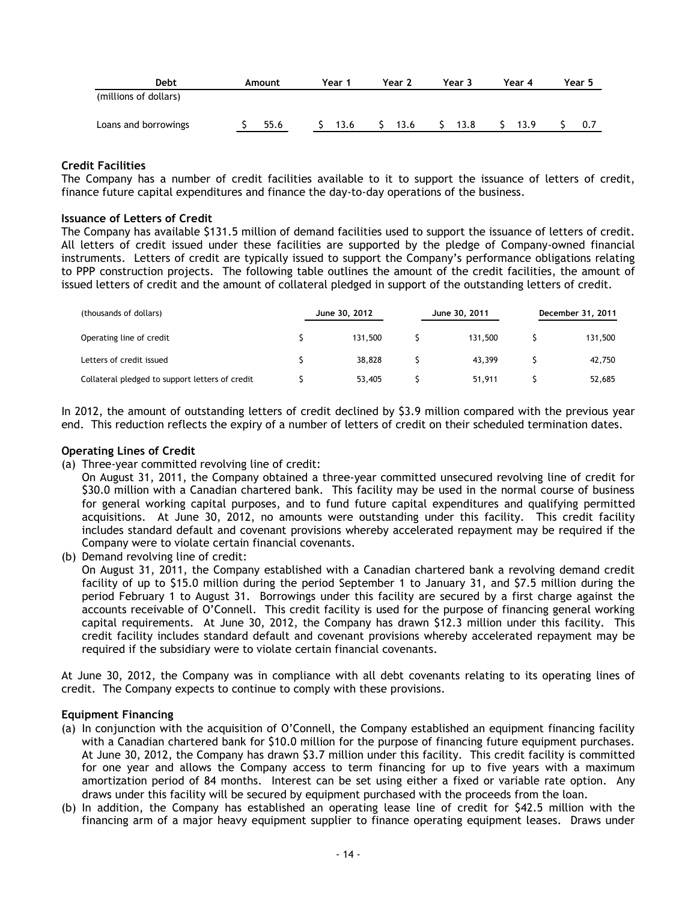| Debt                  | Amount | Year 1 | Year 2 | Year 3 | Year 4 | Year 5 |
|-----------------------|--------|--------|--------|--------|--------|--------|
| (millions of dollars) |        |        |        |        |        |        |
| Loans and borrowings  | 55.6   | 13.6   | 13.6   | 13.8   | 13.9   | 0.7    |

## **Credit Facilities**

The Company has a number of credit facilities available to it to support the issuance of letters of credit, finance future capital expenditures and finance the day-to-day operations of the business.

## **Issuance of Letters of Credit**

The Company has available \$131.5 million of demand facilities used to support the issuance of letters of credit. All letters of credit issued under these facilities are supported by the pledge of Company-owned financial instruments. Letters of credit are typically issued to support the Company's performance obligations relating to PPP construction projects. The following table outlines the amount of the credit facilities, the amount of issued letters of credit and the amount of collateral pledged in support of the outstanding letters of credit.

| (thousands of dollars)                          |  | June 30, 2012 | June 30, 2011 | December 31, 2011 |         |  |
|-------------------------------------------------|--|---------------|---------------|-------------------|---------|--|
| Operating line of credit                        |  | 131,500       | 131,500       |                   | 131,500 |  |
| Letters of credit issued                        |  | 38,828        | 43.399        |                   | 42,750  |  |
| Collateral pledged to support letters of credit |  | 53,405        | 51,911        |                   | 52,685  |  |

In 2012, the amount of outstanding letters of credit declined by \$3.9 million compared with the previous year end. This reduction reflects the expiry of a number of letters of credit on their scheduled termination dates.

## **Operating Lines of Credit**

(a) Three-year committed revolving line of credit:

On August 31, 2011, the Company obtained a three-year committed unsecured revolving line of credit for \$30.0 million with a Canadian chartered bank. This facility may be used in the normal course of business for general working capital purposes, and to fund future capital expenditures and qualifying permitted acquisitions. At June 30, 2012, no amounts were outstanding under this facility. This credit facility includes standard default and covenant provisions whereby accelerated repayment may be required if the Company were to violate certain financial covenants.

(b) Demand revolving line of credit:

On August 31, 2011, the Company established with a Canadian chartered bank a revolving demand credit facility of up to \$15.0 million during the period September 1 to January 31, and \$7.5 million during the period February 1 to August 31. Borrowings under this facility are secured by a first charge against the accounts receivable of O'Connell. This credit facility is used for the purpose of financing general working capital requirements. At June 30, 2012, the Company has drawn \$12.3 million under this facility. This credit facility includes standard default and covenant provisions whereby accelerated repayment may be required if the subsidiary were to violate certain financial covenants.

At June 30, 2012, the Company was in compliance with all debt covenants relating to its operating lines of credit. The Company expects to continue to comply with these provisions.

## **Equipment Financing**

- (a) In conjunction with the acquisition of O'Connell, the Company established an equipment financing facility with a Canadian chartered bank for \$10.0 million for the purpose of financing future equipment purchases. At June 30, 2012, the Company has drawn \$3.7 million under this facility. This credit facility is committed for one year and allows the Company access to term financing for up to five years with a maximum amortization period of 84 months. Interest can be set using either a fixed or variable rate option. Any draws under this facility will be secured by equipment purchased with the proceeds from the loan.
- (b) In addition, the Company has established an operating lease line of credit for \$42.5 million with the financing arm of a major heavy equipment supplier to finance operating equipment leases. Draws under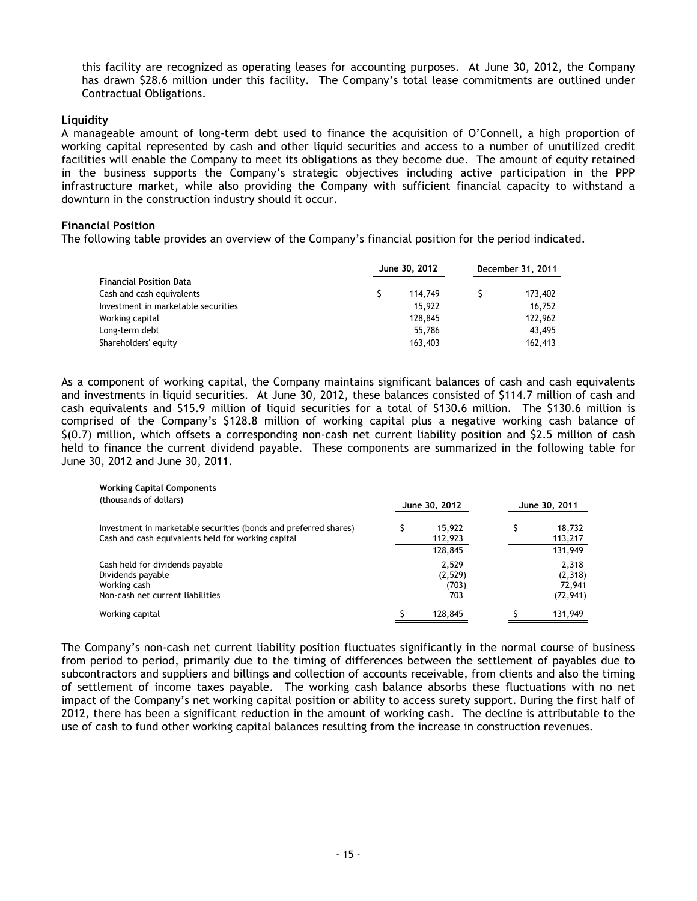this facility are recognized as operating leases for accounting purposes. At June 30, 2012, the Company has drawn \$28.6 million under this facility. The Company's total lease commitments are outlined under Contractual Obligations.

## **Liquidity**

A manageable amount of long-term debt used to finance the acquisition of O'Connell, a high proportion of working capital represented by cash and other liquid securities and access to a number of unutilized credit facilities will enable the Company to meet its obligations as they become due. The amount of equity retained in the business supports the Company's strategic objectives including active participation in the PPP infrastructure market, while also providing the Company with sufficient financial capacity to withstand a downturn in the construction industry should it occur.

## **Financial Position**

The following table provides an overview of the Company's financial position for the period indicated.

|                                     | June 30, 2012 | December 31, 2011 |  |         |  |
|-------------------------------------|---------------|-------------------|--|---------|--|
| <b>Financial Position Data</b>      |               |                   |  |         |  |
| Cash and cash equivalents           |               | 114.749           |  | 173,402 |  |
| Investment in marketable securities |               | 15,922            |  | 16.752  |  |
| Working capital                     |               | 128,845           |  | 122,962 |  |
| Long-term debt                      |               | 55,786            |  | 43,495  |  |
| Shareholders' equity                |               | 163,403           |  | 162,413 |  |

As a component of working capital, the Company maintains significant balances of cash and cash equivalents and investments in liquid securities. At June 30, 2012, these balances consisted of \$114.7 million of cash and cash equivalents and \$15.9 million of liquid securities for a total of \$130.6 million. The \$130.6 million is comprised of the Company's \$128.8 million of working capital plus a negative working cash balance of \$(0.7) million, which offsets a corresponding non-cash net current liability position and \$2.5 million of cash held to finance the current dividend payable. These components are summarized in the following table for June 30, 2012 and June 30, 2011.

| <b>Working Capital Components</b><br>(thousands of dollars)                                                            | June 30, 2012                    | June 30, 2011 |                                         |  |
|------------------------------------------------------------------------------------------------------------------------|----------------------------------|---------------|-----------------------------------------|--|
| Investment in marketable securities (bonds and preferred shares)<br>Cash and cash equivalents held for working capital | 15,922<br>112,923<br>128,845     |               | 18,732<br>113,217<br>131,949            |  |
| Cash held for dividends payable<br>Dividends payable<br>Working cash<br>Non-cash net current liabilities               | 2,529<br>(2,529)<br>(703)<br>703 |               | 2,318<br>(2,318)<br>72.941<br>(72, 941) |  |
| Working capital                                                                                                        | 128,845                          |               | 131,949                                 |  |

The Company's non-cash net current liability position fluctuates significantly in the normal course of business from period to period, primarily due to the timing of differences between the settlement of payables due to subcontractors and suppliers and billings and collection of accounts receivable, from clients and also the timing of settlement of income taxes payable. The working cash balance absorbs these fluctuations with no net impact of the Company's net working capital position or ability to access surety support. During the first half of 2012, there has been a significant reduction in the amount of working cash. The decline is attributable to the use of cash to fund other working capital balances resulting from the increase in construction revenues.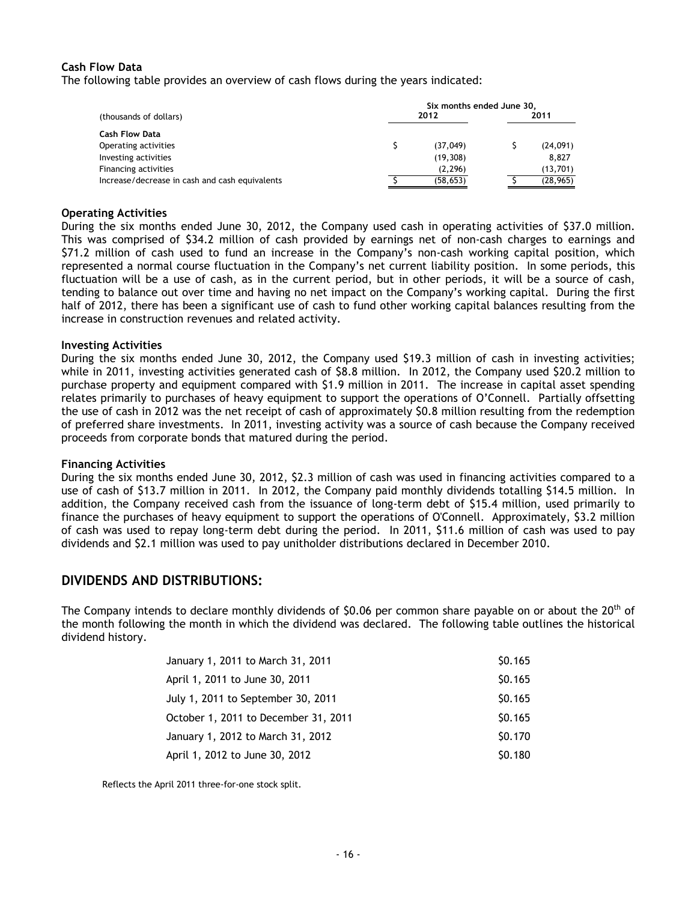## **Cash Flow Data**

The following table provides an overview of cash flows during the years indicated:

|                                                | Six months ended June 30, |           |  |           |  |  |  |
|------------------------------------------------|---------------------------|-----------|--|-----------|--|--|--|
| (thousands of dollars)                         |                           | 2012      |  | 2011      |  |  |  |
| <b>Cash Flow Data</b>                          |                           |           |  |           |  |  |  |
| Operating activities                           |                           | (37.049)  |  | (24,091)  |  |  |  |
| Investing activities                           |                           | (19, 308) |  | 8.827     |  |  |  |
| Financing activities                           |                           | (2, 296)  |  | (13,701)  |  |  |  |
| Increase/decrease in cash and cash equivalents |                           | (58, 653) |  | (28, 965) |  |  |  |

#### **Operating Activities**

During the six months ended June 30, 2012, the Company used cash in operating activities of \$37.0 million. This was comprised of \$34.2 million of cash provided by earnings net of non-cash charges to earnings and \$71.2 million of cash used to fund an increase in the Company's non-cash working capital position, which represented a normal course fluctuation in the Company's net current liability position. In some periods, this fluctuation will be a use of cash, as in the current period, but in other periods, it will be a source of cash, tending to balance out over time and having no net impact on the Company's working capital. During the first half of 2012, there has been a significant use of cash to fund other working capital balances resulting from the increase in construction revenues and related activity.

#### **Investing Activities**

During the six months ended June 30, 2012, the Company used \$19.3 million of cash in investing activities; while in 2011, investing activities generated cash of \$8.8 million. In 2012, the Company used \$20.2 million to purchase property and equipment compared with \$1.9 million in 2011. The increase in capital asset spending relates primarily to purchases of heavy equipment to support the operations of O'Connell. Partially offsetting the use of cash in 2012 was the net receipt of cash of approximately \$0.8 million resulting from the redemption of preferred share investments. In 2011, investing activity was a source of cash because the Company received proceeds from corporate bonds that matured during the period.

## **Financing Activities**

During the six months ended June 30, 2012, \$2.3 million of cash was used in financing activities compared to a use of cash of \$13.7 million in 2011. In 2012, the Company paid monthly dividends totalling \$14.5 million. In addition, the Company received cash from the issuance of long-term debt of \$15.4 million, used primarily to finance the purchases of heavy equipment to support the operations of O'Connell. Approximately, \$3.2 million of cash was used to repay long-term debt during the period. In 2011, \$11.6 million of cash was used to pay dividends and \$2.1 million was used to pay unitholder distributions declared in December 2010.

## <span id="page-15-0"></span>**DIVIDENDS AND DISTRIBUTIONS:**

The Company intends to declare monthly dividends of \$0.06 per common share payable on or about the 20<sup>th</sup> of the month following the month in which the dividend was declared. The following table outlines the historical dividend history.

| January 1, 2011 to March 31, 2011    | \$0.165 |
|--------------------------------------|---------|
| April 1, 2011 to June 30, 2011       | \$0.165 |
| July 1, 2011 to September 30, 2011   | \$0.165 |
| October 1, 2011 to December 31, 2011 | \$0.165 |
| January 1, 2012 to March 31, 2012    | \$0.170 |
| April 1, 2012 to June 30, 2012       | \$0.180 |

Reflects the April 2011 three-for-one stock split.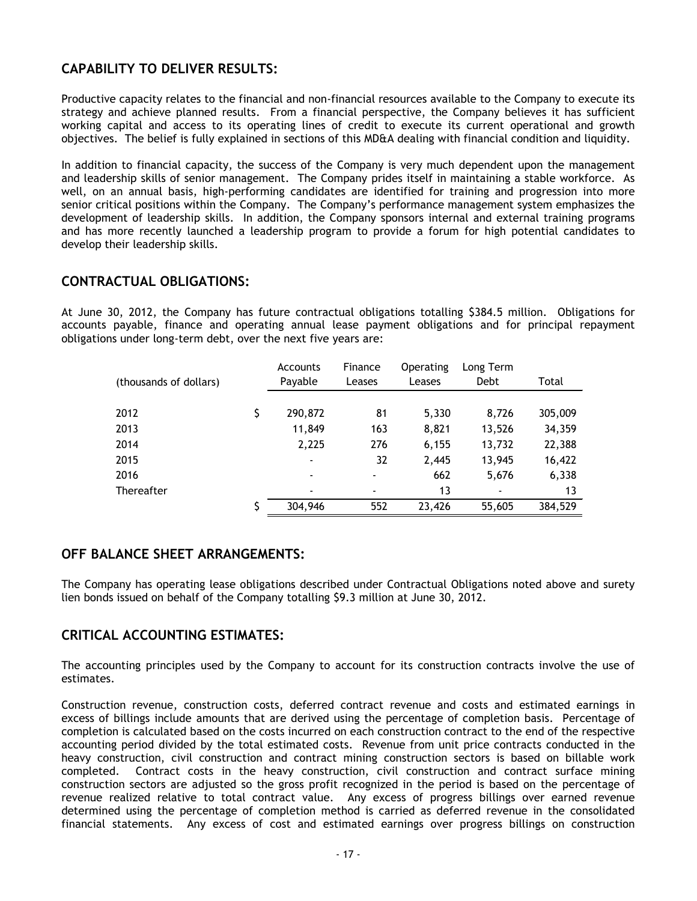# <span id="page-16-0"></span>**CAPABILITY TO DELIVER RESULTS:**

Productive capacity relates to the financial and non-financial resources available to the Company to execute its strategy and achieve planned results. From a financial perspective, the Company believes it has sufficient working capital and access to its operating lines of credit to execute its current operational and growth objectives. The belief is fully explained in sections of this MD&A dealing with financial condition and liquidity.

In addition to financial capacity, the success of the Company is very much dependent upon the management and leadership skills of senior management. The Company prides itself in maintaining a stable workforce. As well, on an annual basis, high-performing candidates are identified for training and progression into more senior critical positions within the Company. The Company's performance management system emphasizes the development of leadership skills. In addition, the Company sponsors internal and external training programs and has more recently launched a leadership program to provide a forum for high potential candidates to develop their leadership skills.

# <span id="page-16-1"></span>**CONTRACTUAL OBLIGATIONS:**

At June 30, 2012, the Company has future contractual obligations totalling \$384.5 million. Obligations for accounts payable, finance and operating annual lease payment obligations and for principal repayment obligations under long-term debt, over the next five years are:

|                        | <b>Accounts</b>          | Finance | <b>Operating</b> | Long Term      |         |
|------------------------|--------------------------|---------|------------------|----------------|---------|
| (thousands of dollars) | Payable                  | Leases  | Leases           | Debt           | Total   |
|                        |                          |         |                  |                |         |
| 2012                   | \$<br>290,872            | 81      | 5,330            | 8,726          | 305,009 |
| 2013                   | 11,849                   | 163     | 8,821            | 13,526         | 34,359  |
| 2014                   | 2,225                    | 276     | 6,155            | 13,732         | 22,388  |
| 2015                   | $\overline{\phantom{0}}$ | 32      | 2,445            | 13,945         | 16,422  |
| 2016                   | $\overline{\phantom{0}}$ | ۰       | 662              | 5,676          | 6,338   |
| Thereafter             | $\overline{\phantom{a}}$ | ۰       | 13               | $\blacksquare$ | 13      |
|                        | \$<br>304,946            | 552     | 23,426           | 55,605         | 384,529 |

# <span id="page-16-2"></span>**OFF BALANCE SHEET ARRANGEMENTS:**

The Company has operating lease obligations described under Contractual Obligations noted above and surety lien bonds issued on behalf of the Company totalling \$9.3 million at June 30, 2012.

# <span id="page-16-3"></span>**CRITICAL ACCOUNTING ESTIMATES:**

The accounting principles used by the Company to account for its construction contracts involve the use of estimates.

Construction revenue, construction costs, deferred contract revenue and costs and estimated earnings in excess of billings include amounts that are derived using the percentage of completion basis. Percentage of completion is calculated based on the costs incurred on each construction contract to the end of the respective accounting period divided by the total estimated costs. Revenue from unit price contracts conducted in the heavy construction, civil construction and contract mining construction sectors is based on billable work completed. Contract costs in the heavy construction, civil construction and contract surface mining construction sectors are adjusted so the gross profit recognized in the period is based on the percentage of revenue realized relative to total contract value. Any excess of progress billings over earned revenue determined using the percentage of completion method is carried as deferred revenue in the consolidated financial statements. Any excess of cost and estimated earnings over progress billings on construction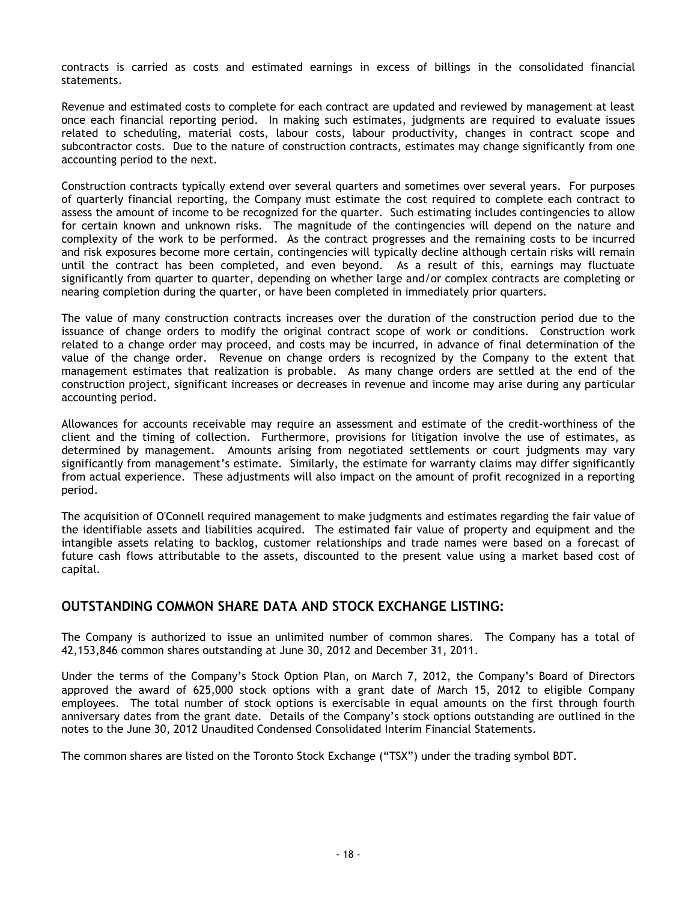contracts is carried as costs and estimated earnings in excess of billings in the consolidated financial statements.

Revenue and estimated costs to complete for each contract are updated and reviewed by management at least once each financial reporting period. In making such estimates, judgments are required to evaluate issues related to scheduling, material costs, labour costs, labour productivity, changes in contract scope and subcontractor costs. Due to the nature of construction contracts, estimates may change significantly from one accounting period to the next.

Construction contracts typically extend over several quarters and sometimes over several years. For purposes of quarterly financial reporting, the Company must estimate the cost required to complete each contract to assess the amount of income to be recognized for the quarter. Such estimating includes contingencies to allow for certain known and unknown risks. The magnitude of the contingencies will depend on the nature and complexity of the work to be performed. As the contract progresses and the remaining costs to be incurred and risk exposures become more certain, contingencies will typically decline although certain risks will remain until the contract has been completed, and even beyond. As a result of this, earnings may fluctuate significantly from quarter to quarter, depending on whether large and/or complex contracts are completing or nearing completion during the quarter, or have been completed in immediately prior quarters.

The value of many construction contracts increases over the duration of the construction period due to the issuance of change orders to modify the original contract scope of work or conditions. Construction work related to a change order may proceed, and costs may be incurred, in advance of final determination of the value of the change order. Revenue on change orders is recognized by the Company to the extent that management estimates that realization is probable. As many change orders are settled at the end of the construction project, significant increases or decreases in revenue and income may arise during any particular accounting period.

Allowances for accounts receivable may require an assessment and estimate of the credit-worthiness of the client and the timing of collection. Furthermore, provisions for litigation involve the use of estimates, as determined by management. Amounts arising from negotiated settlements or court judgments may vary significantly from management's estimate. Similarly, the estimate for warranty claims may differ significantly from actual experience. These adjustments will also impact on the amount of profit recognized in a reporting period.

The acquisition of O'Connell required management to make judgments and estimates regarding the fair value of the identifiable assets and liabilities acquired. The estimated fair value of property and equipment and the intangible assets relating to backlog, customer relationships and trade names were based on a forecast of future cash flows attributable to the assets, discounted to the present value using a market based cost of capital.

# <span id="page-17-0"></span>**OUTSTANDING COMMON SHARE DATA AND STOCK EXCHANGE LISTING:**

The Company is authorized to issue an unlimited number of common shares. The Company has a total of 42,153,846 common shares outstanding at June 30, 2012 and December 31, 2011.

Under the terms of the Company's Stock Option Plan, on March 7, 2012, the Company's Board of Directors approved the award of 625,000 stock options with a grant date of March 15, 2012 to eligible Company employees. The total number of stock options is exercisable in equal amounts on the first through fourth anniversary dates from the grant date. Details of the Company's stock options outstanding are outlined in the notes to the June 30, 2012 Unaudited Condensed Consolidated Interim Financial Statements.

<span id="page-17-1"></span>The common shares are listed on the Toronto Stock Exchange ("TSX") under the trading symbol BDT.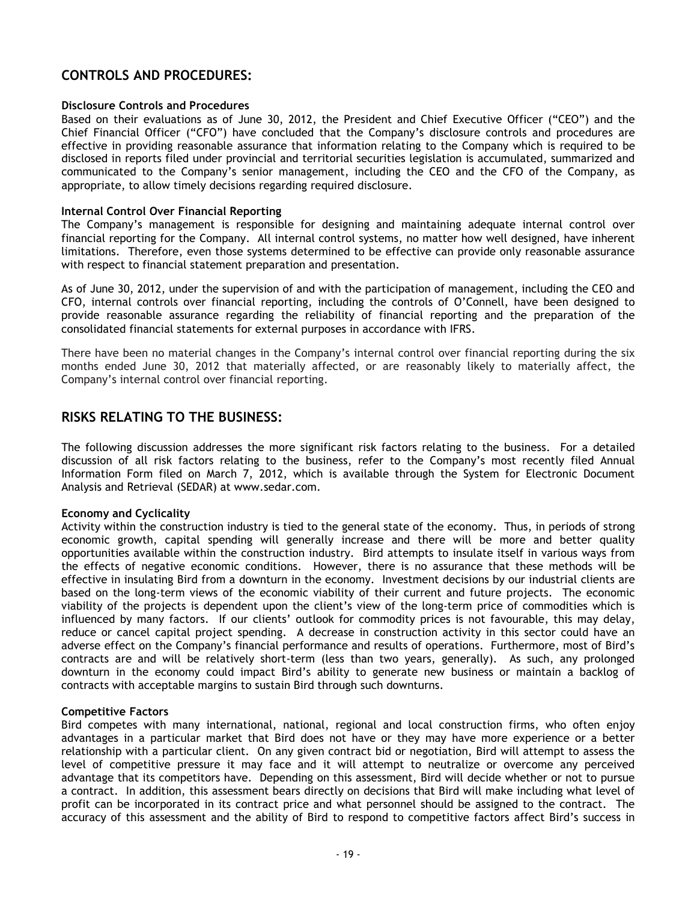# **CONTROLS AND PROCEDURES:**

## **Disclosure Controls and Procedures**

Based on their evaluations as of June 30, 2012, the President and Chief Executive Officer ("CEO") and the Chief Financial Officer ("CFO") have concluded that the Company's disclosure controls and procedures are effective in providing reasonable assurance that information relating to the Company which is required to be disclosed in reports filed under provincial and territorial securities legislation is accumulated, summarized and communicated to the Company's senior management, including the CEO and the CFO of the Company, as appropriate, to allow timely decisions regarding required disclosure.

## **Internal Control Over Financial Reporting**

The Company's management is responsible for designing and maintaining adequate internal control over financial reporting for the Company. All internal control systems, no matter how well designed, have inherent limitations. Therefore, even those systems determined to be effective can provide only reasonable assurance with respect to financial statement preparation and presentation.

As of June 30, 2012, under the supervision of and with the participation of management, including the CEO and CFO, internal controls over financial reporting, including the controls of O'Connell, have been designed to provide reasonable assurance regarding the reliability of financial reporting and the preparation of the consolidated financial statements for external purposes in accordance with IFRS.

There have been no material changes in the Company's internal control over financial reporting during the six months ended June 30, 2012 that materially affected, or are reasonably likely to materially affect, the Company's internal control over financial reporting.

# <span id="page-18-0"></span>**RISKS RELATING TO THE BUSINESS:**

The following discussion addresses the more significant risk factors relating to the business. For a detailed discussion of all risk factors relating to the business, refer to the Company's most recently filed Annual Information Form filed on March 7, 2012, which is available through the System for Electronic Document Analysis and Retrieval (SEDAR) at www.sedar.com.

## **Economy and Cyclicality**

Activity within the construction industry is tied to the general state of the economy. Thus, in periods of strong economic growth, capital spending will generally increase and there will be more and better quality opportunities available within the construction industry. Bird attempts to insulate itself in various ways from the effects of negative economic conditions. However, there is no assurance that these methods will be effective in insulating Bird from a downturn in the economy. Investment decisions by our industrial clients are based on the long-term views of the economic viability of their current and future projects. The economic viability of the projects is dependent upon the client's view of the long-term price of commodities which is influenced by many factors. If our clients' outlook for commodity prices is not favourable, this may delay, reduce or cancel capital project spending. A decrease in construction activity in this sector could have an adverse effect on the Company's financial performance and results of operations. Furthermore, most of Bird's contracts are and will be relatively short-term (less than two years, generally). As such, any prolonged downturn in the economy could impact Bird's ability to generate new business or maintain a backlog of contracts with acceptable margins to sustain Bird through such downturns.

## **Competitive Factors**

Bird competes with many international, national, regional and local construction firms, who often enjoy advantages in a particular market that Bird does not have or they may have more experience or a better relationship with a particular client. On any given contract bid or negotiation, Bird will attempt to assess the level of competitive pressure it may face and it will attempt to neutralize or overcome any perceived advantage that its competitors have. Depending on this assessment, Bird will decide whether or not to pursue a contract. In addition, this assessment bears directly on decisions that Bird will make including what level of profit can be incorporated in its contract price and what personnel should be assigned to the contract. The accuracy of this assessment and the ability of Bird to respond to competitive factors affect Bird's success in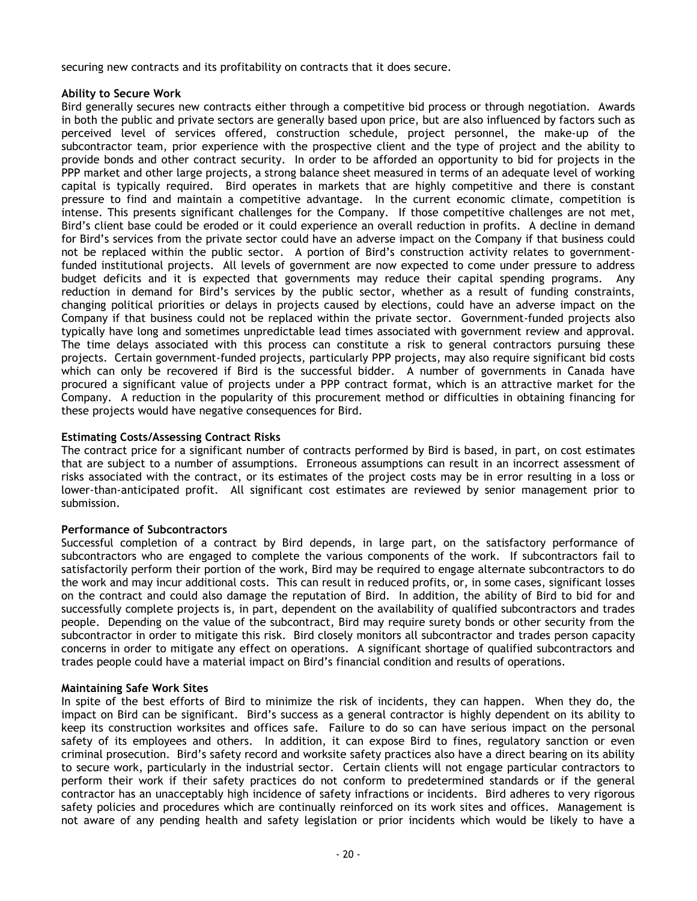securing new contracts and its profitability on contracts that it does secure.

## **Ability to Secure Work**

Bird generally secures new contracts either through a competitive bid process or through negotiation. Awards in both the public and private sectors are generally based upon price, but are also influenced by factors such as perceived level of services offered, construction schedule, project personnel, the make-up of the subcontractor team, prior experience with the prospective client and the type of project and the ability to provide bonds and other contract security. In order to be afforded an opportunity to bid for projects in the PPP market and other large projects, a strong balance sheet measured in terms of an adequate level of working capital is typically required. Bird operates in markets that are highly competitive and there is constant pressure to find and maintain a competitive advantage. In the current economic climate, competition is intense. This presents significant challenges for the Company. If those competitive challenges are not met, Bird's client base could be eroded or it could experience an overall reduction in profits. A decline in demand for Bird's services from the private sector could have an adverse impact on the Company if that business could not be replaced within the public sector. A portion of Bird's construction activity relates to governmentfunded institutional projects. All levels of government are now expected to come under pressure to address budget deficits and it is expected that governments may reduce their capital spending programs. Any reduction in demand for Bird's services by the public sector, whether as a result of funding constraints, changing political priorities or delays in projects caused by elections, could have an adverse impact on the Company if that business could not be replaced within the private sector. Government-funded projects also typically have long and sometimes unpredictable lead times associated with government review and approval. The time delays associated with this process can constitute a risk to general contractors pursuing these projects. Certain government-funded projects, particularly PPP projects, may also require significant bid costs which can only be recovered if Bird is the successful bidder. A number of governments in Canada have procured a significant value of projects under a PPP contract format, which is an attractive market for the Company. A reduction in the popularity of this procurement method or difficulties in obtaining financing for these projects would have negative consequences for Bird.

## **Estimating Costs/Assessing Contract Risks**

The contract price for a significant number of contracts performed by Bird is based, in part, on cost estimates that are subject to a number of assumptions. Erroneous assumptions can result in an incorrect assessment of risks associated with the contract, or its estimates of the project costs may be in error resulting in a loss or lower-than-anticipated profit. All significant cost estimates are reviewed by senior management prior to submission.

## **Performance of Subcontractors**

Successful completion of a contract by Bird depends, in large part, on the satisfactory performance of subcontractors who are engaged to complete the various components of the work. If subcontractors fail to satisfactorily perform their portion of the work, Bird may be required to engage alternate subcontractors to do the work and may incur additional costs. This can result in reduced profits, or, in some cases, significant losses on the contract and could also damage the reputation of Bird. In addition, the ability of Bird to bid for and successfully complete projects is, in part, dependent on the availability of qualified subcontractors and trades people. Depending on the value of the subcontract, Bird may require surety bonds or other security from the subcontractor in order to mitigate this risk. Bird closely monitors all subcontractor and trades person capacity concerns in order to mitigate any effect on operations. A significant shortage of qualified subcontractors and trades people could have a material impact on Bird's financial condition and results of operations.

## **Maintaining Safe Work Sites**

In spite of the best efforts of Bird to minimize the risk of incidents, they can happen. When they do, the impact on Bird can be significant. Bird's success as a general contractor is highly dependent on its ability to keep its construction worksites and offices safe. Failure to do so can have serious impact on the personal safety of its employees and others. In addition, it can expose Bird to fines, regulatory sanction or even criminal prosecution. Bird's safety record and worksite safety practices also have a direct bearing on its ability to secure work, particularly in the industrial sector. Certain clients will not engage particular contractors to perform their work if their safety practices do not conform to predetermined standards or if the general contractor has an unacceptably high incidence of safety infractions or incidents. Bird adheres to very rigorous safety policies and procedures which are continually reinforced on its work sites and offices. Management is not aware of any pending health and safety legislation or prior incidents which would be likely to have a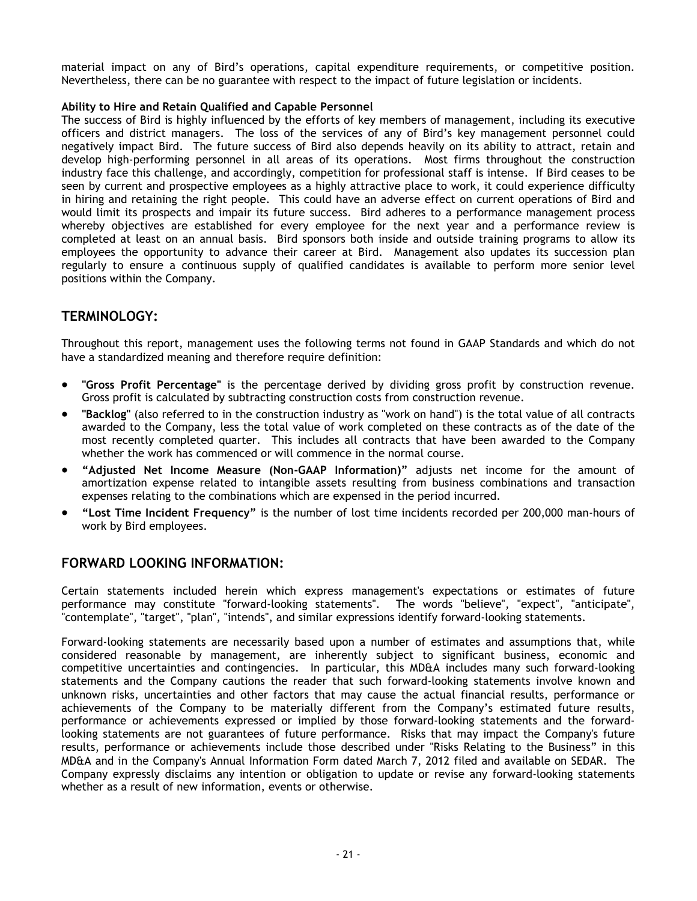material impact on any of Bird's operations, capital expenditure requirements, or competitive position. Nevertheless, there can be no guarantee with respect to the impact of future legislation or incidents.

## **Ability to Hire and Retain Qualified and Capable Personnel**

The success of Bird is highly influenced by the efforts of key members of management, including its executive officers and district managers. The loss of the services of any of Bird's key management personnel could negatively impact Bird. The future success of Bird also depends heavily on its ability to attract, retain and develop high-performing personnel in all areas of its operations. Most firms throughout the construction industry face this challenge, and accordingly, competition for professional staff is intense. If Bird ceases to be seen by current and prospective employees as a highly attractive place to work, it could experience difficulty in hiring and retaining the right people. This could have an adverse effect on current operations of Bird and would limit its prospects and impair its future success. Bird adheres to a performance management process whereby objectives are established for every employee for the next year and a performance review is completed at least on an annual basis. Bird sponsors both inside and outside training programs to allow its employees the opportunity to advance their career at Bird. Management also updates its succession plan regularly to ensure a continuous supply of qualified candidates is available to perform more senior level positions within the Company.

# <span id="page-20-0"></span>**TERMINOLOGY:**

Throughout this report, management uses the following terms not found in GAAP Standards and which do not have a standardized meaning and therefore require definition:

- **"Gross Profit Percentage"** is the percentage derived by dividing gross profit by construction revenue. Gross profit is calculated by subtracting construction costs from construction revenue.
- **"Backlog"** (also referred to in the construction industry as "work on hand") is the total value of all contracts awarded to the Company, less the total value of work completed on these contracts as of the date of the most recently completed quarter. This includes all contracts that have been awarded to the Company whether the work has commenced or will commence in the normal course.
- **"Adjusted Net Income Measure (Non-GAAP Information)"** adjusts net income for the amount of amortization expense related to intangible assets resulting from business combinations and transaction expenses relating to the combinations which are expensed in the period incurred.
- **"Lost Time Incident Frequency"** is the number of lost time incidents recorded per 200,000 man-hours of work by Bird employees.

# <span id="page-20-1"></span>**FORWARD LOOKING INFORMATION:**

Certain statements included herein which express management's expectations or estimates of future performance may constitute "forward-looking statements". The words "believe", "expect", "anticipate", "contemplate", "target", "plan", "intends", and similar expressions identify forward-looking statements.

Forward-looking statements are necessarily based upon a number of estimates and assumptions that, while considered reasonable by management, are inherently subject to significant business, economic and competitive uncertainties and contingencies. In particular, this MD&A includes many such forward-looking statements and the Company cautions the reader that such forward-looking statements involve known and unknown risks, uncertainties and other factors that may cause the actual financial results, performance or achievements of the Company to be materially different from the Company's estimated future results, performance or achievements expressed or implied by those forward-looking statements and the forwardlooking statements are not guarantees of future performance. Risks that may impact the Company's future results, performance or achievements include those described under "Risks Relating to the Business" in this MD&A and in the Company's Annual Information Form dated March 7, 2012 filed and available on SEDAR. The Company expressly disclaims any intention or obligation to update or revise any forward-looking statements whether as a result of new information, events or otherwise.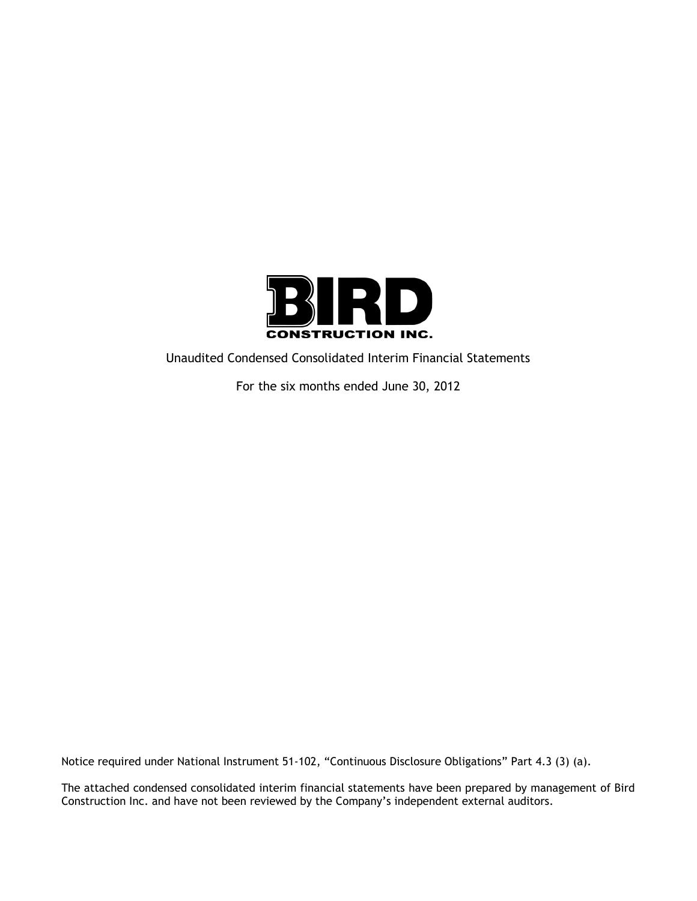

Unaudited Condensed Consolidated Interim Financial Statements

For the six months ended June 30, 2012

Notice required under National Instrument 51-102, "Continuous Disclosure Obligations" Part 4.3 (3) (a).

The attached condensed consolidated interim financial statements have been prepared by management of Bird Construction Inc. and have not been reviewed by the Company's independent external auditors.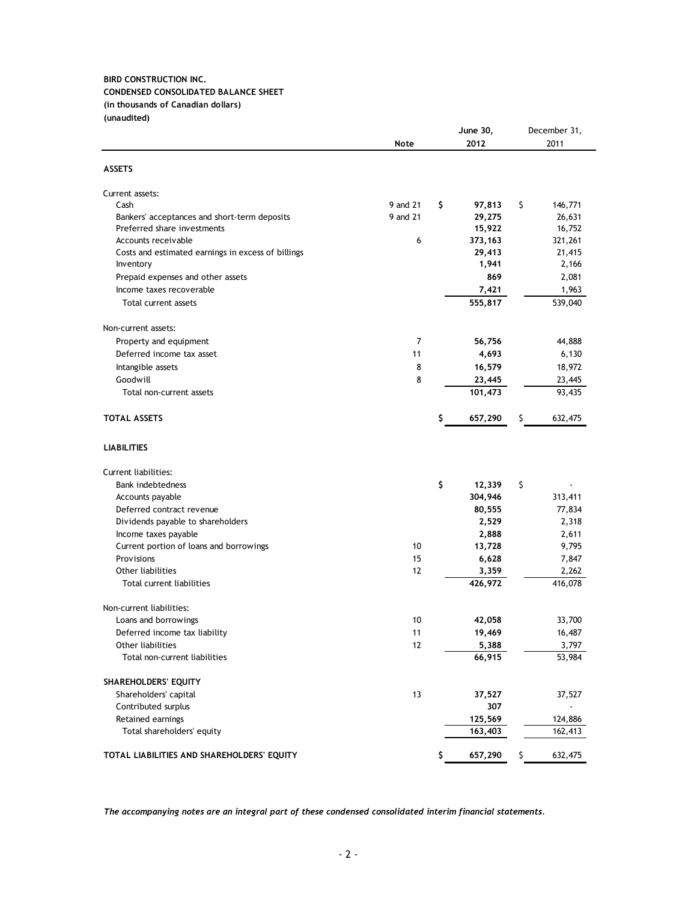## **BIRD CONSTRUCTION INC. CONDENSED CONSOLIDATED BALANCE SHEET (in thousands of Canadian dollars) (unaudited)**

|                                                    |             |    | June 30, | December 31,  |
|----------------------------------------------------|-------------|----|----------|---------------|
|                                                    | <b>Note</b> |    | 2012     | 2011          |
| <b>ASSETS</b>                                      |             |    |          |               |
| Current assets:                                    |             |    |          |               |
| Cash                                               | 9 and 21    | \$ | 97,813   | \$<br>146,771 |
| Bankers' acceptances and short-term deposits       | 9 and 21    |    | 29,275   | 26,631        |
| Preferred share investments                        |             |    | 15,922   | 16,752        |
| Accounts receivable                                | 6           |    | 373, 163 | 321,261       |
| Costs and estimated earnings in excess of billings |             |    | 29,413   | 21,415        |
| Inventory                                          |             |    | 1,941    | 2,166         |
| Prepaid expenses and other assets                  |             |    | 869      | 2,081         |
| Income taxes recoverable                           |             |    | 7,421    | 1,963         |
| Total current assets                               |             |    | 555,817  | 539,040       |
| Non-current assets:                                |             |    |          |               |
| Property and equipment                             | 7           |    | 56,756   | 44,888        |
| Deferred income tax asset                          | 11          |    | 4,693    | 6,130         |
| Intangible assets                                  | 8           |    | 16,579   | 18,972        |
| Goodwill                                           | 8           |    | 23,445   | 23,445        |
| Total non-current assets                           |             |    | 101,473  | 93,435        |
| <b>TOTAL ASSETS</b>                                |             | \$ | 657,290  | \$<br>632,475 |
| <b>LIABILITIES</b>                                 |             |    |          |               |
| Current liabilities:                               |             |    |          |               |
| <b>Bank indebtedness</b>                           |             | \$ | 12,339   | \$            |
| Accounts payable                                   |             |    | 304,946  | 313,411       |
| Deferred contract revenue                          |             |    | 80,555   | 77,834        |
| Dividends payable to shareholders                  |             |    | 2,529    | 2,318         |
| Income taxes payable                               |             |    | 2,888    | 2,611         |
| Current portion of loans and borrowings            | 10          |    | 13,728   | 9,795         |
| Provisions                                         | 15          |    | 6,628    | 7,847         |
| Other liabilities                                  | 12          |    | 3,359    | 2,262         |
| Total current liabilities                          |             |    | 426,972  | 416,078       |
| Non-current liabilities:                           |             |    |          |               |
| Loans and borrowings                               | 10          |    | 42,058   | 33,700        |
| Deferred income tax liability                      | 11          |    | 19,469   | 16,487        |
| Other liabilities                                  | 12          |    | 5,388    | 3,797         |
| Total non-current liabilities                      |             |    | 66,915   | 53,984        |
| <b>SHAREHOLDERS' EQUITY</b>                        |             |    |          |               |
| Shareholders' capital                              | 13          |    | 37,527   | 37,527        |
| Contributed surplus                                |             |    | 307      |               |
| Retained earnings                                  |             |    | 125,569  | 124,886       |
| Total shareholders' equity                         |             |    | 163,403  | 162,413       |
| TOTAL LIABILITIES AND SHAREHOLDERS' EQUITY         |             | \$ | 657,290  | \$<br>632,475 |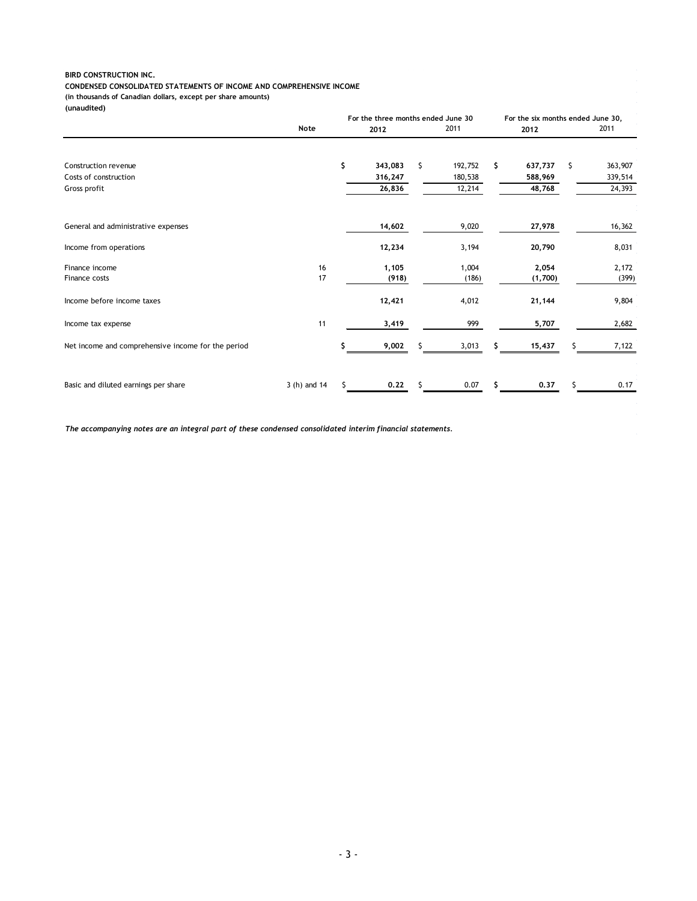#### **BIRD CONSTRUCTION INC.**

#### **CONDENSED CONSOLIDATED STATEMENTS OF INCOME AND COMPREHENSIVE INCOME**

**(in thousands of Canadian dollars, except per share amounts)**

**(unaudited)**

|                                                    |              |    | For the three months ended June 30 |    |         |     | For the six months ended June 30, |     |         |
|----------------------------------------------------|--------------|----|------------------------------------|----|---------|-----|-----------------------------------|-----|---------|
|                                                    | <b>Note</b>  |    | 2012                               |    | 2011    |     | 2012                              |     | 2011    |
|                                                    |              |    |                                    |    |         |     |                                   |     |         |
| Construction revenue                               |              | \$ | 343,083                            | \$ | 192,752 | \$  | 637,737                           | \$. | 363,907 |
| Costs of construction                              |              |    | 316,247                            |    | 180,538 |     | 588,969                           |     | 339,514 |
| Gross profit                                       |              |    | 26,836                             |    | 12,214  |     | 48,768                            |     | 24,393  |
| General and administrative expenses                |              |    | 14,602                             |    | 9,020   |     | 27,978                            |     | 16,362  |
|                                                    |              |    |                                    |    |         |     |                                   |     |         |
| Income from operations                             |              |    | 12,234                             |    | 3,194   |     | 20,790                            |     | 8,031   |
| Finance income                                     | 16           |    | 1,105                              |    | 1,004   |     | 2,054                             |     | 2,172   |
| Finance costs                                      | 17           |    | (918)                              |    | (186)   |     | (1,700)                           |     | (399)   |
| Income before income taxes                         |              |    | 12,421                             |    | 4,012   |     | 21,144                            |     | 9,804   |
| Income tax expense                                 | 11           |    | 3,419                              |    | 999     |     | 5,707                             |     | 2,682   |
| Net income and comprehensive income for the period |              | ς  | 9,002                              | S. | 3,013   | s   | 15,437                            | S   | 7,122   |
| Basic and diluted earnings per share               |              | Ś. | 0,22                               | Ś. | 0.07    | \$. | 0.37                              | Š.  | 0.17    |
|                                                    | 3 (h) and 14 |    |                                    |    |         |     |                                   |     |         |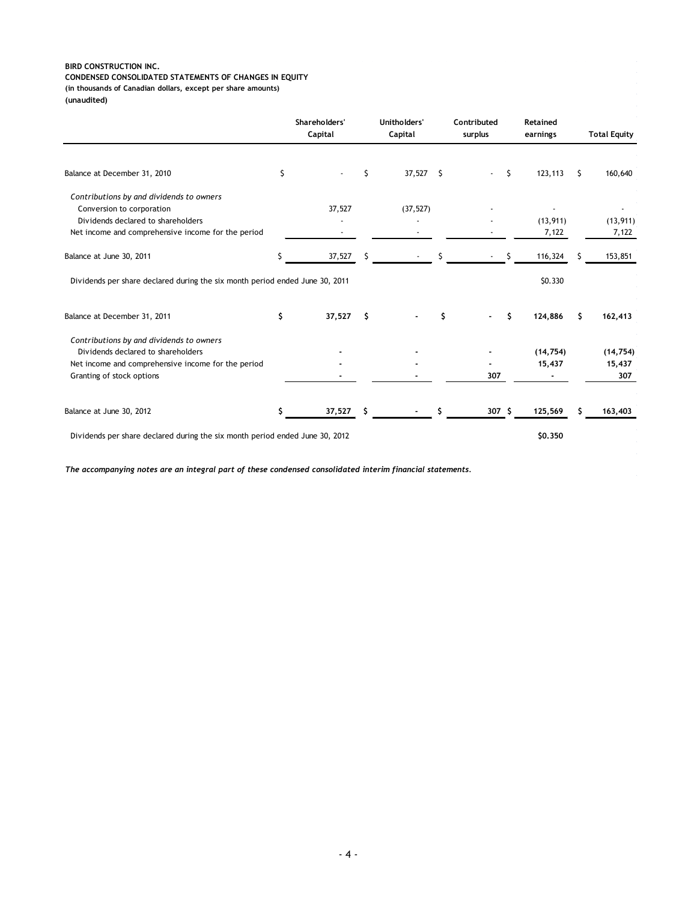#### **BIRD CONSTRUCTION INC. CONDENSED CONSOLIDATED STATEMENTS OF CHANGES IN EQUITY (in thousands of Canadian dollars, except per share amounts)**

**(unaudited)**

|                                                                              | Unitholders'<br>Shareholders'<br>Capital<br>Capital |        | Contributed<br>surplus |           | Retained<br>earnings |                  | <b>Total Equity</b> |           |    |           |
|------------------------------------------------------------------------------|-----------------------------------------------------|--------|------------------------|-----------|----------------------|------------------|---------------------|-----------|----|-----------|
| Balance at December 31, 2010                                                 | \$                                                  |        | Ś                      | 37,527    | S.                   |                  | \$                  | 123,113   | S. | 160,640   |
| Contributions by and dividends to owners                                     |                                                     |        |                        |           |                      |                  |                     |           |    |           |
| Conversion to corporation                                                    |                                                     | 37,527 |                        | (37, 527) |                      |                  |                     |           |    |           |
| Dividends declared to shareholders                                           |                                                     |        |                        |           |                      |                  |                     | (13, 911) |    | (13, 911) |
| Net income and comprehensive income for the period                           |                                                     |        |                        |           |                      |                  |                     | 7,122     |    | 7,122     |
| Balance at June 30, 2011                                                     | Ś                                                   | 37,527 | S                      |           |                      |                  |                     | 116,324   |    | 153,851   |
| Dividends per share declared during the six month period ended June 30, 2011 |                                                     |        |                        |           |                      |                  |                     | \$0.330   |    |           |
| Balance at December 31, 2011                                                 | \$                                                  | 37,527 | s                      |           | \$                   |                  | \$                  | 124,886   | Ŝ  | 162,413   |
| Contributions by and dividends to owners                                     |                                                     |        |                        |           |                      |                  |                     |           |    |           |
| Dividends declared to shareholders                                           |                                                     |        |                        |           |                      |                  |                     | (14, 754) |    | (14, 754) |
| Net income and comprehensive income for the period                           |                                                     |        |                        |           |                      |                  |                     | 15,437    |    | 15,437    |
| Granting of stock options                                                    |                                                     |        |                        |           |                      | 307              |                     |           |    | 307       |
| Balance at June 30, 2012                                                     |                                                     | 37,527 | \$                     |           |                      | 307 <sup>5</sup> |                     | 125,569   |    | 163,403   |
| Dividends per share declared during the six month period ended June 30, 2012 |                                                     |        |                        |           |                      |                  |                     | \$0,350   |    |           |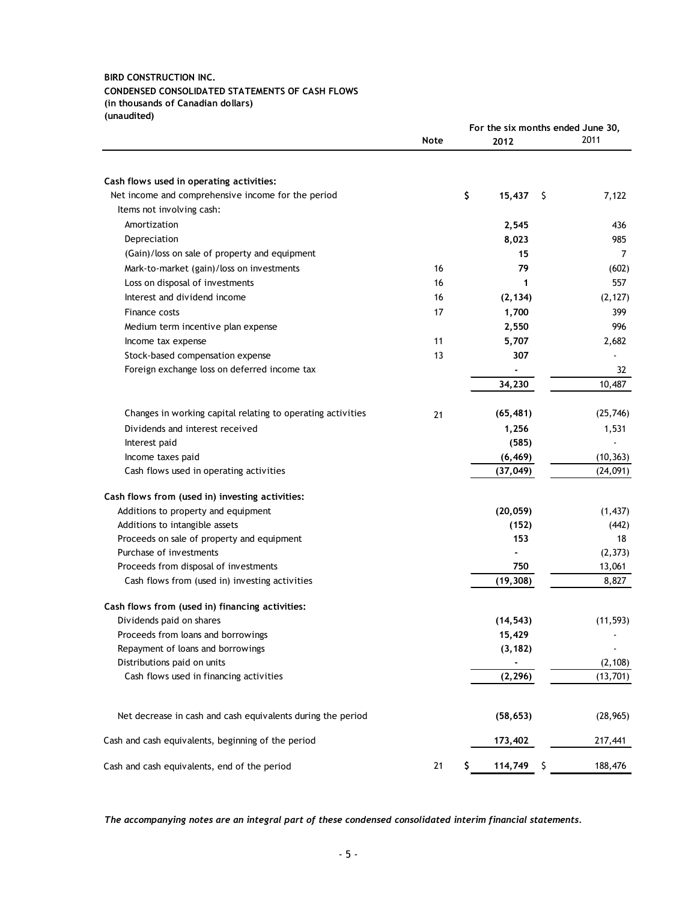#### **BIRD CONSTRUCTION INC. CONDENSED CONSOLIDATED STATEMENTS OF CASH FLOWS (in thousands of Canadian dollars) (unaudited)**

|                                                             |             |               |     | For the six months ended June 30, |  |
|-------------------------------------------------------------|-------------|---------------|-----|-----------------------------------|--|
|                                                             | <b>Note</b> | 2012          |     | 2011                              |  |
|                                                             |             |               |     |                                   |  |
| Cash flows used in operating activities:                    |             |               |     |                                   |  |
| Net income and comprehensive income for the period          |             | \$<br>15,437  | -\$ | 7,122                             |  |
| Items not involving cash:                                   |             |               |     |                                   |  |
| Amortization                                                |             | 2,545         |     | 436                               |  |
| Depreciation                                                |             | 8,023         |     | 985                               |  |
| (Gain)/loss on sale of property and equipment               |             | 15            |     | $\overline{7}$                    |  |
| Mark-to-market (gain)/loss on investments                   | 16          | 79            |     | (602)                             |  |
| Loss on disposal of investments                             | 16          | 1             |     | 557                               |  |
| Interest and dividend income                                | 16          | (2, 134)      |     | (2, 127)                          |  |
| Finance costs                                               | 17          | 1,700         |     | 399                               |  |
| Medium term incentive plan expense                          |             | 2,550         |     | 996                               |  |
| Income tax expense                                          | 11          | 5,707         |     | 2,682                             |  |
| Stock-based compensation expense                            | 13          | 307           |     |                                   |  |
| Foreign exchange loss on deferred income tax                |             |               |     | 32                                |  |
|                                                             |             | 34,230        |     | 10,487                            |  |
|                                                             |             |               |     |                                   |  |
| Changes in working capital relating to operating activities | 21          | (65, 481)     |     | (25, 746)                         |  |
| Dividends and interest received                             |             | 1,256         |     | 1,531                             |  |
| Interest paid                                               |             | (585)         |     |                                   |  |
| Income taxes paid                                           |             | (6, 469)      |     | (10, 363)                         |  |
| Cash flows used in operating activities                     |             | (37, 049)     |     | (24,091)                          |  |
| Cash flows from (used in) investing activities:             |             |               |     |                                   |  |
| Additions to property and equipment                         |             | (20, 059)     |     | (1, 437)                          |  |
| Additions to intangible assets                              |             | (152)         |     | (442)                             |  |
| Proceeds on sale of property and equipment                  |             | 153           |     | 18                                |  |
| Purchase of investments                                     |             |               |     | (2, 373)                          |  |
| Proceeds from disposal of investments                       |             | 750           |     | 13,061                            |  |
| Cash flows from (used in) investing activities              |             | (19, 308)     |     | 8,827                             |  |
| Cash flows from (used in) financing activities:             |             |               |     |                                   |  |
| Dividends paid on shares                                    |             | (14, 543)     |     | (11, 593)                         |  |
| Proceeds from loans and borrowings                          |             | 15,429        |     |                                   |  |
| Repayment of loans and borrowings                           |             | (3, 182)      |     |                                   |  |
| Distributions paid on units                                 |             |               |     | (2, 108)                          |  |
| Cash flows used in financing activities                     |             | (2, 296)      |     | (13, 701)                         |  |
|                                                             |             |               |     |                                   |  |
| Net decrease in cash and cash equivalents during the period |             | (58, 653)     |     | (28, 965)                         |  |
| Cash and cash equivalents, beginning of the period          |             | 173,402       |     | 217,441                           |  |
| Cash and cash equivalents, end of the period                | 21          | \$<br>114,749 | Ş   | 188,476                           |  |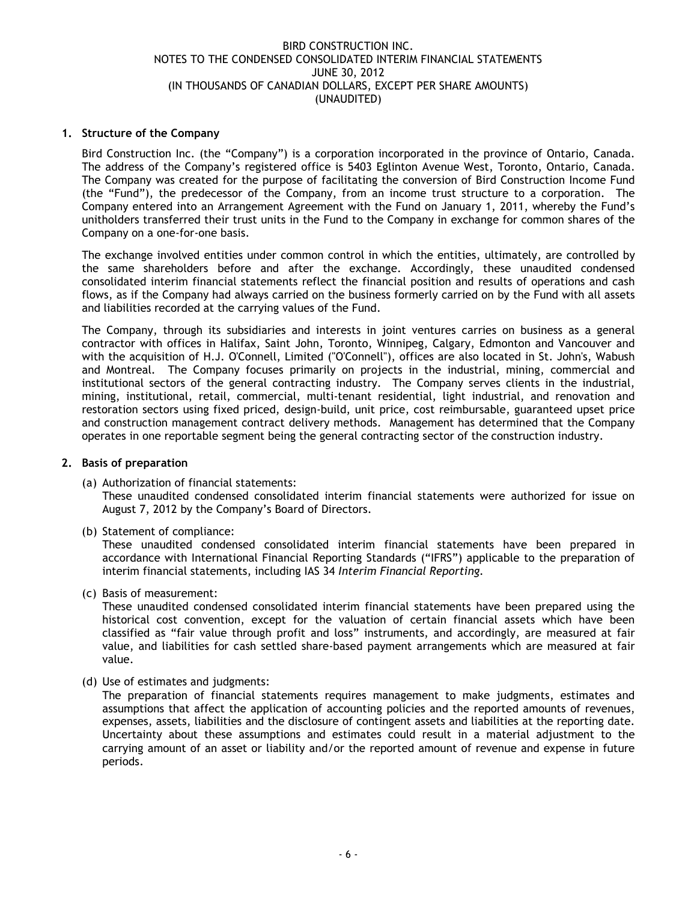## **1. Structure of the Company**

Bird Construction Inc. (the "Company") is a corporation incorporated in the province of Ontario, Canada. The address of the Company's registered office is 5403 Eglinton Avenue West, Toronto, Ontario, Canada. The Company was created for the purpose of facilitating the conversion of Bird Construction Income Fund (the "Fund"), the predecessor of the Company, from an income trust structure to a corporation. The Company entered into an Arrangement Agreement with the Fund on January 1, 2011, whereby the Fund's unitholders transferred their trust units in the Fund to the Company in exchange for common shares of the Company on a one-for-one basis.

The exchange involved entities under common control in which the entities, ultimately, are controlled by the same shareholders before and after the exchange. Accordingly, these unaudited condensed consolidated interim financial statements reflect the financial position and results of operations and cash flows, as if the Company had always carried on the business formerly carried on by the Fund with all assets and liabilities recorded at the carrying values of the Fund.

The Company, through its subsidiaries and interests in joint ventures carries on business as a general contractor with offices in Halifax, Saint John, Toronto, Winnipeg, Calgary, Edmonton and Vancouver and with the acquisition of H.J. O'Connell, Limited ("O'Connell"), offices are also located in St. John's, Wabush and Montreal. The Company focuses primarily on projects in the industrial, mining, commercial and institutional sectors of the general contracting industry. The Company serves clients in the industrial, mining, institutional, retail, commercial, multi-tenant residential, light industrial, and renovation and restoration sectors using fixed priced, design-build, unit price, cost reimbursable, guaranteed upset price and construction management contract delivery methods. Management has determined that the Company operates in one reportable segment being the general contracting sector of the construction industry.

## **2. Basis of preparation**

(a) Authorization of financial statements:

These unaudited condensed consolidated interim financial statements were authorized for issue on August 7, 2012 by the Company's Board of Directors.

(b) Statement of compliance:

These unaudited condensed consolidated interim financial statements have been prepared in accordance with International Financial Reporting Standards ("IFRS") applicable to the preparation of interim financial statements, including IAS 34 *Interim Financial Reporting.*

(c) Basis of measurement:

These unaudited condensed consolidated interim financial statements have been prepared using the historical cost convention, except for the valuation of certain financial assets which have been classified as "fair value through profit and loss" instruments, and accordingly, are measured at fair value, and liabilities for cash settled share-based payment arrangements which are measured at fair value.

(d) Use of estimates and judgments:

The preparation of financial statements requires management to make judgments, estimates and assumptions that affect the application of accounting policies and the reported amounts of revenues, expenses, assets, liabilities and the disclosure of contingent assets and liabilities at the reporting date. Uncertainty about these assumptions and estimates could result in a material adjustment to the carrying amount of an asset or liability and/or the reported amount of revenue and expense in future periods.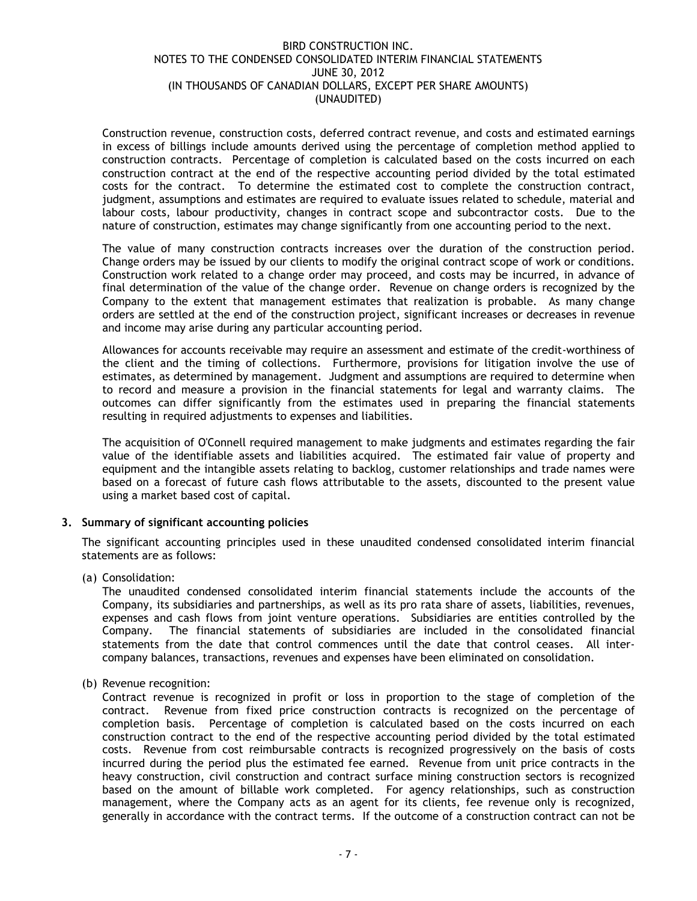Construction revenue, construction costs, deferred contract revenue, and costs and estimated earnings in excess of billings include amounts derived using the percentage of completion method applied to construction contracts. Percentage of completion is calculated based on the costs incurred on each construction contract at the end of the respective accounting period divided by the total estimated costs for the contract. To determine the estimated cost to complete the construction contract, judgment, assumptions and estimates are required to evaluate issues related to schedule, material and labour costs, labour productivity, changes in contract scope and subcontractor costs. Due to the nature of construction, estimates may change significantly from one accounting period to the next.

The value of many construction contracts increases over the duration of the construction period. Change orders may be issued by our clients to modify the original contract scope of work or conditions. Construction work related to a change order may proceed, and costs may be incurred, in advance of final determination of the value of the change order. Revenue on change orders is recognized by the Company to the extent that management estimates that realization is probable. As many change orders are settled at the end of the construction project, significant increases or decreases in revenue and income may arise during any particular accounting period.

Allowances for accounts receivable may require an assessment and estimate of the credit-worthiness of the client and the timing of collections. Furthermore, provisions for litigation involve the use of estimates, as determined by management. Judgment and assumptions are required to determine when to record and measure a provision in the financial statements for legal and warranty claims. The outcomes can differ significantly from the estimates used in preparing the financial statements resulting in required adjustments to expenses and liabilities.

The acquisition of O'Connell required management to make judgments and estimates regarding the fair value of the identifiable assets and liabilities acquired. The estimated fair value of property and equipment and the intangible assets relating to backlog, customer relationships and trade names were based on a forecast of future cash flows attributable to the assets, discounted to the present value using a market based cost of capital.

## **3. Summary of significant accounting policies**

The significant accounting principles used in these unaudited condensed consolidated interim financial statements are as follows:

(a) Consolidation:

The unaudited condensed consolidated interim financial statements include the accounts of the Company, its subsidiaries and partnerships, as well as its pro rata share of assets, liabilities, revenues, expenses and cash flows from joint venture operations. Subsidiaries are entities controlled by the Company. The financial statements of subsidiaries are included in the consolidated financial statements from the date that control commences until the date that control ceases. All intercompany balances, transactions, revenues and expenses have been eliminated on consolidation.

(b) Revenue recognition:

Contract revenue is recognized in profit or loss in proportion to the stage of completion of the contract. Revenue from fixed price construction contracts is recognized on the percentage of completion basis. Percentage of completion is calculated based on the costs incurred on each construction contract to the end of the respective accounting period divided by the total estimated costs. Revenue from cost reimbursable contracts is recognized progressively on the basis of costs incurred during the period plus the estimated fee earned. Revenue from unit price contracts in the heavy construction, civil construction and contract surface mining construction sectors is recognized based on the amount of billable work completed. For agency relationships, such as construction management, where the Company acts as an agent for its clients, fee revenue only is recognized, generally in accordance with the contract terms. If the outcome of a construction contract can not be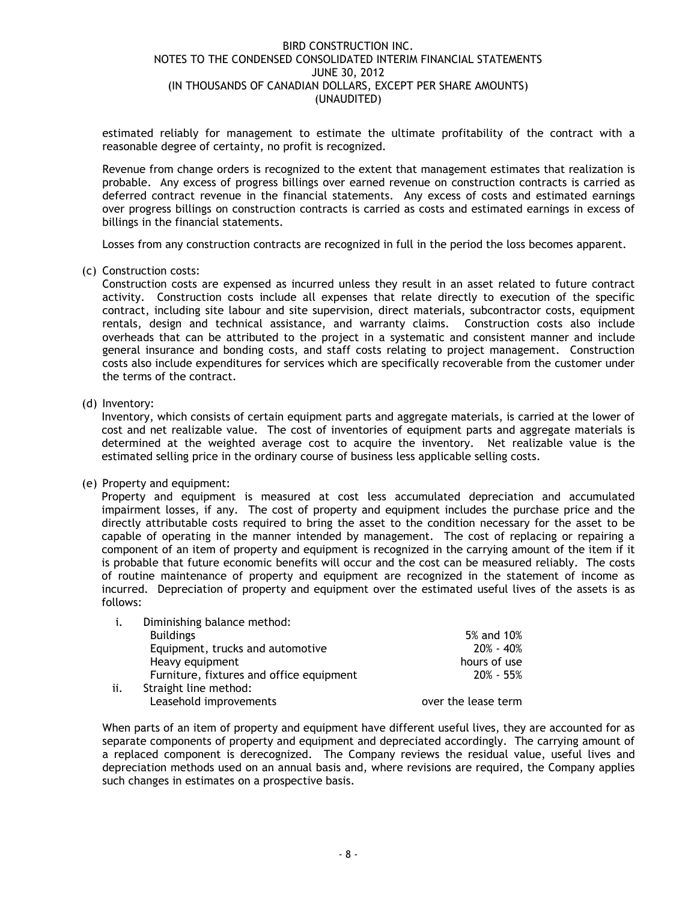estimated reliably for management to estimate the ultimate profitability of the contract with a reasonable degree of certainty, no profit is recognized.

Revenue from change orders is recognized to the extent that management estimates that realization is probable. Any excess of progress billings over earned revenue on construction contracts is carried as deferred contract revenue in the financial statements. Any excess of costs and estimated earnings over progress billings on construction contracts is carried as costs and estimated earnings in excess of billings in the financial statements.

Losses from any construction contracts are recognized in full in the period the loss becomes apparent.

(c) Construction costs:

Construction costs are expensed as incurred unless they result in an asset related to future contract activity. Construction costs include all expenses that relate directly to execution of the specific contract, including site labour and site supervision, direct materials, subcontractor costs, equipment rentals, design and technical assistance, and warranty claims. Construction costs also include overheads that can be attributed to the project in a systematic and consistent manner and include general insurance and bonding costs, and staff costs relating to project management. Construction costs also include expenditures for services which are specifically recoverable from the customer under the terms of the contract.

(d) Inventory:

Inventory, which consists of certain equipment parts and aggregate materials, is carried at the lower of cost and net realizable value. The cost of inventories of equipment parts and aggregate materials is determined at the weighted average cost to acquire the inventory. Net realizable value is the estimated selling price in the ordinary course of business less applicable selling costs.

(e) Property and equipment:

Property and equipment is measured at cost less accumulated depreciation and accumulated impairment losses, if any. The cost of property and equipment includes the purchase price and the directly attributable costs required to bring the asset to the condition necessary for the asset to be capable of operating in the manner intended by management. The cost of replacing or repairing a component of an item of property and equipment is recognized in the carrying amount of the item if it is probable that future economic benefits will occur and the cost can be measured reliably. The costs of routine maintenance of property and equipment are recognized in the statement of income as incurred. Depreciation of property and equipment over the estimated useful lives of the assets is as follows:

| i.  | Diminishing balance method:              |                     |
|-----|------------------------------------------|---------------------|
|     | <b>Buildings</b>                         | 5% and 10%          |
|     | Equipment, trucks and automotive         | $20\% - 40\%$       |
|     | Heavy equipment                          | hours of use        |
|     | Furniture, fixtures and office equipment | $20\% - 55\%$       |
| ii. | Straight line method:                    |                     |
|     | Leasehold improvements                   | over the lease term |

When parts of an item of property and equipment have different useful lives, they are accounted for as separate components of property and equipment and depreciated accordingly. The carrying amount of a replaced component is derecognized. The Company reviews the residual value, useful lives and depreciation methods used on an annual basis and, where revisions are required, the Company applies such changes in estimates on a prospective basis.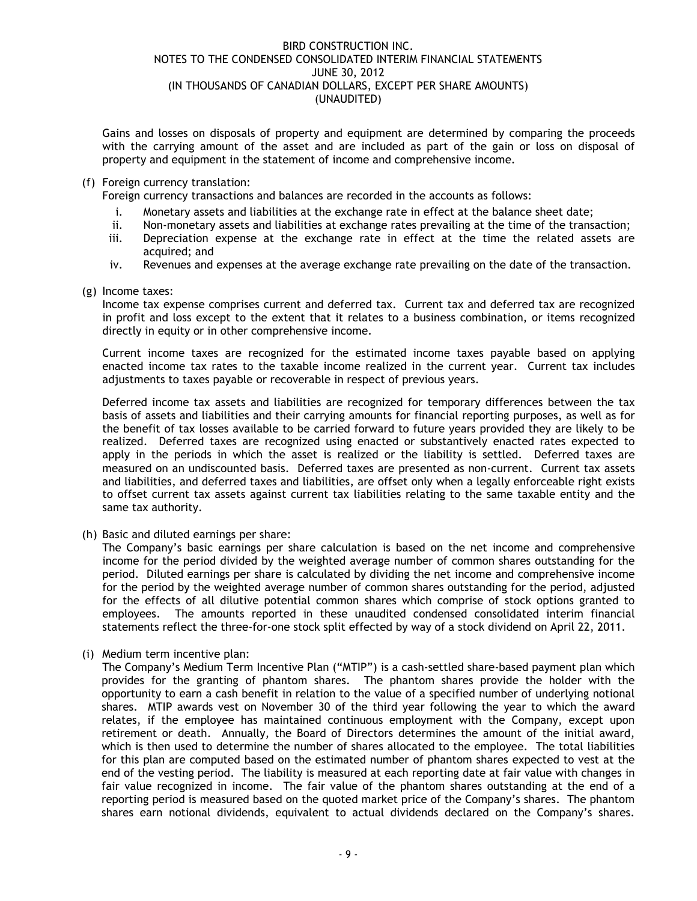Gains and losses on disposals of property and equipment are determined by comparing the proceeds with the carrying amount of the asset and are included as part of the gain or loss on disposal of property and equipment in the statement of income and comprehensive income.

(f) Foreign currency translation:

Foreign currency transactions and balances are recorded in the accounts as follows:

- i. Monetary assets and liabilities at the exchange rate in effect at the balance sheet date;
- ii. Non-monetary assets and liabilities at exchange rates prevailing at the time of the transaction;
- iii. Depreciation expense at the exchange rate in effect at the time the related assets are acquired; and
- iv. Revenues and expenses at the average exchange rate prevailing on the date of the transaction.
- (g) Income taxes:

Income tax expense comprises current and deferred tax. Current tax and deferred tax are recognized in profit and loss except to the extent that it relates to a business combination, or items recognized directly in equity or in other comprehensive income.

Current income taxes are recognized for the estimated income taxes payable based on applying enacted income tax rates to the taxable income realized in the current year. Current tax includes adjustments to taxes payable or recoverable in respect of previous years.

Deferred income tax assets and liabilities are recognized for temporary differences between the tax basis of assets and liabilities and their carrying amounts for financial reporting purposes, as well as for the benefit of tax losses available to be carried forward to future years provided they are likely to be realized. Deferred taxes are recognized using enacted or substantively enacted rates expected to apply in the periods in which the asset is realized or the liability is settled. Deferred taxes are measured on an undiscounted basis. Deferred taxes are presented as non-current. Current tax assets and liabilities, and deferred taxes and liabilities, are offset only when a legally enforceable right exists to offset current tax assets against current tax liabilities relating to the same taxable entity and the same tax authority.

(h) Basic and diluted earnings per share:

The Company's basic earnings per share calculation is based on the net income and comprehensive income for the period divided by the weighted average number of common shares outstanding for the period. Diluted earnings per share is calculated by dividing the net income and comprehensive income for the period by the weighted average number of common shares outstanding for the period, adjusted for the effects of all dilutive potential common shares which comprise of stock options granted to employees. The amounts reported in these unaudited condensed consolidated interim financial statements reflect the three-for-one stock split effected by way of a stock dividend on April 22, 2011.

(i) Medium term incentive plan:

The Company's Medium Term Incentive Plan ("MTIP") is a cash-settled share-based payment plan which provides for the granting of phantom shares. The phantom shares provide the holder with the opportunity to earn a cash benefit in relation to the value of a specified number of underlying notional shares. MTIP awards vest on November 30 of the third year following the year to which the award relates, if the employee has maintained continuous employment with the Company, except upon retirement or death. Annually, the Board of Directors determines the amount of the initial award, which is then used to determine the number of shares allocated to the employee. The total liabilities for this plan are computed based on the estimated number of phantom shares expected to vest at the end of the vesting period. The liability is measured at each reporting date at fair value with changes in fair value recognized in income. The fair value of the phantom shares outstanding at the end of a reporting period is measured based on the quoted market price of the Company's shares. The phantom shares earn notional dividends, equivalent to actual dividends declared on the Company's shares.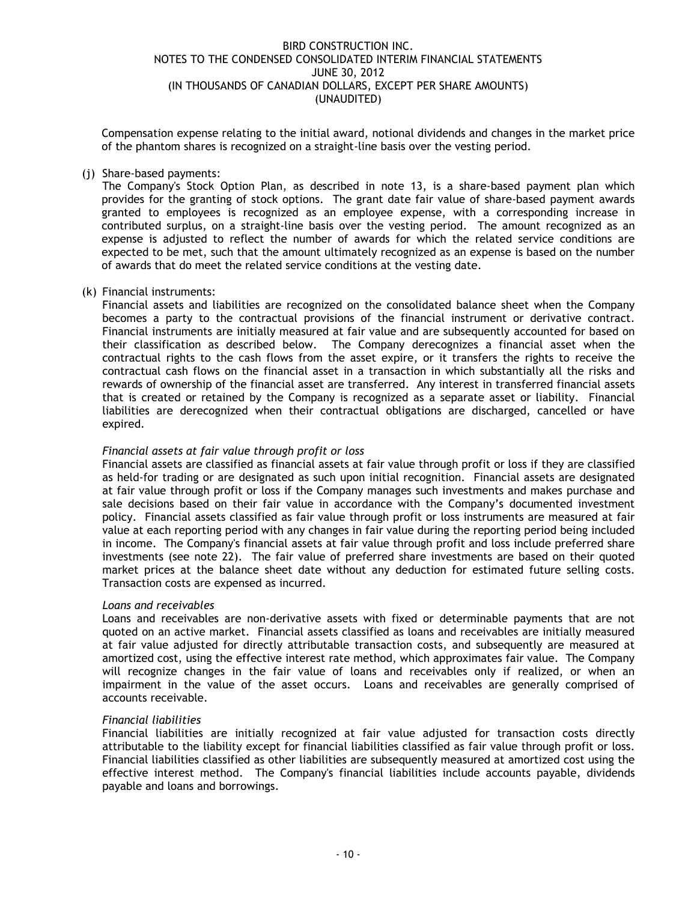Compensation expense relating to the initial award, notional dividends and changes in the market price of the phantom shares is recognized on a straight-line basis over the vesting period.

## (j) Share-based payments:

The Company's Stock Option Plan, as described in note 13, is a share-based payment plan which provides for the granting of stock options. The grant date fair value of share-based payment awards granted to employees is recognized as an employee expense, with a corresponding increase in contributed surplus, on a straight-line basis over the vesting period. The amount recognized as an expense is adjusted to reflect the number of awards for which the related service conditions are expected to be met, such that the amount ultimately recognized as an expense is based on the number of awards that do meet the related service conditions at the vesting date.

#### (k) Financial instruments:

Financial assets and liabilities are recognized on the consolidated balance sheet when the Company becomes a party to the contractual provisions of the financial instrument or derivative contract. Financial instruments are initially measured at fair value and are subsequently accounted for based on their classification as described below. The Company derecognizes a financial asset when the contractual rights to the cash flows from the asset expire, or it transfers the rights to receive the contractual cash flows on the financial asset in a transaction in which substantially all the risks and rewards of ownership of the financial asset are transferred. Any interest in transferred financial assets that is created or retained by the Company is recognized as a separate asset or liability. Financial liabilities are derecognized when their contractual obligations are discharged, cancelled or have expired.

### *Financial assets at fair value through profit or loss*

Financial assets are classified as financial assets at fair value through profit or loss if they are classified as held-for trading or are designated as such upon initial recognition. Financial assets are designated at fair value through profit or loss if the Company manages such investments and makes purchase and sale decisions based on their fair value in accordance with the Company's documented investment policy. Financial assets classified as fair value through profit or loss instruments are measured at fair value at each reporting period with any changes in fair value during the reporting period being included in income. The Company's financial assets at fair value through profit and loss include preferred share investments (see note 22). The fair value of preferred share investments are based on their quoted market prices at the balance sheet date without any deduction for estimated future selling costs. Transaction costs are expensed as incurred.

## *Loans and receivables*

Loans and receivables are non-derivative assets with fixed or determinable payments that are not quoted on an active market. Financial assets classified as loans and receivables are initially measured at fair value adjusted for directly attributable transaction costs, and subsequently are measured at amortized cost, using the effective interest rate method, which approximates fair value. The Company will recognize changes in the fair value of loans and receivables only if realized, or when an impairment in the value of the asset occurs. Loans and receivables are generally comprised of accounts receivable.

#### *Financial liabilities*

Financial liabilities are initially recognized at fair value adjusted for transaction costs directly attributable to the liability except for financial liabilities classified as fair value through profit or loss. Financial liabilities classified as other liabilities are subsequently measured at amortized cost using the effective interest method. The Company's financial liabilities include accounts payable, dividends payable and loans and borrowings.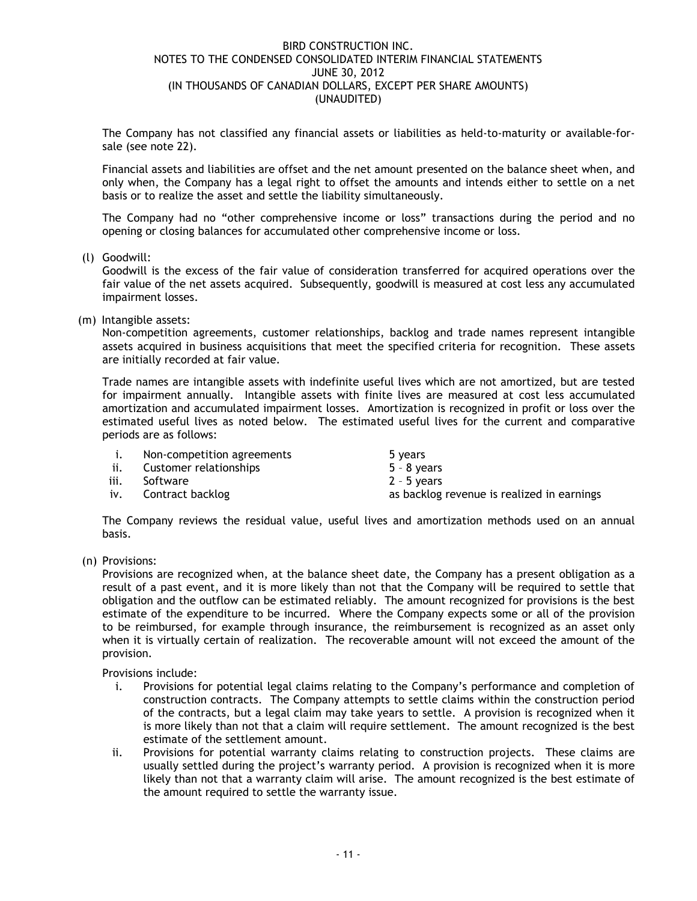The Company has not classified any financial assets or liabilities as held-to-maturity or available-forsale (see note 22).

Financial assets and liabilities are offset and the net amount presented on the balance sheet when, and only when, the Company has a legal right to offset the amounts and intends either to settle on a net basis or to realize the asset and settle the liability simultaneously.

The Company had no "other comprehensive income or loss" transactions during the period and no opening or closing balances for accumulated other comprehensive income or loss.

(l) Goodwill:

Goodwill is the excess of the fair value of consideration transferred for acquired operations over the fair value of the net assets acquired. Subsequently, goodwill is measured at cost less any accumulated impairment losses.

(m) Intangible assets:

Non-competition agreements, customer relationships, backlog and trade names represent intangible assets acquired in business acquisitions that meet the specified criteria for recognition. These assets are initially recorded at fair value.

Trade names are intangible assets with indefinite useful lives which are not amortized, but are tested for impairment annually. Intangible assets with finite lives are measured at cost less accumulated amortization and accumulated impairment losses. Amortization is recognized in profit or loss over the estimated useful lives as noted below. The estimated useful lives for the current and comparative periods are as follows:

|      | Non-competition agreements | 5 years                                    |
|------|----------------------------|--------------------------------------------|
| ii.  | Customer relationships     | $5 - 8$ years                              |
| iii. | Software                   | $2 - 5$ years                              |
| iv.  | Contract backlog           | as backlog revenue is realized in earnings |
|      |                            |                                            |

The Company reviews the residual value, useful lives and amortization methods used on an annual basis.

(n) Provisions:

Provisions are recognized when, at the balance sheet date, the Company has a present obligation as a result of a past event, and it is more likely than not that the Company will be required to settle that obligation and the outflow can be estimated reliably. The amount recognized for provisions is the best estimate of the expenditure to be incurred. Where the Company expects some or all of the provision to be reimbursed, for example through insurance, the reimbursement is recognized as an asset only when it is virtually certain of realization. The recoverable amount will not exceed the amount of the provision.

Provisions include:

- i. Provisions for potential legal claims relating to the Company's performance and completion of construction contracts. The Company attempts to settle claims within the construction period of the contracts, but a legal claim may take years to settle. A provision is recognized when it is more likely than not that a claim will require settlement. The amount recognized is the best estimate of the settlement amount.
- ii. Provisions for potential warranty claims relating to construction projects. These claims are usually settled during the project's warranty period. A provision is recognized when it is more likely than not that a warranty claim will arise. The amount recognized is the best estimate of the amount required to settle the warranty issue.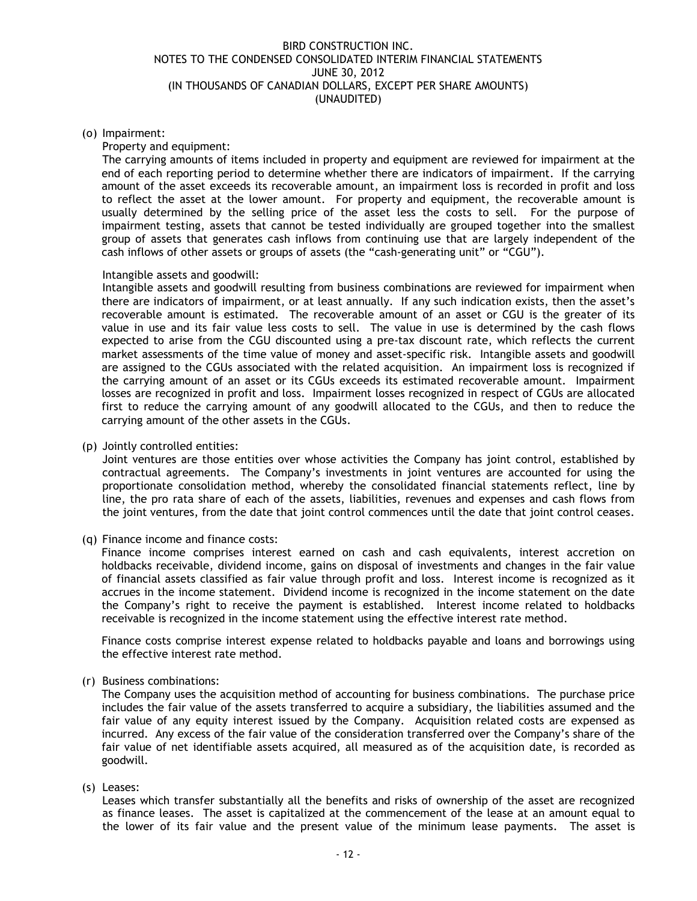## (o) Impairment:

#### Property and equipment:

The carrying amounts of items included in property and equipment are reviewed for impairment at the end of each reporting period to determine whether there are indicators of impairment. If the carrying amount of the asset exceeds its recoverable amount, an impairment loss is recorded in profit and loss to reflect the asset at the lower amount. For property and equipment, the recoverable amount is usually determined by the selling price of the asset less the costs to sell. For the purpose of impairment testing, assets that cannot be tested individually are grouped together into the smallest group of assets that generates cash inflows from continuing use that are largely independent of the cash inflows of other assets or groups of assets (the "cash-generating unit" or "CGU").

#### Intangible assets and goodwill:

Intangible assets and goodwill resulting from business combinations are reviewed for impairment when there are indicators of impairment, or at least annually. If any such indication exists, then the asset's recoverable amount is estimated. The recoverable amount of an asset or CGU is the greater of its value in use and its fair value less costs to sell. The value in use is determined by the cash flows expected to arise from the CGU discounted using a pre-tax discount rate, which reflects the current market assessments of the time value of money and asset-specific risk. Intangible assets and goodwill are assigned to the CGUs associated with the related acquisition. An impairment loss is recognized if the carrying amount of an asset or its CGUs exceeds its estimated recoverable amount. Impairment losses are recognized in profit and loss. Impairment losses recognized in respect of CGUs are allocated first to reduce the carrying amount of any goodwill allocated to the CGUs, and then to reduce the carrying amount of the other assets in the CGUs.

#### (p) Jointly controlled entities:

Joint ventures are those entities over whose activities the Company has joint control, established by contractual agreements. The Company's investments in joint ventures are accounted for using the proportionate consolidation method, whereby the consolidated financial statements reflect, line by line, the pro rata share of each of the assets, liabilities, revenues and expenses and cash flows from the joint ventures, from the date that joint control commences until the date that joint control ceases.

#### (q) Finance income and finance costs:

Finance income comprises interest earned on cash and cash equivalents, interest accretion on holdbacks receivable, dividend income, gains on disposal of investments and changes in the fair value of financial assets classified as fair value through profit and loss. Interest income is recognized as it accrues in the income statement. Dividend income is recognized in the income statement on the date the Company's right to receive the payment is established. Interest income related to holdbacks receivable is recognized in the income statement using the effective interest rate method.

Finance costs comprise interest expense related to holdbacks payable and loans and borrowings using the effective interest rate method.

## (r) Business combinations:

The Company uses the acquisition method of accounting for business combinations. The purchase price includes the fair value of the assets transferred to acquire a subsidiary, the liabilities assumed and the fair value of any equity interest issued by the Company. Acquisition related costs are expensed as incurred. Any excess of the fair value of the consideration transferred over the Company's share of the fair value of net identifiable assets acquired, all measured as of the acquisition date, is recorded as goodwill.

## (s) Leases:

Leases which transfer substantially all the benefits and risks of ownership of the asset are recognized as finance leases. The asset is capitalized at the commencement of the lease at an amount equal to the lower of its fair value and the present value of the minimum lease payments. The asset is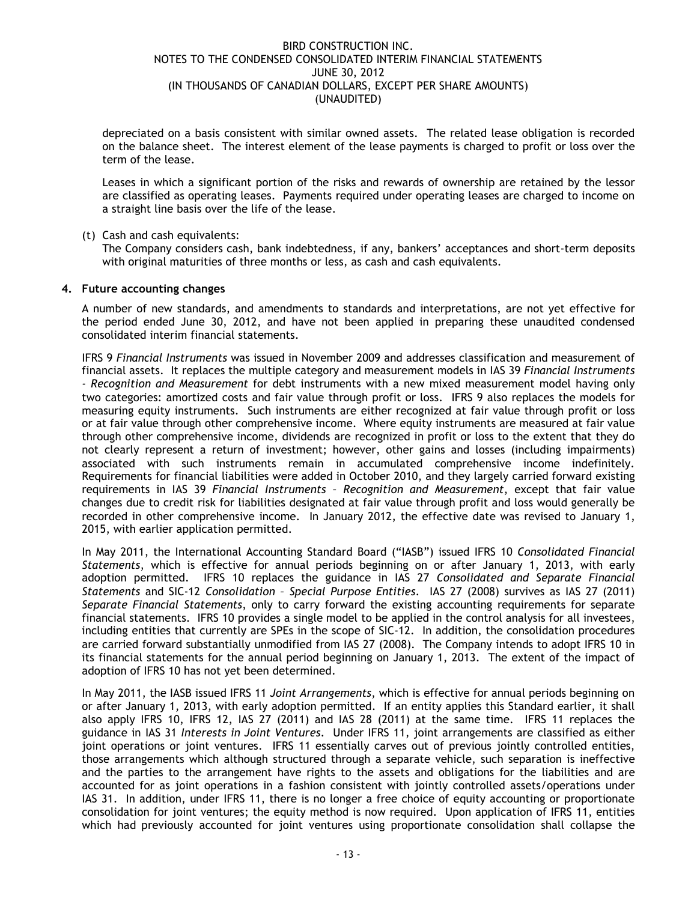depreciated on a basis consistent with similar owned assets. The related lease obligation is recorded on the balance sheet. The interest element of the lease payments is charged to profit or loss over the term of the lease.

Leases in which a significant portion of the risks and rewards of ownership are retained by the lessor are classified as operating leases. Payments required under operating leases are charged to income on a straight line basis over the life of the lease.

## (t) Cash and cash equivalents:

The Company considers cash, bank indebtedness, if any, bankers' acceptances and short-term deposits with original maturities of three months or less, as cash and cash equivalents.

## **4. Future accounting changes**

A number of new standards, and amendments to standards and interpretations, are not yet effective for the period ended June 30, 2012, and have not been applied in preparing these unaudited condensed consolidated interim financial statements.

IFRS 9 *Financial Instruments* was issued in November 2009 and addresses classification and measurement of financial assets. It replaces the multiple category and measurement models in IAS 39 *Financial Instruments - Recognition and Measurement* for debt instruments with a new mixed measurement model having only two categories: amortized costs and fair value through profit or loss. IFRS 9 also replaces the models for measuring equity instruments. Such instruments are either recognized at fair value through profit or loss or at fair value through other comprehensive income. Where equity instruments are measured at fair value through other comprehensive income, dividends are recognized in profit or loss to the extent that they do not clearly represent a return of investment; however, other gains and losses (including impairments) associated with such instruments remain in accumulated comprehensive income indefinitely. Requirements for financial liabilities were added in October 2010, and they largely carried forward existing requirements in IAS 39 *Financial Instruments – Recognition and Measurement*, except that fair value changes due to credit risk for liabilities designated at fair value through profit and loss would generally be recorded in other comprehensive income. In January 2012, the effective date was revised to January 1, 2015, with earlier application permitted.

In May 2011, the International Accounting Standard Board ("IASB") issued IFRS 10 *Consolidated Financial Statements*, which is effective for annual periods beginning on or after January 1, 2013, with early adoption permitted. IFRS 10 replaces the guidance in IAS 27 *Consolidated and Separate Financial Statements* and SIC-12 *Consolidation – Special Purpose Entities*. IAS 27 (2008) survives as IAS 27 (2011) *Separate Financial Statements*, only to carry forward the existing accounting requirements for separate financial statements. IFRS 10 provides a single model to be applied in the control analysis for all investees, including entities that currently are SPEs in the scope of SIC-12. In addition, the consolidation procedures are carried forward substantially unmodified from IAS 27 (2008). The Company intends to adopt IFRS 10 in its financial statements for the annual period beginning on January 1, 2013. The extent of the impact of adoption of IFRS 10 has not yet been determined.

In May 2011, the IASB issued IFRS 11 *Joint Arrangements*, which is effective for annual periods beginning on or after January 1, 2013, with early adoption permitted. If an entity applies this Standard earlier, it shall also apply IFRS 10, IFRS 12, IAS 27 (2011) and IAS 28 (2011) at the same time. IFRS 11 replaces the guidance in IAS 31 *Interests in Joint Ventures*. Under IFRS 11, joint arrangements are classified as either joint operations or joint ventures. IFRS 11 essentially carves out of previous jointly controlled entities, those arrangements which although structured through a separate vehicle, such separation is ineffective and the parties to the arrangement have rights to the assets and obligations for the liabilities and are accounted for as joint operations in a fashion consistent with jointly controlled assets/operations under IAS 31. In addition, under IFRS 11, there is no longer a free choice of equity accounting or proportionate consolidation for joint ventures; the equity method is now required. Upon application of IFRS 11, entities which had previously accounted for joint ventures using proportionate consolidation shall collapse the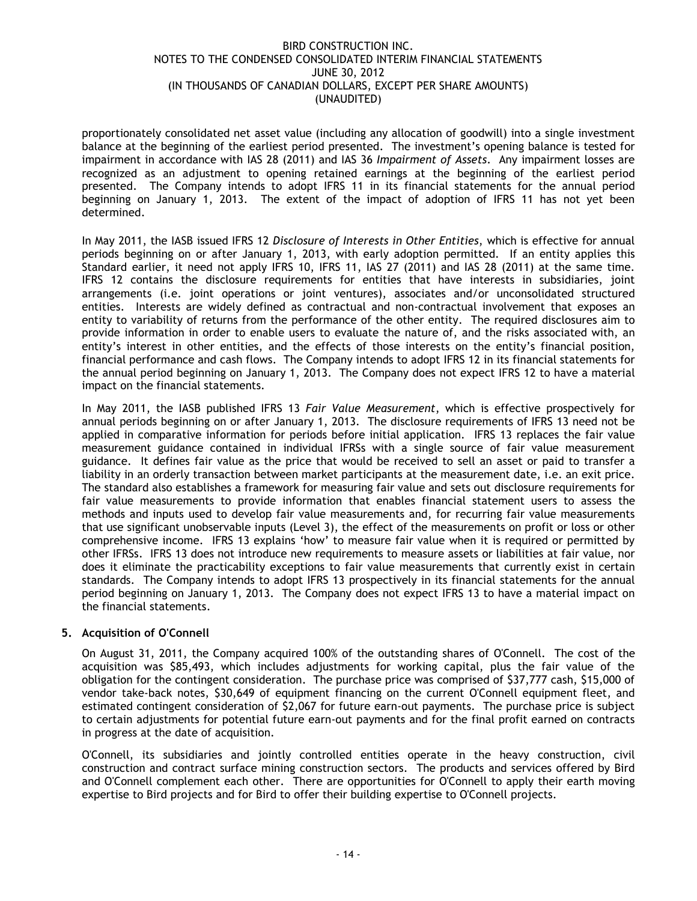proportionately consolidated net asset value (including any allocation of goodwill) into a single investment balance at the beginning of the earliest period presented. The investment's opening balance is tested for impairment in accordance with IAS 28 (2011) and IAS 36 *Impairment of Assets*. Any impairment losses are recognized as an adjustment to opening retained earnings at the beginning of the earliest period presented. The Company intends to adopt IFRS 11 in its financial statements for the annual period beginning on January 1, 2013. The extent of the impact of adoption of IFRS 11 has not yet been determined.

In May 2011, the IASB issued IFRS 12 *Disclosure of Interests in Other Entities*, which is effective for annual periods beginning on or after January 1, 2013, with early adoption permitted. If an entity applies this Standard earlier, it need not apply IFRS 10, IFRS 11, IAS 27 (2011) and IAS 28 (2011) at the same time. IFRS 12 contains the disclosure requirements for entities that have interests in subsidiaries, joint arrangements (i.e. joint operations or joint ventures), associates and/or unconsolidated structured entities. Interests are widely defined as contractual and non-contractual involvement that exposes an entity to variability of returns from the performance of the other entity. The required disclosures aim to provide information in order to enable users to evaluate the nature of, and the risks associated with, an entity's interest in other entities, and the effects of those interests on the entity's financial position, financial performance and cash flows. The Company intends to adopt IFRS 12 in its financial statements for the annual period beginning on January 1, 2013. The Company does not expect IFRS 12 to have a material impact on the financial statements.

In May 2011, the IASB published IFRS 13 *Fair Value Measurement*, which is effective prospectively for annual periods beginning on or after January 1, 2013. The disclosure requirements of IFRS 13 need not be applied in comparative information for periods before initial application. IFRS 13 replaces the fair value measurement guidance contained in individual IFRSs with a single source of fair value measurement guidance. It defines fair value as the price that would be received to sell an asset or paid to transfer a liability in an orderly transaction between market participants at the measurement date, i.e. an exit price. The standard also establishes a framework for measuring fair value and sets out disclosure requirements for fair value measurements to provide information that enables financial statement users to assess the methods and inputs used to develop fair value measurements and, for recurring fair value measurements that use significant unobservable inputs (Level 3), the effect of the measurements on profit or loss or other comprehensive income. IFRS 13 explains 'how' to measure fair value when it is required or permitted by other IFRSs. IFRS 13 does not introduce new requirements to measure assets or liabilities at fair value, nor does it eliminate the practicability exceptions to fair value measurements that currently exist in certain standards. The Company intends to adopt IFRS 13 prospectively in its financial statements for the annual period beginning on January 1, 2013. The Company does not expect IFRS 13 to have a material impact on the financial statements.

## **5. Acquisition of O'Connell**

On August 31, 2011, the Company acquired 100% of the outstanding shares of O'Connell. The cost of the acquisition was \$85,493, which includes adjustments for working capital, plus the fair value of the obligation for the contingent consideration. The purchase price was comprised of \$37,777 cash, \$15,000 of vendor take-back notes, \$30,649 of equipment financing on the current O'Connell equipment fleet, and estimated contingent consideration of \$2,067 for future earn-out payments. The purchase price is subject to certain adjustments for potential future earn-out payments and for the final profit earned on contracts in progress at the date of acquisition.

O'Connell, its subsidiaries and jointly controlled entities operate in the heavy construction, civil construction and contract surface mining construction sectors. The products and services offered by Bird and O'Connell complement each other. There are opportunities for O'Connell to apply their earth moving expertise to Bird projects and for Bird to offer their building expertise to O'Connell projects.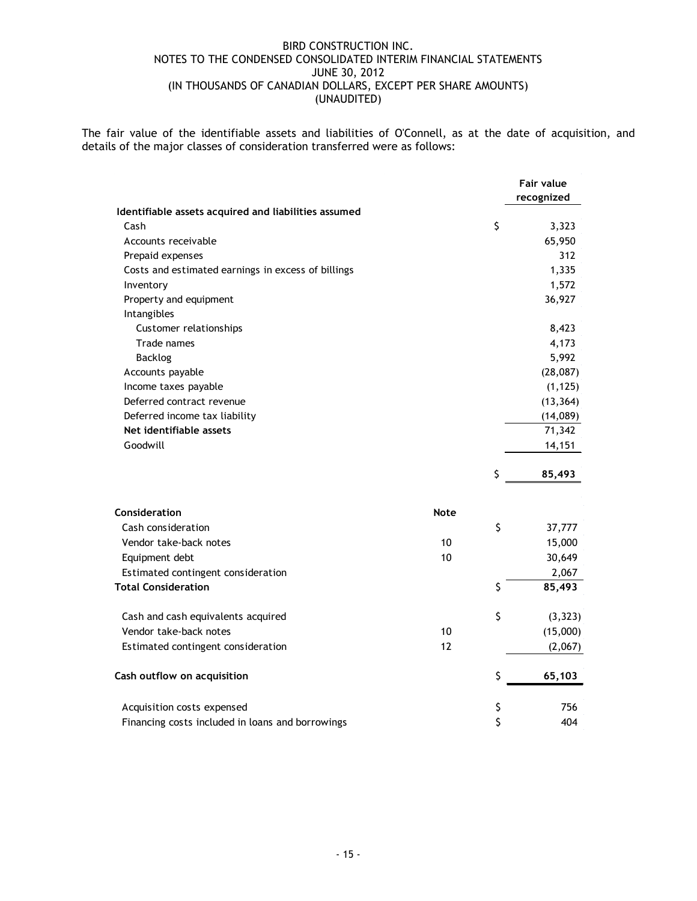The fair value of the identifiable assets and liabilities of O'Connell, as at the date of acquisition, and details of the major classes of consideration transferred were as follows:

|                                                      | <b>Fair value</b> |
|------------------------------------------------------|-------------------|
|                                                      | recognized        |
| Identifiable assets acquired and liabilities assumed |                   |
| Cash                                                 | \$<br>3,323       |
| Accounts receivable                                  | 65,950            |
| Prepaid expenses                                     | 312               |
| Costs and estimated earnings in excess of billings   | 1,335             |
| Inventory                                            | 1,572             |
| Property and equipment                               | 36,927            |
| Intangibles                                          |                   |
| Customer relationships                               | 8,423             |
| Trade names                                          | 4,173             |
| <b>Backlog</b>                                       | 5,992             |
| Accounts payable                                     | (28,087)          |
| Income taxes payable                                 | (1, 125)          |
| Deferred contract revenue                            | (13, 364)         |
| Deferred income tax liability                        | (14,089)          |
| Net identifiable assets                              | 71,342            |
| Goodwill                                             | 14,151            |
|                                                      | \$<br>85,493      |
| Consideration<br><b>Note</b>                         |                   |
|                                                      |                   |
| Cash consideration                                   | \$<br>37,777      |
| 10<br>Vendor take-back notes                         | 15,000            |
| 10<br>Equipment debt                                 | 30,649            |
| Estimated contingent consideration                   | 2,067             |
| <b>Total Consideration</b>                           | \$<br>85,493      |
| Cash and cash equivalents acquired                   | \$<br>(3, 323)    |
| Vendor take-back notes<br>10                         | (15,000)          |
| 12<br>Estimated contingent consideration             | (2,067)           |
| Cash outflow on acquisition                          | \$<br>65,103      |
| Acquisition costs expensed                           | \$<br>756         |
| Financing costs included in loans and borrowings     | \$<br>404         |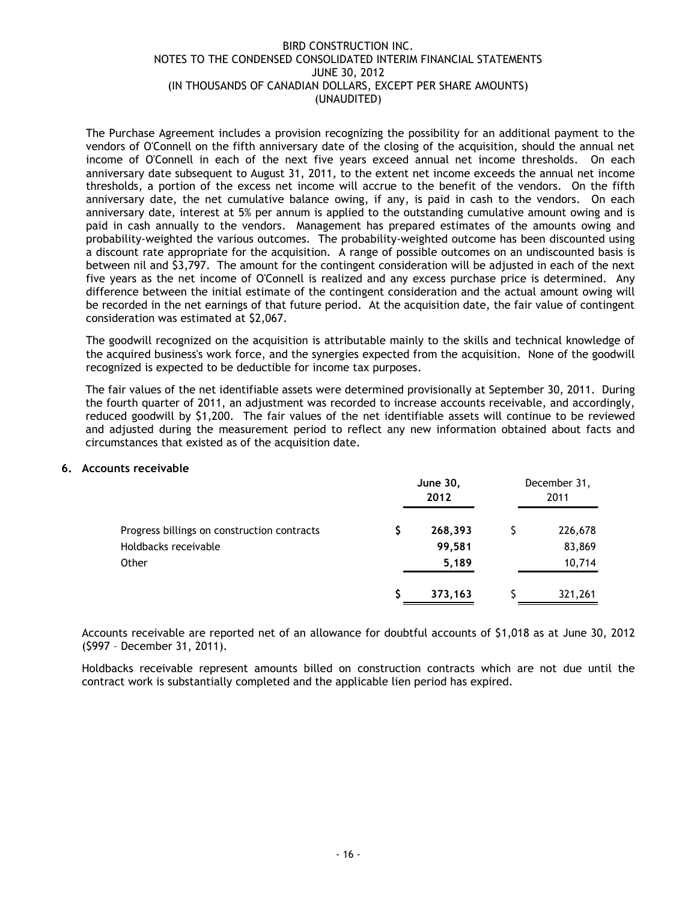The Purchase Agreement includes a provision recognizing the possibility for an additional payment to the vendors of O'Connell on the fifth anniversary date of the closing of the acquisition, should the annual net income of O'Connell in each of the next five years exceed annual net income thresholds. On each anniversary date subsequent to August 31, 2011, to the extent net income exceeds the annual net income thresholds, a portion of the excess net income will accrue to the benefit of the vendors. On the fifth anniversary date, the net cumulative balance owing, if any, is paid in cash to the vendors. On each anniversary date, interest at 5% per annum is applied to the outstanding cumulative amount owing and is paid in cash annually to the vendors. Management has prepared estimates of the amounts owing and probability-weighted the various outcomes. The probability-weighted outcome has been discounted using a discount rate appropriate for the acquisition. A range of possible outcomes on an undiscounted basis is between nil and \$3,797. The amount for the contingent consideration will be adjusted in each of the next five years as the net income of O'Connell is realized and any excess purchase price is determined. Any difference between the initial estimate of the contingent consideration and the actual amount owing will be recorded in the net earnings of that future period. At the acquisition date, the fair value of contingent consideration was estimated at \$2,067.

The goodwill recognized on the acquisition is attributable mainly to the skills and technical knowledge of the acquired business's work force, and the synergies expected from the acquisition. None of the goodwill recognized is expected to be deductible for income tax purposes.

The fair values of the net identifiable assets were determined provisionally at September 30, 2011. During the fourth quarter of 2011, an adjustment was recorded to increase accounts receivable, and accordingly, reduced goodwill by \$1,200. The fair values of the net identifiable assets will continue to be reviewed and adjusted during the measurement period to reflect any new information obtained about facts and circumstances that existed as of the acquisition date.

## **6. Accounts receivable**

|                                             | <b>June 30,</b><br>2012 | December 31,<br>2011 |
|---------------------------------------------|-------------------------|----------------------|
| Progress billings on construction contracts | 268,393                 | 226,678              |
| Holdbacks receivable                        | 99,581                  | 83,869               |
| Other                                       | 5,189                   | 10,714               |
|                                             | 373,163                 | 321,261              |

Accounts receivable are reported net of an allowance for doubtful accounts of \$1,018 as at June 30, 2012 (\$997 – December 31, 2011).

Holdbacks receivable represent amounts billed on construction contracts which are not due until the contract work is substantially completed and the applicable lien period has expired.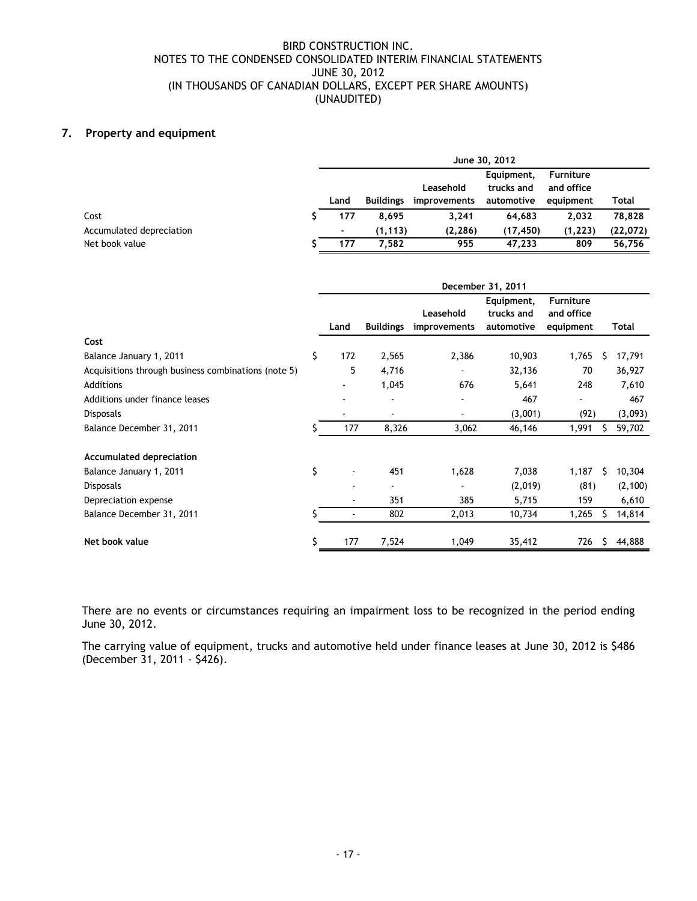## **7. Property and equipment**

|                          | June 30, 2012 |                  |              |                          |                                |          |  |  |  |
|--------------------------|---------------|------------------|--------------|--------------------------|--------------------------------|----------|--|--|--|
|                          |               |                  | Leasehold    | Equipment,<br>trucks and | <b>Furniture</b><br>and office |          |  |  |  |
|                          | Land          | <b>Buildings</b> | improvements | automotive               | equipment                      | Total    |  |  |  |
| Cost                     | 177           | 8.695            | 3.241        | 64.683                   | 2,032                          | 78,828   |  |  |  |
| Accumulated depreciation | ٠             | (1, 113)         | (2, 286)     | (17, 450)                | (1, 223)                       | (22,072) |  |  |  |
| Net book value           | 177           | 7.582            | 955          | 47,233                   | 809                            | 56.756   |  |  |  |

|                                                     | December 31, 2011        |                          |                           |                                        |                                             |    |          |  |
|-----------------------------------------------------|--------------------------|--------------------------|---------------------------|----------------------------------------|---------------------------------------------|----|----------|--|
|                                                     | Land                     | <b>Buildings</b>         | Leasehold<br>improvements | Equipment,<br>trucks and<br>automotive | <b>Furniture</b><br>and office<br>equipment |    | Total    |  |
| Cost                                                |                          |                          |                           |                                        |                                             |    |          |  |
| Balance January 1, 2011                             | \$<br>172                | 2,565                    | 2,386                     | 10,903                                 | 1,765                                       | S  | 17,791   |  |
| Acquisitions through business combinations (note 5) | 5                        | 4,716                    | $\blacksquare$            | 32,136                                 | 70                                          |    | 36,927   |  |
| Additions                                           |                          | 1,045                    | 676                       | 5,641                                  | 248                                         |    | 7,610    |  |
| Additions under finance leases                      |                          | $\overline{\phantom{a}}$ | $\overline{\phantom{a}}$  | 467                                    |                                             |    | 467      |  |
| <b>Disposals</b>                                    | $\overline{\phantom{a}}$ | $\overline{\phantom{a}}$ | $\overline{\phantom{a}}$  | (3,001)                                | (92)                                        |    | (3,093)  |  |
| Balance December 31, 2011                           | 177                      | 8,326                    | 3,062                     | 46,146                                 | 1,991                                       | S. | 59,702   |  |
| Accumulated depreciation                            |                          |                          |                           |                                        |                                             |    |          |  |
| Balance January 1, 2011                             | \$                       | 451                      | 1,628                     | 7,038                                  | 1,187                                       | S  | 10,304   |  |
| <b>Disposals</b>                                    |                          |                          |                           | (2,019)                                | (81)                                        |    | (2, 100) |  |
| Depreciation expense                                |                          | 351                      | 385                       | 5,715                                  | 159                                         |    | 6,610    |  |
| Balance December 31, 2011                           |                          | 802                      | 2,013                     | 10,734                                 | 1,265                                       |    | 14,814   |  |
| Net book value                                      | \$<br>177                | 7,524                    | 1,049                     | 35,412                                 | 726                                         | S  | 44,888   |  |

There are no events or circumstances requiring an impairment loss to be recognized in the period ending June 30, 2012.

The carrying value of equipment, trucks and automotive held under finance leases at June 30, 2012 is \$486 (December 31, 2011 - \$426).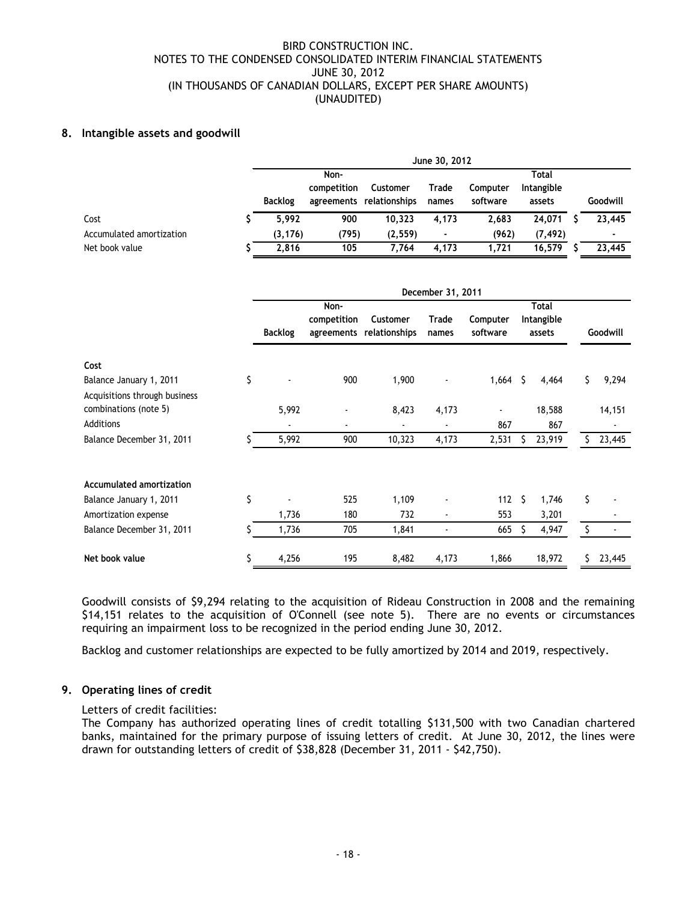## **8. Intangible assets and goodwill**

|                          |                | June 30, 2012 |                          |                |          |            |  |          |  |
|--------------------------|----------------|---------------|--------------------------|----------------|----------|------------|--|----------|--|
|                          |                | Non-          | Total                    |                |          |            |  |          |  |
|                          |                | competition   | Customer                 | Trade          | Computer | Intangible |  |          |  |
|                          | <b>Backlog</b> |               | agreements relationships | names          | software | assets     |  | Goodwill |  |
| Cost                     | 5.992          | 900           | 10.323                   | 4.173          | 2.683    | 24.071     |  | 23.445   |  |
| Accumulated amortization | (3, 176)       | (795)         | (2, 559)                 | $\blacksquare$ | (962)    | (7, 492)   |  | ٠        |  |
| Net book value           | 2.816          | 105           | 7.764                    | 4,173          | 1.721    | 16.579     |  | 23,445   |  |

|                                                          |    | December 31, 2011 |                          |                                      |                          |                      |    |                                      |     |          |
|----------------------------------------------------------|----|-------------------|--------------------------|--------------------------------------|--------------------------|----------------------|----|--------------------------------------|-----|----------|
|                                                          |    | <b>Backlog</b>    | Non-<br>competition      | Customer<br>agreements relationships | Trade<br>names           | Computer<br>software |    | <b>Total</b><br>Intangible<br>assets |     | Goodwill |
| Cost                                                     |    |                   |                          |                                      |                          |                      |    |                                      |     |          |
| Balance January 1, 2011<br>Acquisitions through business | \$ |                   | 900                      | 1,900                                |                          | 1,664                | \$ | 4,464                                | \$  | 9,294    |
| combinations (note 5)                                    |    | 5,992             | $\overline{\phantom{a}}$ | 8,423                                | 4,173                    | ۰                    |    | 18,588                               |     | 14,151   |
| Additions                                                |    | ٠                 | ٠                        | ٠                                    | $\overline{\phantom{a}}$ | 867                  |    | 867                                  |     |          |
| Balance December 31, 2011                                |    | 5,992             | 900                      | 10,323                               | 4,173                    | 2,531                |    | 23,919                               | ς.  | 23,445   |
| <b>Accumulated amortization</b>                          |    |                   |                          |                                      |                          |                      |    |                                      |     |          |
| Balance January 1, 2011                                  | \$ |                   | 525                      | 1,109                                |                          | 112                  | Ŝ  | 1,746                                | \$  |          |
| Amortization expense                                     |    | 1,736             | 180                      | 732                                  | $\overline{\phantom{a}}$ | 553                  |    | 3,201                                |     |          |
| Balance December 31, 2011                                | S  | 1,736             | 705                      | 1,841                                |                          | 665                  |    | 4,947                                |     |          |
| Net book value                                           | \$ | 4,256             | 195                      | 8,482                                | 4,173                    | 1,866                |    | 18,972                               | \$. | 23,445   |

Goodwill consists of \$9,294 relating to the acquisition of Rideau Construction in 2008 and the remaining \$14,151 relates to the acquisition of O'Connell (see note 5). There are no events or circumstances requiring an impairment loss to be recognized in the period ending June 30, 2012.

Backlog and customer relationships are expected to be fully amortized by 2014 and 2019, respectively.

## **9. Operating lines of credit**

#### Letters of credit facilities:

The Company has authorized operating lines of credit totalling \$131,500 with two Canadian chartered banks, maintained for the primary purpose of issuing letters of credit. At June 30, 2012, the lines were drawn for outstanding letters of credit of \$38,828 (December 31, 2011 - \$42,750).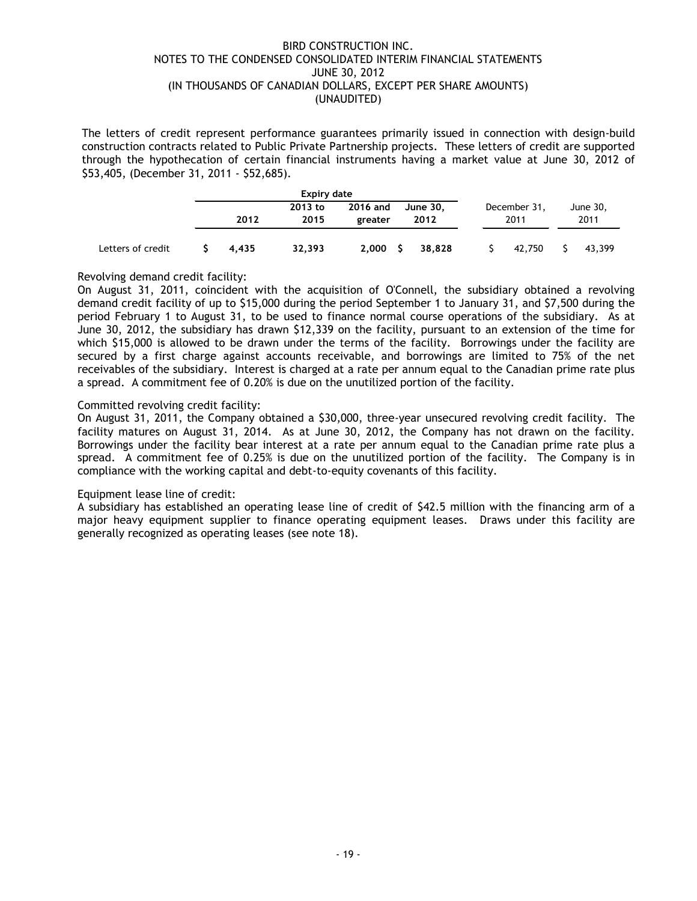The letters of credit represent performance guarantees primarily issued in connection with design-build construction contracts related to Public Private Partnership projects. These letters of credit are supported through the hypothecation of certain financial instruments having a market value at June 30, 2012 of \$53,405, (December 31, 2011 - \$52,685).

|                   |       | Expiry date     |                     |                  |                      |  |                  |
|-------------------|-------|-----------------|---------------------|------------------|----------------------|--|------------------|
|                   | 2012  | 2013 to<br>2015 | 2016 and<br>greater | June 30.<br>2012 | December 31,<br>2011 |  | June 30,<br>2011 |
| Letters of credit | 4.435 | 32,393          | 2.000 S             | 38.828           | 42,750               |  | 43,399           |

## Revolving demand credit facility:

On August 31, 2011, coincident with the acquisition of O'Connell, the subsidiary obtained a revolving demand credit facility of up to \$15,000 during the period September 1 to January 31, and \$7,500 during the period February 1 to August 31, to be used to finance normal course operations of the subsidiary. As at June 30, 2012, the subsidiary has drawn \$12,339 on the facility, pursuant to an extension of the time for which \$15,000 is allowed to be drawn under the terms of the facility. Borrowings under the facility are secured by a first charge against accounts receivable, and borrowings are limited to 75% of the net receivables of the subsidiary. Interest is charged at a rate per annum equal to the Canadian prime rate plus a spread. A commitment fee of 0.20% is due on the unutilized portion of the facility.

## Committed revolving credit facility:

On August 31, 2011, the Company obtained a \$30,000, three-year unsecured revolving credit facility. The facility matures on August 31, 2014. As at June 30, 2012, the Company has not drawn on the facility. Borrowings under the facility bear interest at a rate per annum equal to the Canadian prime rate plus a spread. A commitment fee of 0.25% is due on the unutilized portion of the facility. The Company is in compliance with the working capital and debt-to-equity covenants of this facility.

## Equipment lease line of credit:

A subsidiary has established an operating lease line of credit of \$42.5 million with the financing arm of a major heavy equipment supplier to finance operating equipment leases. Draws under this facility are generally recognized as operating leases (see note 18).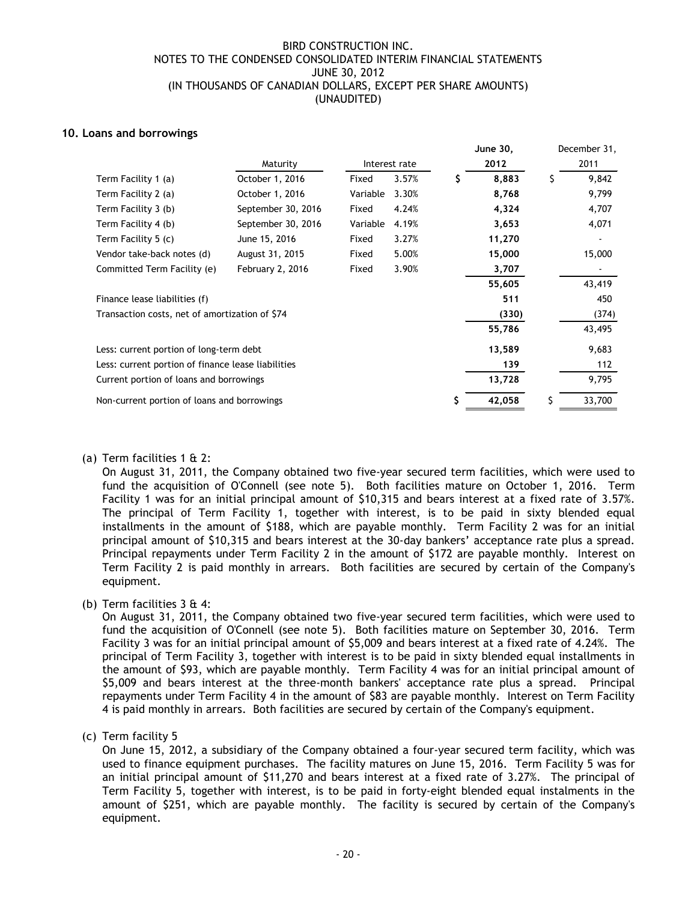## **10. Loans and borrowings**

|                                                    |                    |          |               | June 30,    |   | December 31, |
|----------------------------------------------------|--------------------|----------|---------------|-------------|---|--------------|
|                                                    | Maturity           |          | Interest rate | 2012        |   | 2011         |
| Term Facility 1 (a)                                | October 1, 2016    | Fixed    | 3.57%         | \$<br>8,883 | S | 9,842        |
| Term Facility 2 (a)                                | October 1, 2016    | Variable | 3.30%         | 8,768       |   | 9,799        |
| Term Facility 3 (b)                                | September 30, 2016 | Fixed    | 4.24%         | 4,324       |   | 4,707        |
| Term Facility 4 (b)                                | September 30, 2016 | Variable | 4.19%         | 3,653       |   | 4,071        |
| Term Facility 5 (c)                                | June 15, 2016      | Fixed    | 3.27%         | 11,270      |   |              |
| Vendor take-back notes (d)                         | August 31, 2015    | Fixed    | 5.00%         | 15,000      |   | 15,000       |
| Committed Term Facility (e)                        | February 2, 2016   | Fixed    | 3.90%         | 3,707       |   |              |
|                                                    |                    |          |               | 55,605      |   | 43,419       |
| Finance lease liabilities (f)                      |                    |          |               | 511         |   | 450          |
| Transaction costs, net of amortization of \$74     |                    |          |               | (330)       |   | (374)        |
|                                                    |                    |          |               | 55,786      |   | 43,495       |
| Less: current portion of long-term debt            |                    |          |               | 13,589      |   | 9,683        |
| Less: current portion of finance lease liabilities |                    |          |               | 139         |   | 112          |
| Current portion of loans and borrowings            |                    |          |               | 13,728      |   | 9,795        |
| Non-current portion of loans and borrowings        |                    |          |               | 42,058      |   | 33,700       |

## (a) Term facilities 1 & 2:

On August 31, 2011, the Company obtained two five-year secured term facilities, which were used to fund the acquisition of O'Connell (see note 5). Both facilities mature on October 1, 2016. Term Facility 1 was for an initial principal amount of \$10,315 and bears interest at a fixed rate of 3.57%. The principal of Term Facility 1, together with interest, is to be paid in sixty blended equal installments in the amount of \$188, which are payable monthly. Term Facility 2 was for an initial principal amount of \$10,315 and bears interest at the 30-day bankers' acceptance rate plus a spread. Principal repayments under Term Facility 2 in the amount of \$172 are payable monthly. Interest on Term Facility 2 is paid monthly in arrears. Both facilities are secured by certain of the Company's equipment.

(b) Term facilities 3 & 4:

On August 31, 2011, the Company obtained two five-year secured term facilities, which were used to fund the acquisition of O'Connell (see note 5). Both facilities mature on September 30, 2016. Term Facility 3 was for an initial principal amount of \$5,009 and bears interest at a fixed rate of 4.24%. The principal of Term Facility 3, together with interest is to be paid in sixty blended equal installments in the amount of \$93, which are payable monthly. Term Facility 4 was for an initial principal amount of \$5,009 and bears interest at the three-month bankers' acceptance rate plus a spread. Principal repayments under Term Facility 4 in the amount of \$83 are payable monthly. Interest on Term Facility 4 is paid monthly in arrears. Both facilities are secured by certain of the Company's equipment.

## (c) Term facility 5

On June 15, 2012, a subsidiary of the Company obtained a four-year secured term facility, which was used to finance equipment purchases. The facility matures on June 15, 2016. Term Facility 5 was for an initial principal amount of \$11,270 and bears interest at a fixed rate of 3.27%. The principal of Term Facility 5, together with interest, is to be paid in forty-eight blended equal instalments in the amount of \$251, which are payable monthly. The facility is secured by certain of the Company's equipment.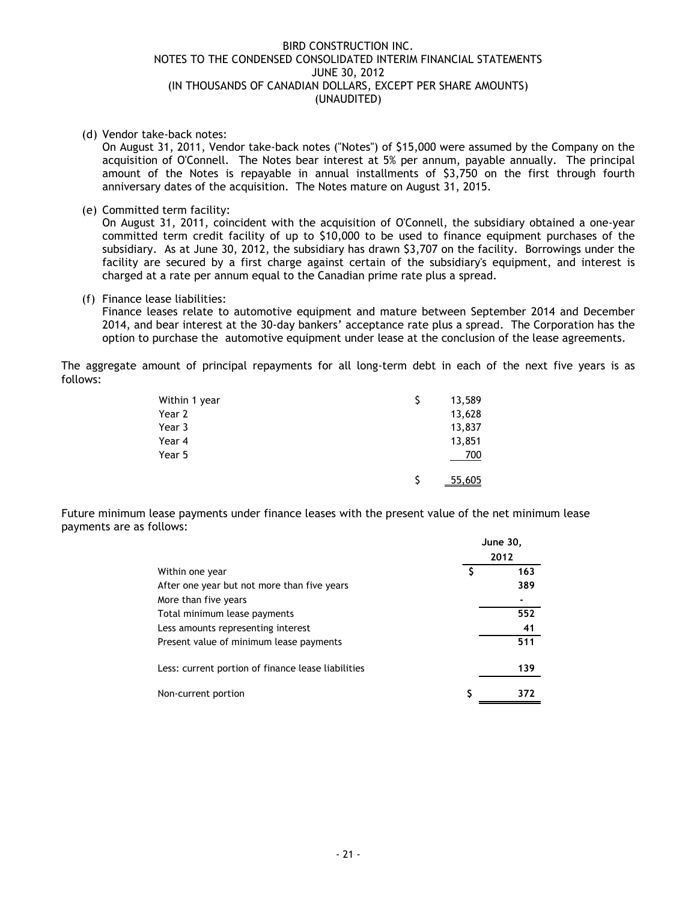## (d) Vendor take-back notes:

On August 31, 2011, Vendor take-back notes ("Notes") of \$15,000 were assumed by the Company on the acquisition of O'Connell. The Notes bear interest at 5% per annum, payable annually. The principal amount of the Notes is repayable in annual installments of \$3,750 on the first through fourth anniversary dates of the acquisition. The Notes mature on August 31, 2015.

(e) Committed term facility:

On August 31, 2011, coincident with the acquisition of O'Connell, the subsidiary obtained a one-year committed term credit facility of up to \$10,000 to be used to finance equipment purchases of the subsidiary. As at June 30, 2012, the subsidiary has drawn \$3,707 on the facility. Borrowings under the facility are secured by a first charge against certain of the subsidiary's equipment, and interest is charged at a rate per annum equal to the Canadian prime rate plus a spread.

(f) Finance lease liabilities:

Finance leases relate to automotive equipment and mature between September 2014 and December 2014, and bear interest at the 30-day bankers' acceptance rate plus a spread. The Corporation has the option to purchase the automotive equipment under lease at the conclusion of the lease agreements.

The aggregate amount of principal repayments for all long-term debt in each of the next five years is as follows:

| Within 1 year | 13,589 |
|---------------|--------|
| Year 2        | 13,628 |
| Year 3        | 13,837 |
| Year 4        | 13,851 |
| Year 5        | 700    |
|               | 55,605 |

Future minimum lease payments under finance leases with the present value of the net minimum lease payments are as follows:

|                                                    | <b>June 30,</b> |
|----------------------------------------------------|-----------------|
|                                                    | 2012            |
| Within one year                                    | 163             |
| After one year but not more than five years        | 389             |
| More than five years                               |                 |
| Total minimum lease payments                       | 552             |
| Less amounts representing interest                 | 41              |
| Present value of minimum lease payments            | 511             |
| Less: current portion of finance lease liabilities | 139             |
| Non-current portion                                |                 |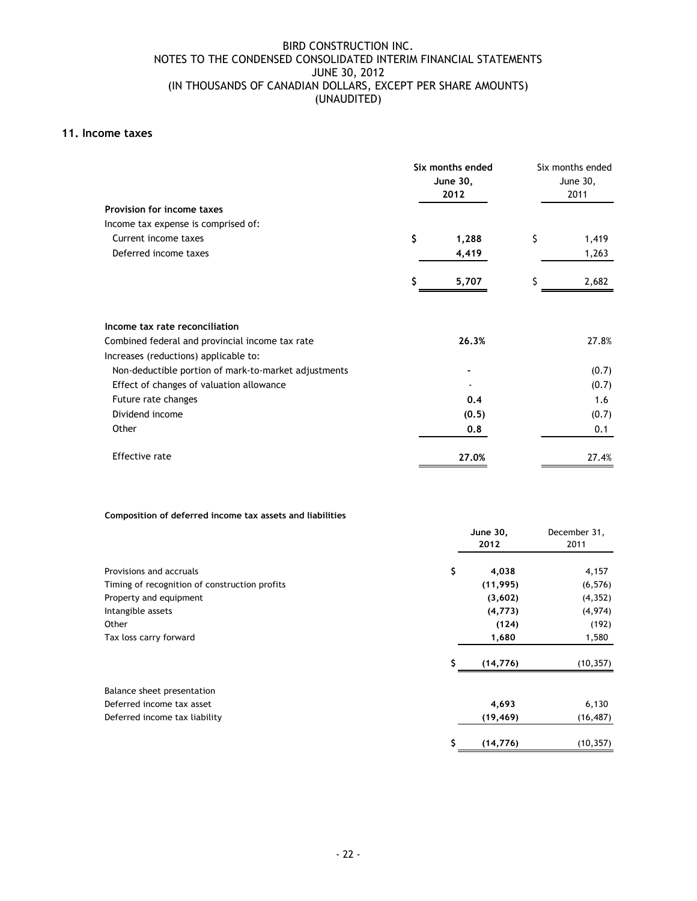## **11. Income taxes**

| Provision for income taxes                                                               | Six months ended<br>June 30,<br>2012 | Six months ended<br>June 30,<br>2011 |       |  |
|------------------------------------------------------------------------------------------|--------------------------------------|--------------------------------------|-------|--|
| Income tax expense is comprised of:                                                      |                                      |                                      |       |  |
| Current income taxes                                                                     | \$<br>1,288                          | \$                                   | 1,419 |  |
| Deferred income taxes                                                                    | 4,419                                |                                      | 1,263 |  |
|                                                                                          | 5,707                                |                                      | 2,682 |  |
| Income tax rate reconciliation                                                           |                                      |                                      |       |  |
| Combined federal and provincial income tax rate<br>Increases (reductions) applicable to: | 26.3%                                |                                      | 27.8% |  |
| Non-deductible portion of mark-to-market adjustments                                     |                                      |                                      | (0.7) |  |
| Effect of changes of valuation allowance                                                 |                                      |                                      | (0.7) |  |
| Future rate changes                                                                      | 0.4                                  |                                      | 1.6   |  |
| Dividend income                                                                          | (0.5)                                |                                      | (0.7) |  |
| Other                                                                                    | 0.8                                  |                                      | 0.1   |  |
| Effective rate                                                                           | 27.0%                                |                                      | 27.4% |  |

#### **Composition of deferred income tax assets and liabilities**

|                                               |    | June 30,<br>2012 | December 31,<br>2011 |
|-----------------------------------------------|----|------------------|----------------------|
| Provisions and accruals                       | \$ | 4,038            | 4,157                |
| Timing of recognition of construction profits |    | (11, 995)        | (6, 576)             |
| Property and equipment                        |    | (3,602)          | (4, 352)             |
| Intangible assets                             |    | (4, 773)         | (4,974)              |
| Other                                         |    | (124)            | (192)                |
| Tax loss carry forward                        |    | 1,680            | 1,580                |
|                                               |    | (14, 776)        | (10, 357)            |
| Balance sheet presentation                    |    |                  |                      |
| Deferred income tax asset                     |    | 4,693            | 6,130                |
| Deferred income tax liability                 |    | (19, 469)        | (16, 487)            |
|                                               | S  | (14, 776)        | (10, 357)            |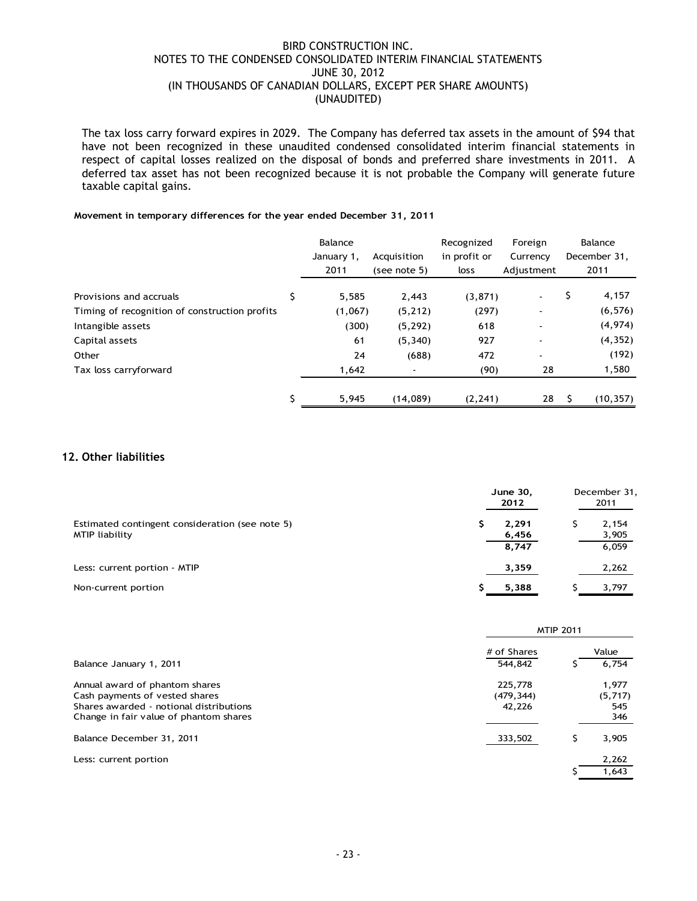The tax loss carry forward expires in 2029. The Company has deferred tax assets in the amount of \$94 that have not been recognized in these unaudited condensed consolidated interim financial statements in respect of capital losses realized on the disposal of bonds and preferred share investments in 2011. A deferred tax asset has not been recognized because it is not probable the Company will generate future taxable capital gains.

## **Movement in temporary differences for the year ended December 31, 2011**

|                                               | Balance    |                          | Recognized   | Foreign                  | Balance      |
|-----------------------------------------------|------------|--------------------------|--------------|--------------------------|--------------|
|                                               | January 1, | Acquisition              | in profit or | Currency                 | December 31, |
|                                               | 2011       | (see note 5)             | loss         | Adjustment               | 2011         |
| Provisions and accruals                       | 5,585      | 2,443                    | (3, 871)     |                          | \$<br>4,157  |
| Timing of recognition of construction profits | (1,067)    | (5, 212)                 | (297)        |                          | (6, 576)     |
| Intangible assets                             | (300)      | (5, 292)                 | 618          | ٠                        | (4, 974)     |
| Capital assets                                | 61         | (5, 340)                 | 927          |                          | (4, 352)     |
| Other                                         | 24         | (688)                    | 472          | $\overline{\phantom{0}}$ | (192)        |
| Tax loss carryforward                         | 1,642      | $\overline{\phantom{a}}$ | (90)         | 28                       | 1,580        |
|                                               | 5,945      | (14,089)                 | (2, 241)     | 28                       | (10, 357)    |

## **12. Other liabilities**

|                                                                   | June 30,<br>2012 | December 31,<br>2011 |
|-------------------------------------------------------------------|------------------|----------------------|
| Estimated contingent consideration (see note 5)<br>MTIP liability | 2,291<br>6,456   | 2,154<br>3,905       |
|                                                                   | 8,747            | 6,059                |
| Less: current portion - MTIP                                      | 3,359            | 2,262                |
| Non-current portion                                               | 5,388            | 3,797                |

|                                                                                                                                                       | <b>MTIP 2011</b>                |  |                                |  |  |  |
|-------------------------------------------------------------------------------------------------------------------------------------------------------|---------------------------------|--|--------------------------------|--|--|--|
|                                                                                                                                                       | # of Shares                     |  | Value                          |  |  |  |
| Balance January 1, 2011                                                                                                                               | 544,842                         |  | 6,754                          |  |  |  |
| Annual award of phantom shares<br>Cash payments of vested shares<br>Shares awarded - notional distributions<br>Change in fair value of phantom shares | 225,778<br>(479, 344)<br>42,226 |  | 1,977<br>(5,717)<br>545<br>346 |  |  |  |
| Balance December 31, 2011                                                                                                                             | 333,502                         |  | 3,905                          |  |  |  |
| Less: current portion                                                                                                                                 |                                 |  | 2,262<br>1,643                 |  |  |  |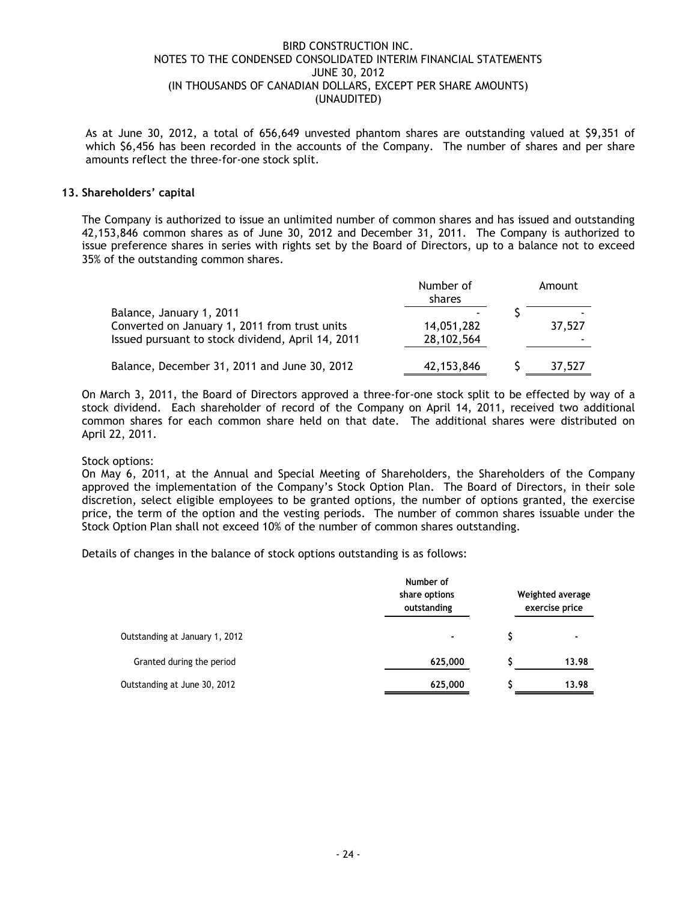As at June 30, 2012, a total of 656,649 unvested phantom shares are outstanding valued at \$9,351 of which \$6,456 has been recorded in the accounts of the Company. The number of shares and per share amounts reflect the three-for-one stock split.

## **13. Shareholders' capital**

The Company is authorized to issue an unlimited number of common shares and has issued and outstanding 42,153,846 common shares as of June 30, 2012 and December 31, 2011. The Company is authorized to issue preference shares in series with rights set by the Board of Directors, up to a balance not to exceed 35% of the outstanding common shares.

|                                                                                                                                | Number of<br>shares      | Amount |
|--------------------------------------------------------------------------------------------------------------------------------|--------------------------|--------|
| Balance, January 1, 2011<br>Converted on January 1, 2011 from trust units<br>Issued pursuant to stock dividend, April 14, 2011 | 14,051,282<br>28,102,564 | 37,527 |
| Balance, December 31, 2011 and June 30, 2012                                                                                   | 42,153,846               | 37,527 |

On March 3, 2011, the Board of Directors approved a three-for-one stock split to be effected by way of a stock dividend. Each shareholder of record of the Company on April 14, 2011, received two additional common shares for each common share held on that date. The additional shares were distributed on April 22, 2011.

## Stock options:

On May 6, 2011, at the Annual and Special Meeting of Shareholders, the Shareholders of the Company approved the implementation of the Company's Stock Option Plan. The Board of Directors, in their sole discretion, select eligible employees to be granted options, the number of options granted, the exercise price, the term of the option and the vesting periods. The number of common shares issuable under the Stock Option Plan shall not exceed 10% of the number of common shares outstanding.

Details of changes in the balance of stock options outstanding is as follows:

|                                | Number of<br>share options<br>outstanding | Weighted average<br>exercise price |  |
|--------------------------------|-------------------------------------------|------------------------------------|--|
| Outstanding at January 1, 2012 | ٠                                         |                                    |  |
| Granted during the period      | 625,000                                   | 13.98                              |  |
| Outstanding at June 30, 2012   | 625,000                                   | 13.98                              |  |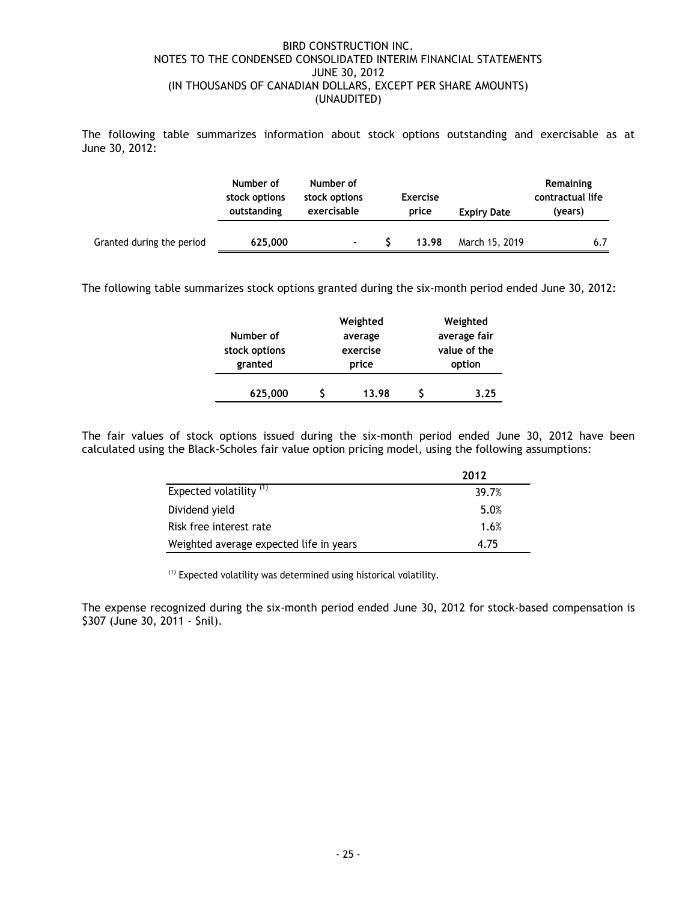The following table summarizes information about stock options outstanding and exercisable as at June 30, 2012:

|                           | Number of<br>stock options<br>outstanding | Number of<br>stock options<br>exercisable | <b>Exercise</b><br>price |       | <b>Expiry Date</b> |     | Remaining<br>contractual life<br>(years) |
|---------------------------|-------------------------------------------|-------------------------------------------|--------------------------|-------|--------------------|-----|------------------------------------------|
| Granted during the period | 625,000                                   | $\blacksquare$                            |                          | 13.98 | March 15, 2019     | 6.7 |                                          |

The following table summarizes stock options granted during the six-month period ended June 30, 2012:

|               | Weighted | Weighted     |              |  |  |
|---------------|----------|--------------|--------------|--|--|
| Number of     | average  |              | average fair |  |  |
| stock options | exercise | value of the |              |  |  |
| granted       | price    |              | option       |  |  |
| 625,000       | 13.98    |              | 3.25         |  |  |

The fair values of stock options issued during the six-month period ended June 30, 2012 have been calculated using the Black-Scholes fair value option pricing model, using the following assumptions:

|                                         | 2012  |
|-----------------------------------------|-------|
| Expected volatility <sup>(1)</sup>      | 39.7% |
| Dividend yield                          | 5.0%  |
| Risk free interest rate                 | 1.6%  |
| Weighted average expected life in years | 4.75  |

(1) Expected volatility was determined using historical volatility.

The expense recognized during the six-month period ended June 30, 2012 for stock-based compensation is \$307 (June 30, 2011 - \$nil).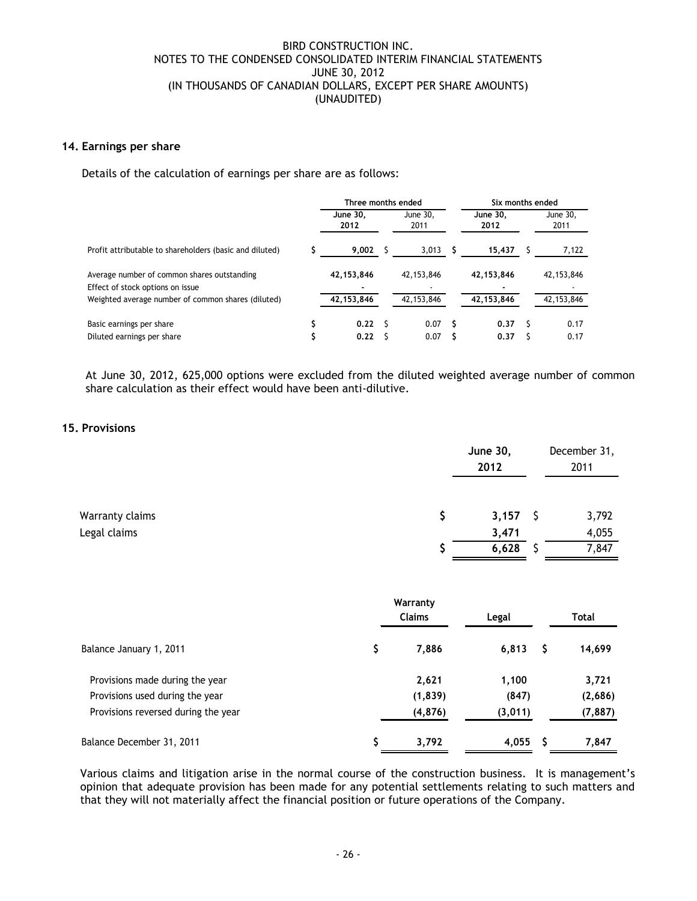## **14. Earnings per share**

Details of the calculation of earnings per share are as follows:

|                                                                                 | Three months ended |  |                  | Six months ended |     |                  |
|---------------------------------------------------------------------------------|--------------------|--|------------------|------------------|-----|------------------|
|                                                                                 | June 30.<br>2012   |  | June 30,<br>2011 | June 30.<br>2012 |     | June 30,<br>2011 |
| Profit attributable to shareholders (basic and diluted)                         | 9.002              |  | 3,013            | 15.437           |     | 7,122            |
| Average number of common shares outstanding<br>Effect of stock options on issue | 42,153,846         |  | 42,153,846       | 42,153,846       |     | 42,153,846       |
| Weighted average number of common shares (diluted)                              | 42,153,846         |  | 42,153,846       | 42,153,846       |     | 42,153,846       |
| Basic earnings per share                                                        | 0.22               |  | 0.07             | 0.37             | - 5 | 0.17             |
| Diluted earnings per share                                                      | 0.22               |  | 0.07             | 0.37             |     | 0.17             |

At June 30, 2012, 625,000 options were excluded from the diluted weighted average number of common share calculation as their effect would have been anti-dilutive.

## **15. Provisions**

|                 | <b>June 30,</b><br>2012 | December 31,<br>2011 |  |
|-----------------|-------------------------|----------------------|--|
| Warranty claims | $3,157$ \$              | 3,792                |  |
| Legal claims    | 3,471                   | 4,055                |  |
|                 | 6,628                   | 7,847                |  |

|                                     |   | Legal    |         | Total |          |
|-------------------------------------|---|----------|---------|-------|----------|
| Balance January 1, 2011             | S | 7,886    | 6,813   | S     | 14,699   |
| Provisions made during the year     |   | 2,621    | 1,100   |       | 3,721    |
| Provisions used during the year     |   | (1, 839) | (847)   |       | (2,686)  |
| Provisions reversed during the year |   | (4, 876) | (3,011) |       | (7, 887) |
| Balance December 31, 2011           |   | 3,792    | 4,055   | S     | 7,847    |

Various claims and litigation arise in the normal course of the construction business. It is management's opinion that adequate provision has been made for any potential settlements relating to such matters and that they will not materially affect the financial position or future operations of the Company.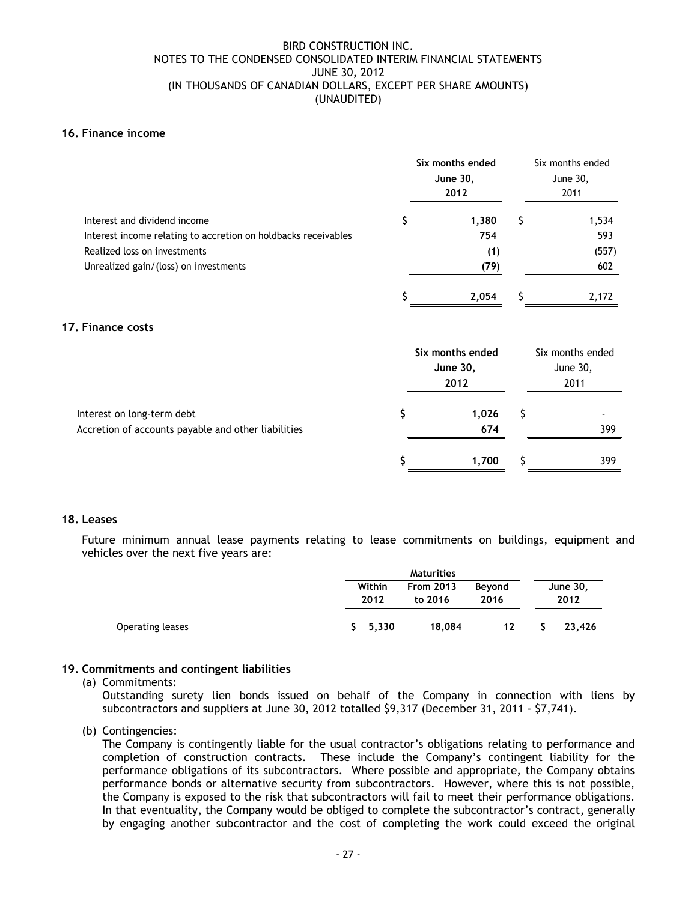## **16. Finance income**

|                                                                                                |    | Six months ended<br><b>June 30,</b><br>2012 |    | Six months ended<br>June 30,<br>2011 |  |
|------------------------------------------------------------------------------------------------|----|---------------------------------------------|----|--------------------------------------|--|
| Interest and dividend income<br>Interest income relating to accretion on holdbacks receivables | \$ | 1,380<br>754                                | \$ | 1,534<br>593                         |  |
| Realized loss on investments                                                                   |    | (1)                                         |    | (557)                                |  |
| Unrealized gain/(loss) on investments                                                          |    | (79)                                        |    | 602                                  |  |
|                                                                                                |    | 2,054                                       | Ś  | 2,172                                |  |
| <b>Finance costs</b>                                                                           |    |                                             |    |                                      |  |
|                                                                                                |    | Six months ended                            |    | Six months ended                     |  |
|                                                                                                |    | June 30,                                    |    | June 30,                             |  |
|                                                                                                |    | 2012                                        |    | 2011                                 |  |
| Interest on long-term debt                                                                     | \$ | 1,026                                       | \$ |                                      |  |
| Accretion of accounts payable and other liabilities                                            |    | 674                                         |    | 399                                  |  |
|                                                                                                | Ş  | 1,700                                       | S  | 399                                  |  |

## **18. Leases**

**17. Finance costs**

Future minimum annual lease payments relating to lease commitments on buildings, equipment and vehicles over the next five years are:

|                  | Maturities                                    |        |                |    |                  |  |
|------------------|-----------------------------------------------|--------|----------------|----|------------------|--|
|                  | Within<br><b>From 2013</b><br>2012<br>to 2016 |        | Beyond<br>2016 |    | June 30,<br>2012 |  |
| Operating leases | 5, 330                                        | 18,084 | 12             | S. | 23,426           |  |

## **19. Commitments and contingent liabilities**

(a) Commitments:

Outstanding surety lien bonds issued on behalf of the Company in connection with liens by subcontractors and suppliers at June 30, 2012 totalled \$9,317 (December 31, 2011 - \$7,741).

(b) Contingencies:

The Company is contingently liable for the usual contractor's obligations relating to performance and completion of construction contracts. These include the Company's contingent liability for the performance obligations of its subcontractors. Where possible and appropriate, the Company obtains performance bonds or alternative security from subcontractors. However, where this is not possible, the Company is exposed to the risk that subcontractors will fail to meet their performance obligations. In that eventuality, the Company would be obliged to complete the subcontractor's contract, generally by engaging another subcontractor and the cost of completing the work could exceed the original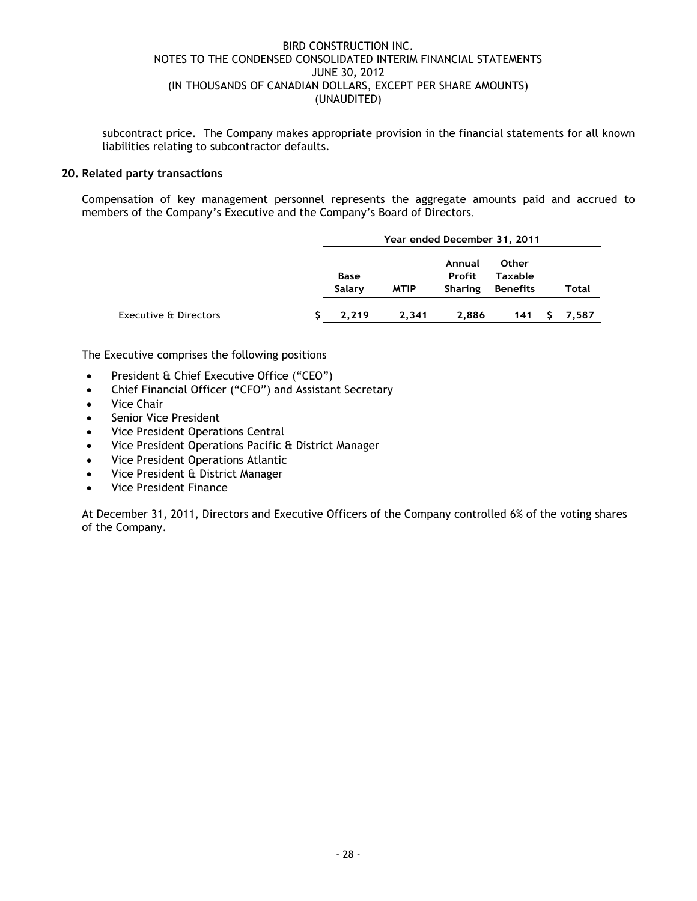subcontract price. The Company makes appropriate provision in the financial statements for all known liabilities relating to subcontractor defaults.

## **20. Related party transactions**

Compensation of key management personnel represents the aggregate amounts paid and accrued to members of the Company's Executive and the Company's Board of Directors.

|                                  | Year ended December 31, 2011 |             |                                           |                                                   |    |       |  |
|----------------------------------|------------------------------|-------------|-------------------------------------------|---------------------------------------------------|----|-------|--|
|                                  | Base<br>Salary               | <b>MTIP</b> | Annual<br><b>Profit</b><br><b>Sharing</b> | <b>Other</b><br><b>Taxable</b><br><b>Benefits</b> |    | Total |  |
| <b>Executive &amp; Directors</b> | 2.219                        | 2,341       | 2.886                                     | 141                                               | S. | 7,587 |  |

The Executive comprises the following positions

- President & Chief Executive Office ("CEO")
- Chief Financial Officer ("CFO") and Assistant Secretary
- Vice Chair
- Senior Vice President
- Vice President Operations Central
- Vice President Operations Pacific & District Manager
- Vice President Operations Atlantic
- Vice President & District Manager
- Vice President Finance

At December 31, 2011, Directors and Executive Officers of the Company controlled 6% of the voting shares of the Company.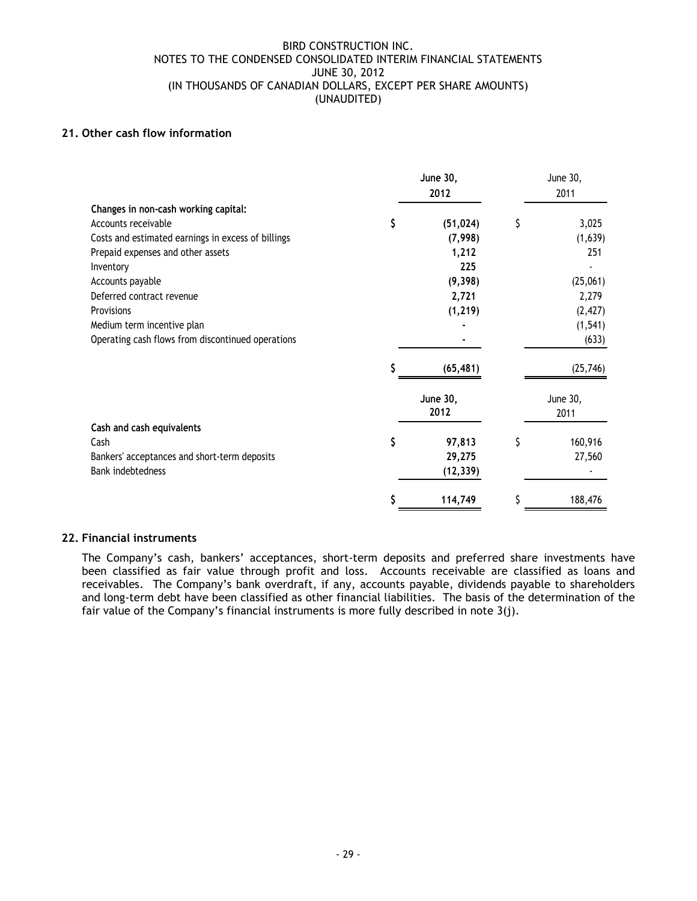## **21. Other cash flow information**

|                                                    | June 30,<br>2012 | June 30,<br>2011 |
|----------------------------------------------------|------------------|------------------|
| Changes in non-cash working capital:               |                  |                  |
| Accounts receivable                                | \$<br>(51, 024)  | \$<br>3,025      |
| Costs and estimated earnings in excess of billings | (7,998)          | (1,639)          |
| Prepaid expenses and other assets                  | 1,212            | 251              |
| Inventory                                          | 225              |                  |
| Accounts payable                                   | (9, 398)         | (25,061)         |
| Deferred contract revenue                          | 2,721            | 2,279            |
| Provisions                                         | (1, 219)         | (2, 427)         |
| Medium term incentive plan                         |                  | (1, 541)         |
| Operating cash flows from discontinued operations  |                  | (633)            |
|                                                    | (65, 481)        | (25,746)         |
|                                                    | June 30,         | June 30,         |
|                                                    | 2012             | 2011             |
| Cash and cash equivalents                          |                  |                  |
| Cash                                               | \$<br>97,813     | \$<br>160,916    |
| Bankers' acceptances and short-term deposits       | 29,275           | 27,560           |
| <b>Bank indebtedness</b>                           | (12, 339)        |                  |
|                                                    | \$<br>114,749    | \$<br>188,476    |

## **22. Financial instruments**

The Company's cash, bankers' acceptances, short-term deposits and preferred share investments have been classified as fair value through profit and loss. Accounts receivable are classified as loans and receivables. The Company's bank overdraft, if any, accounts payable, dividends payable to shareholders and long-term debt have been classified as other financial liabilities. The basis of the determination of the fair value of the Company's financial instruments is more fully described in note 3(j).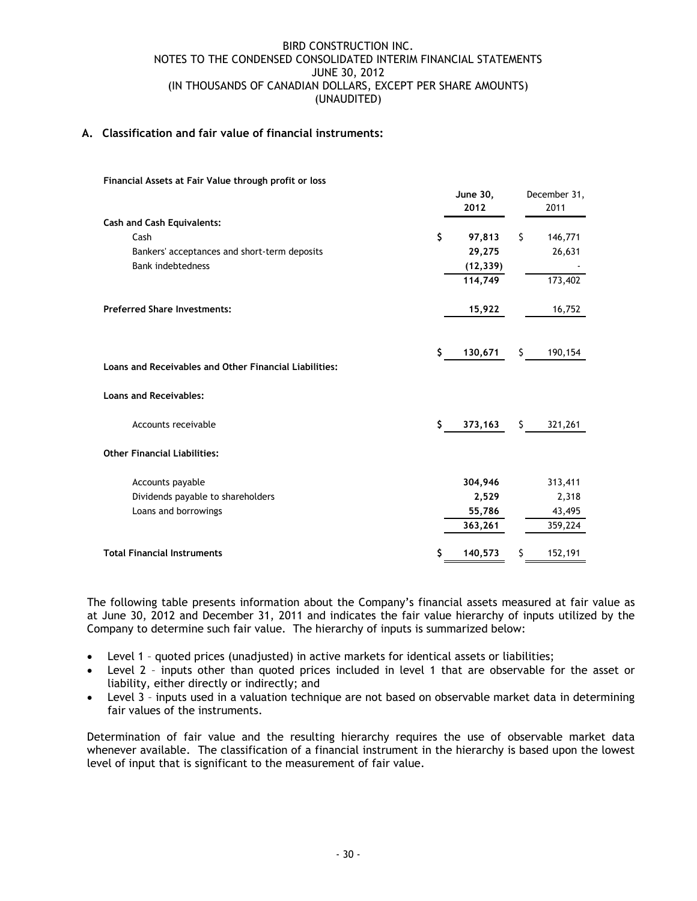## **A. Classification and fair value of financial instruments:**

| Financial Assets at Fair Value through profit or loss  |                         |     |                      |
|--------------------------------------------------------|-------------------------|-----|----------------------|
|                                                        | <b>June 30,</b><br>2012 |     | December 31,<br>2011 |
| <b>Cash and Cash Equivalents:</b>                      |                         |     |                      |
| Cash                                                   | \$<br>97,813            | \$  | 146,771              |
| Bankers' acceptances and short-term deposits           | 29,275                  |     | 26,631               |
| <b>Bank indebtedness</b>                               | (12, 339)               |     |                      |
|                                                        | 114,749                 |     | 173,402              |
| <b>Preferred Share Investments:</b>                    | 15,922                  |     | 16,752               |
|                                                        | \$<br>130,671           | \$. | 190,154              |
| Loans and Receivables and Other Financial Liabilities: |                         |     |                      |
| <b>Loans and Receivables:</b>                          |                         |     |                      |
| Accounts receivable                                    | \$<br>373,163           | \$. | 321,261              |
| <b>Other Financial Liabilities:</b>                    |                         |     |                      |
| Accounts payable                                       | 304,946                 |     | 313,411              |
| Dividends payable to shareholders                      | 2,529                   |     | 2,318                |
| Loans and borrowings                                   | 55,786                  |     | 43,495               |
|                                                        | 363,261                 |     | 359,224              |
| <b>Total Financial Instruments</b>                     | \$<br>140,573           | \$  | 152,191              |

The following table presents information about the Company's financial assets measured at fair value as at June 30, 2012 and December 31, 2011 and indicates the fair value hierarchy of inputs utilized by the Company to determine such fair value. The hierarchy of inputs is summarized below:

- Level 1 quoted prices (unadjusted) in active markets for identical assets or liabilities;
- Level 2 inputs other than quoted prices included in level 1 that are observable for the asset or liability, either directly or indirectly; and
- Level 3 inputs used in a valuation technique are not based on observable market data in determining fair values of the instruments.

Determination of fair value and the resulting hierarchy requires the use of observable market data whenever available. The classification of a financial instrument in the hierarchy is based upon the lowest level of input that is significant to the measurement of fair value.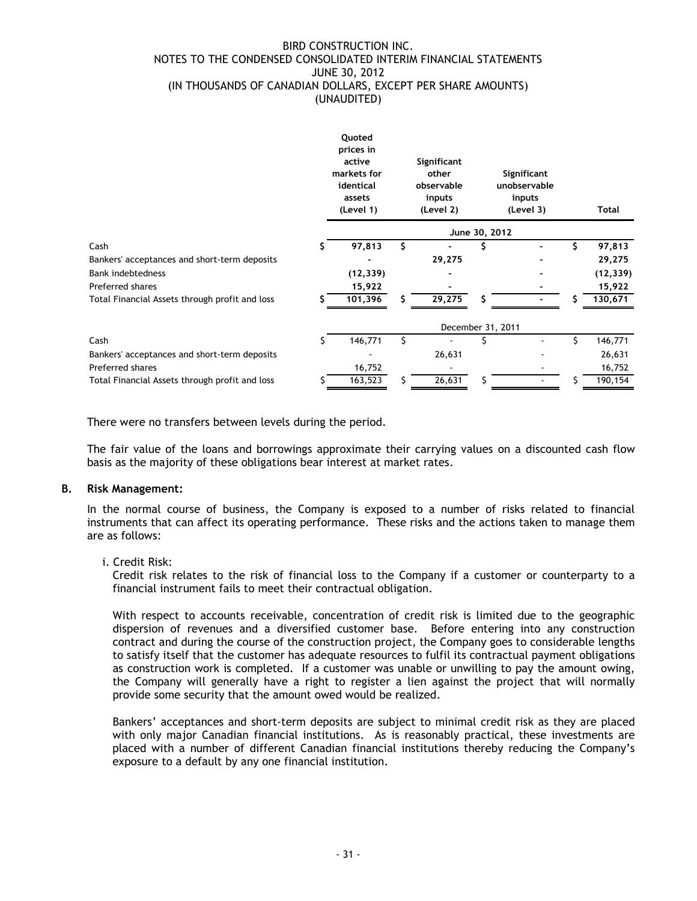|                                                |    | Quoted<br>prices in<br>active<br>markets for<br>identical<br>assets<br>(Level 1) |    | Significant<br>other<br>observable<br>inputs<br>(Level 2) |               | Significant<br>unobservable<br>inputs<br>(Level 3) |    | Total     |
|------------------------------------------------|----|----------------------------------------------------------------------------------|----|-----------------------------------------------------------|---------------|----------------------------------------------------|----|-----------|
|                                                |    |                                                                                  |    |                                                           | June 30, 2012 |                                                    |    |           |
| Cash                                           | s  | 97,813                                                                           | Ŝ. |                                                           | \$            |                                                    | \$ | 97,813    |
| Bankers' acceptances and short-term deposits   |    |                                                                                  |    | 29,275                                                    |               |                                                    |    | 29,275    |
| <b>Bank indebtedness</b>                       |    | (12, 339)                                                                        |    |                                                           |               |                                                    |    | (12, 339) |
| Preferred shares                               |    | 15,922                                                                           |    |                                                           |               |                                                    |    | 15,922    |
| Total Financial Assets through profit and loss | s  | 101,396                                                                          | S. | 29,275                                                    | S.            |                                                    | S  | 130,671   |
|                                                |    |                                                                                  |    | December 31, 2011                                         |               |                                                    |    |           |
| Cash                                           | S. | 146,771                                                                          | Ś  |                                                           | S             |                                                    | \$ | 146,771   |
| Bankers' acceptances and short-term deposits   |    |                                                                                  |    | 26,631                                                    |               |                                                    |    | 26,631    |
| Preferred shares                               |    | 16,752                                                                           |    |                                                           |               |                                                    |    | 16,752    |
| Total Financial Assets through profit and loss |    | 163,523                                                                          |    | 26,631                                                    | S             |                                                    |    | 190,154   |
|                                                |    |                                                                                  |    |                                                           |               |                                                    |    |           |

There were no transfers between levels during the period.

The fair value of the loans and borrowings approximate their carrying values on a discounted cash flow basis as the majority of these obligations bear interest at market rates.

## **B. Risk Management:**

In the normal course of business, the Company is exposed to a number of risks related to financial instruments that can affect its operating performance. These risks and the actions taken to manage them are as follows:

i. Credit Risk:

Credit risk relates to the risk of financial loss to the Company if a customer or counterparty to a financial instrument fails to meet their contractual obligation.

With respect to accounts receivable, concentration of credit risk is limited due to the geographic dispersion of revenues and a diversified customer base. Before entering into any construction contract and during the course of the construction project, the Company goes to considerable lengths to satisfy itself that the customer has adequate resources to fulfil its contractual payment obligations as construction work is completed. If a customer was unable or unwilling to pay the amount owing, the Company will generally have a right to register a lien against the project that will normally provide some security that the amount owed would be realized.

Bankers' acceptances and short-term deposits are subject to minimal credit risk as they are placed with only major Canadian financial institutions. As is reasonably practical, these investments are placed with a number of different Canadian financial institutions thereby reducing the Company's exposure to a default by any one financial institution.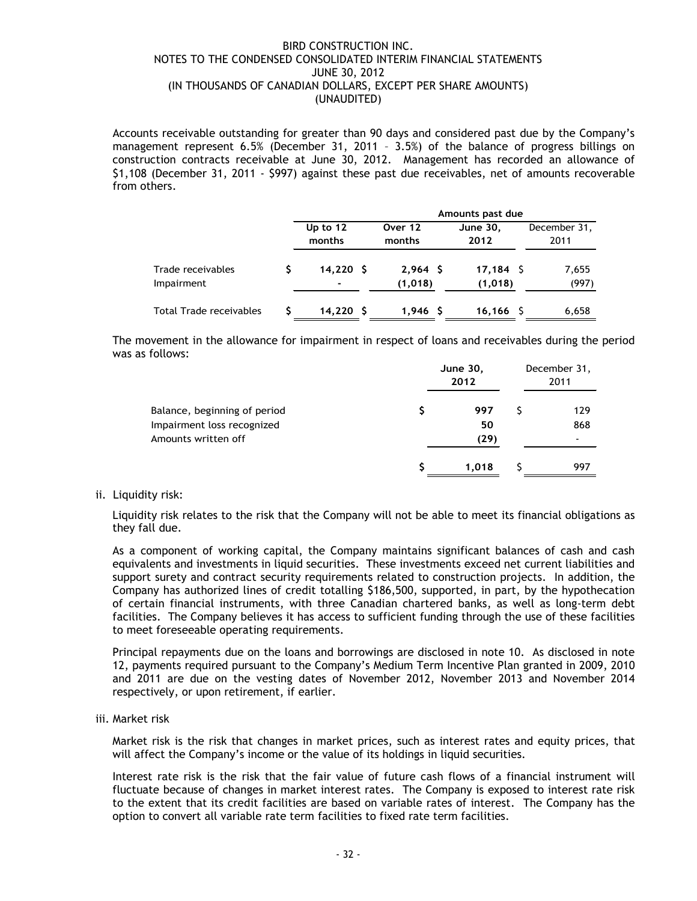Accounts receivable outstanding for greater than 90 days and considered past due by the Company's management represent 6.5% (December 31, 2011 – 3.5%) of the balance of progress billings on construction contracts receivable at June 30, 2012. Management has recorded an allowance of \$1,108 (December 31, 2011 - \$997) against these past due receivables, net of amounts recoverable from others.

|                                 |                                      | Amounts past due      |                        |                      |  |  |  |
|---------------------------------|--------------------------------------|-----------------------|------------------------|----------------------|--|--|--|
|                                 | Up to 12<br>months                   | Over 12<br>months     | June 30,<br>2012       | December 31,<br>2011 |  |  |  |
| Trade receivables<br>Impairment | 14.220 S<br>$\overline{\phantom{0}}$ | $2,964$ \$<br>(1,018) | $17,184$ \$<br>(1,018) | 7,655<br>(997)       |  |  |  |
| <b>Total Trade receivables</b>  | $14,220$ \$                          | $1,946$ \$            | $16, 166$ \$           | 6,658                |  |  |  |

The movement in the allowance for impairment in respect of loans and receivables during the period was as follows:

|                              | June 30,<br>2012 | December 31,<br>2011 |
|------------------------------|------------------|----------------------|
| Balance, beginning of period | 997              | 129                  |
| Impairment loss recognized   | 50               | 868                  |
| Amounts written off          | (29)             |                      |
|                              | 1.018            | 997                  |

## ii. Liquidity risk:

Liquidity risk relates to the risk that the Company will not be able to meet its financial obligations as they fall due.

As a component of working capital, the Company maintains significant balances of cash and cash equivalents and investments in liquid securities. These investments exceed net current liabilities and support surety and contract security requirements related to construction projects. In addition, the Company has authorized lines of credit totalling \$186,500, supported, in part, by the hypothecation of certain financial instruments, with three Canadian chartered banks, as well as long-term debt facilities. The Company believes it has access to sufficient funding through the use of these facilities to meet foreseeable operating requirements.

Principal repayments due on the loans and borrowings are disclosed in note 10. As disclosed in note 12, payments required pursuant to the Company's Medium Term Incentive Plan granted in 2009, 2010 and 2011 are due on the vesting dates of November 2012, November 2013 and November 2014 respectively, or upon retirement, if earlier.

iii. Market risk

Market risk is the risk that changes in market prices, such as interest rates and equity prices, that will affect the Company's income or the value of its holdings in liquid securities.

Interest rate risk is the risk that the fair value of future cash flows of a financial instrument will fluctuate because of changes in market interest rates. The Company is exposed to interest rate risk to the extent that its credit facilities are based on variable rates of interest. The Company has the option to convert all variable rate term facilities to fixed rate term facilities.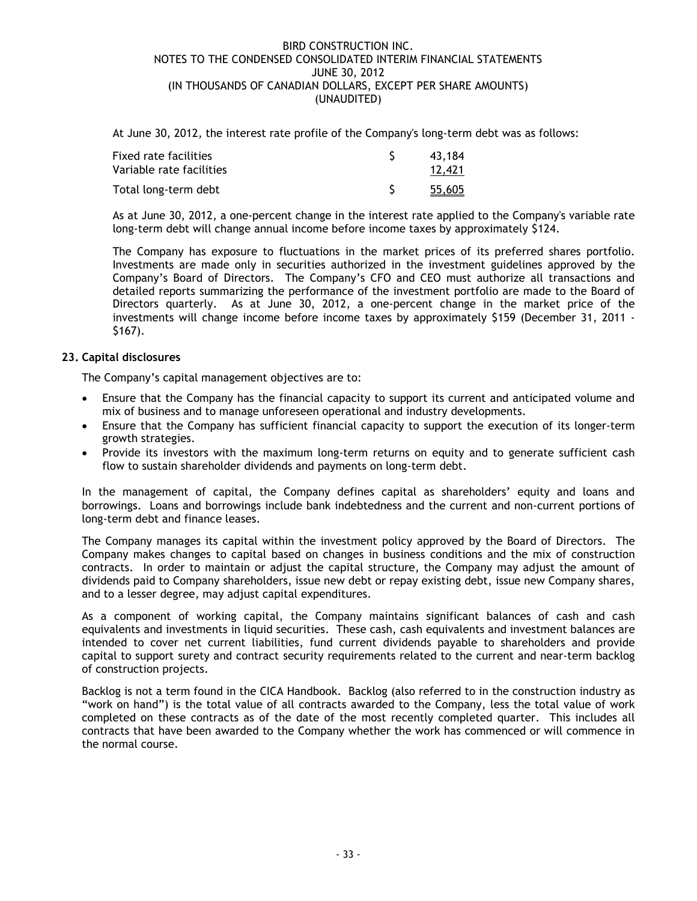At June 30, 2012, the interest rate profile of the Company's long-term debt was as follows:

| Fixed rate facilities    | 43.184        |
|--------------------------|---------------|
| Variable rate facilities | 12,421        |
| Total long-term debt     | <u>55,605</u> |

As at June 30, 2012, a one-percent change in the interest rate applied to the Company's variable rate long-term debt will change annual income before income taxes by approximately \$124.

The Company has exposure to fluctuations in the market prices of its preferred shares portfolio. Investments are made only in securities authorized in the investment guidelines approved by the Company's Board of Directors. The Company's CFO and CEO must authorize all transactions and detailed reports summarizing the performance of the investment portfolio are made to the Board of Directors quarterly. As at June 30, 2012, a one-percent change in the market price of the investments will change income before income taxes by approximately \$159 (December 31, 2011 - \$167).

## **23. Capital disclosures**

The Company's capital management objectives are to:

- Ensure that the Company has the financial capacity to support its current and anticipated volume and mix of business and to manage unforeseen operational and industry developments.
- Ensure that the Company has sufficient financial capacity to support the execution of its longer-term growth strategies.
- Provide its investors with the maximum long-term returns on equity and to generate sufficient cash flow to sustain shareholder dividends and payments on long-term debt.

In the management of capital, the Company defines capital as shareholders' equity and loans and borrowings. Loans and borrowings include bank indebtedness and the current and non-current portions of long-term debt and finance leases.

The Company manages its capital within the investment policy approved by the Board of Directors. The Company makes changes to capital based on changes in business conditions and the mix of construction contracts. In order to maintain or adjust the capital structure, the Company may adjust the amount of dividends paid to Company shareholders, issue new debt or repay existing debt, issue new Company shares, and to a lesser degree, may adjust capital expenditures.

As a component of working capital, the Company maintains significant balances of cash and cash equivalents and investments in liquid securities. These cash, cash equivalents and investment balances are intended to cover net current liabilities, fund current dividends payable to shareholders and provide capital to support surety and contract security requirements related to the current and near-term backlog of construction projects.

Backlog is not a term found in the CICA Handbook. Backlog (also referred to in the construction industry as "work on hand") is the total value of all contracts awarded to the Company, less the total value of work completed on these contracts as of the date of the most recently completed quarter. This includes all contracts that have been awarded to the Company whether the work has commenced or will commence in the normal course.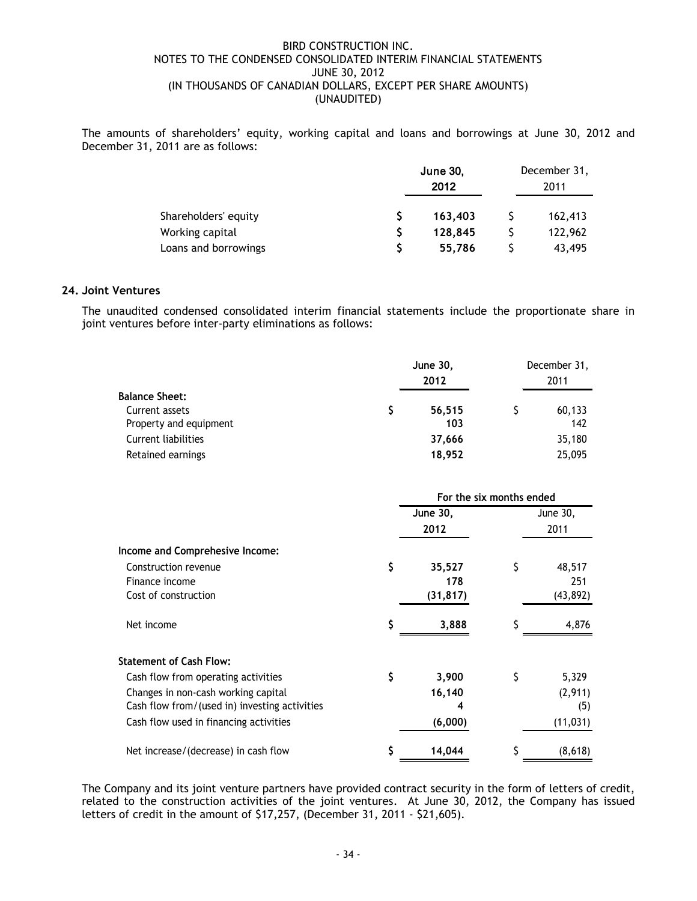The amounts of shareholders' equity, working capital and loans and borrowings at June 30, 2012 and December 31, 2011 are as follows:

|                      | <b>June 30,</b><br>2012 |         | December 31,<br>2011 |
|----------------------|-------------------------|---------|----------------------|
| Shareholders' equity |                         | 163,403 | 162,413              |
| Working capital      |                         | 128.845 | 122,962              |
| Loans and borrowings |                         | 55,786  | 43,495               |

## **24. Joint Ventures**

The unaudited condensed consolidated interim financial statements include the proportionate share in joint ventures before inter-party eliminations as follows:

|                                                      |    | <b>June 30,</b><br>2012  |    | December 31,<br>2011 |
|------------------------------------------------------|----|--------------------------|----|----------------------|
| <b>Balance Sheet:</b>                                |    |                          |    |                      |
| Current assets                                       | Ş  | 56,515<br>103            | Ş  | 60,133<br>142        |
| Property and equipment<br><b>Current liabilities</b> |    | 37,666                   |    | 35,180               |
| Retained earnings                                    |    | 18,952                   |    | 25,095               |
|                                                      |    | For the six months ended |    |                      |
|                                                      |    | June 30,                 |    | June 30,             |
|                                                      |    | 2012                     |    | 2011                 |
| Income and Comprehesive Income:                      |    |                          |    |                      |
| Construction revenue                                 | \$ | 35,527                   | \$ | 48,517               |
| Finance income                                       |    | 178                      |    | 251                  |
| Cost of construction                                 |    | (31, 817)                |    | (43, 892)            |
| Net income                                           | \$ | 3,888                    | \$ | 4,876                |
| <b>Statement of Cash Flow:</b>                       |    |                          |    |                      |
| Cash flow from operating activities                  | \$ | 3,900                    | \$ | 5,329                |
| Changes in non-cash working capital                  |    | 16,140                   |    | (2,911)              |
| Cash flow from/(used in) investing activities        |    | 4                        |    | (5)                  |
| Cash flow used in financing activities               |    | (6,000)                  |    | (11, 031)            |
| Net increase/(decrease) in cash flow                 | \$ | 14,044                   | \$ | (8,618)              |

The Company and its joint venture partners have provided contract security in the form of letters of credit, related to the construction activities of the joint ventures. At June 30, 2012, the Company has issued letters of credit in the amount of \$17,257, (December 31, 2011 - \$21,605).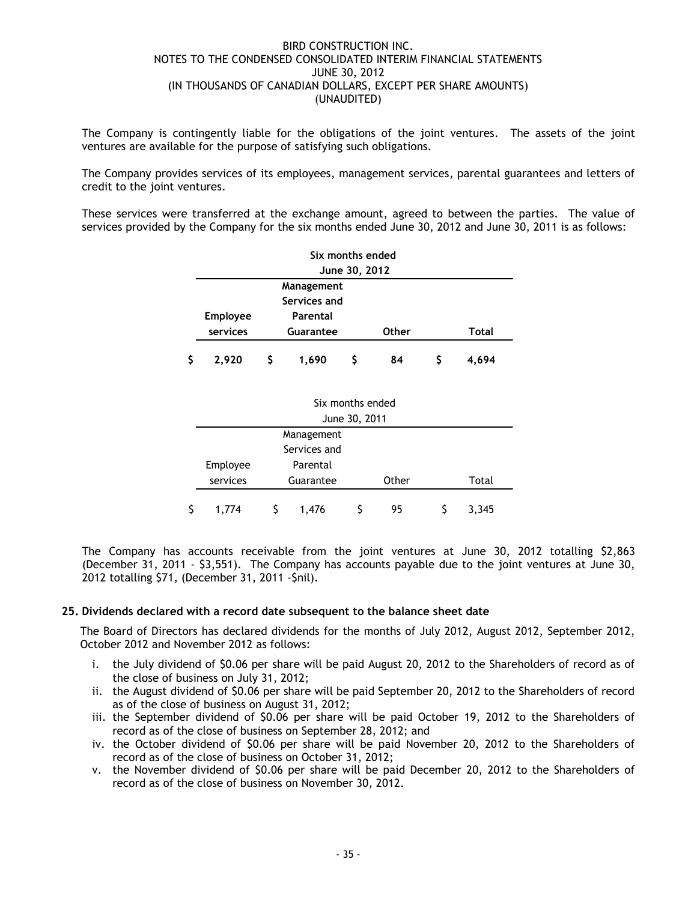The Company is contingently liable for the obligations of the joint ventures. The assets of the joint ventures are available for the purpose of satisfying such obligations.

The Company provides services of its employees, management services, parental guarantees and letters of credit to the joint ventures.

These services were transferred at the exchange amount, agreed to between the parties. The value of services provided by the Company for the six months ended June 30, 2012 and June 30, 2011 is as follows:

|   | Six months ended |    |                  |               |       |    |       |  |
|---|------------------|----|------------------|---------------|-------|----|-------|--|
|   | June 30, 2012    |    |                  |               |       |    |       |  |
|   | Management       |    |                  |               |       |    |       |  |
|   |                  |    | Services and     |               |       |    |       |  |
|   | <b>Employee</b>  |    | Parental         |               |       |    |       |  |
|   | services         |    | Guarantee        |               | Other |    | Total |  |
| Ś | 2,920            | \$ | 1,690            | \$            | 84    | \$ | 4,694 |  |
|   |                  |    |                  |               |       |    |       |  |
|   |                  |    |                  |               |       |    |       |  |
|   |                  |    | Six months ended |               |       |    |       |  |
|   |                  |    |                  | June 30, 2011 |       |    |       |  |
|   | Management       |    |                  |               |       |    |       |  |
|   |                  |    | Services and     |               |       |    |       |  |
|   | Employee         |    | Parental         |               |       |    |       |  |
|   | services         |    | Guarantee        |               | Other |    | Total |  |
|   |                  |    |                  |               |       |    |       |  |

The Company has accounts receivable from the joint ventures at June 30, 2012 totalling \$2,863 (December 31, 2011 - \$3,551). The Company has accounts payable due to the joint ventures at June 30, 2012 totalling \$71, (December 31, 2011 -\$nil).

\$ 1,774 \$ 1,476 \$ 95 \$ 3,345

## **25. Dividends declared with a record date subsequent to the balance sheet date**

The Board of Directors has declared dividends for the months of July 2012, August 2012, September 2012, October 2012 and November 2012 as follows:

- i. the July dividend of \$0.06 per share will be paid August 20, 2012 to the Shareholders of record as of the close of business on July 31, 2012;
- ii. the August dividend of \$0.06 per share will be paid September 20, 2012 to the Shareholders of record as of the close of business on August 31, 2012;
- iii. the September dividend of \$0.06 per share will be paid October 19, 2012 to the Shareholders of record as of the close of business on September 28, 2012; and
- iv. the October dividend of \$0.06 per share will be paid November 20, 2012 to the Shareholders of record as of the close of business on October 31, 2012;
- v. the November dividend of \$0.06 per share will be paid December 20, 2012 to the Shareholders of record as of the close of business on November 30, 2012.